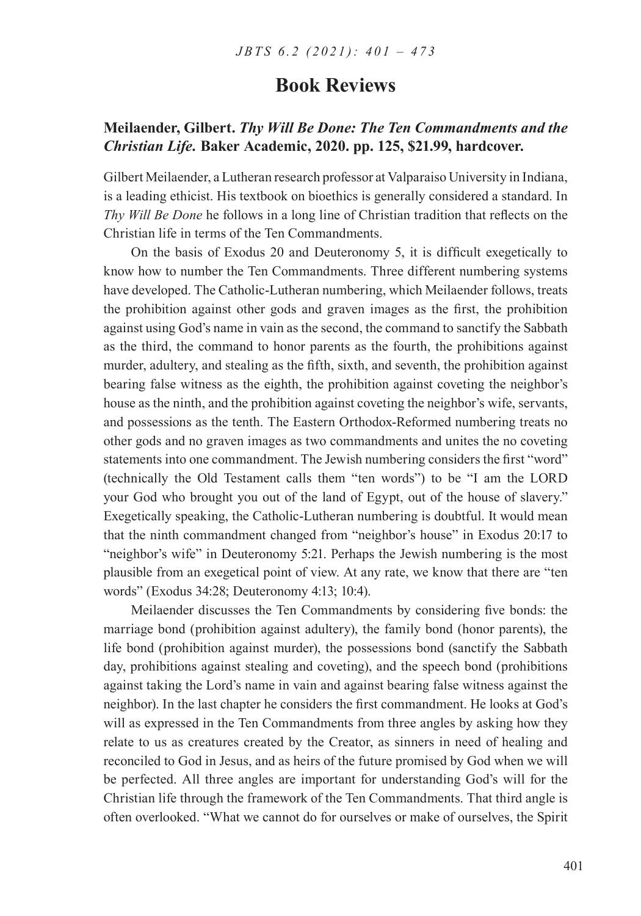## **Meilaender, Gilbert.** *Thy Will Be Done: The Ten Commandments and the Christian Life.* **Baker Academic, 2020. pp. 125, \$21.99, hardcover.**

Gilbert Meilaender, a Lutheran research professor at Valparaiso University in Indiana, is a leading ethicist. His textbook on bioethics is generally considered a standard. In *Thy Will Be Done* he follows in a long line of Christian tradition that reflects on the Christian life in terms of the Ten Commandments.

On the basis of Exodus 20 and Deuteronomy 5, it is difficult exegetically to know how to number the Ten Commandments. Three different numbering systems have developed. The Catholic-Lutheran numbering, which Meilaender follows, treats the prohibition against other gods and graven images as the first, the prohibition against using God's name in vain as the second, the command to sanctify the Sabbath as the third, the command to honor parents as the fourth, the prohibitions against murder, adultery, and stealing as the fifth, sixth, and seventh, the prohibition against bearing false witness as the eighth, the prohibition against coveting the neighbor's house as the ninth, and the prohibition against coveting the neighbor's wife, servants, and possessions as the tenth. The Eastern Orthodox-Reformed numbering treats no other gods and no graven images as two commandments and unites the no coveting statements into one commandment. The Jewish numbering considers the first "word" (technically the Old Testament calls them "ten words") to be "I am the LORD your God who brought you out of the land of Egypt, out of the house of slavery." Exegetically speaking, the Catholic-Lutheran numbering is doubtful. It would mean that the ninth commandment changed from "neighbor's house" in Exodus 20:17 to "neighbor's wife" in Deuteronomy 5:21. Perhaps the Jewish numbering is the most plausible from an exegetical point of view. At any rate, we know that there are "ten words" (Exodus 34:28; Deuteronomy 4:13; 10:4).

Meilaender discusses the Ten Commandments by considering five bonds: the marriage bond (prohibition against adultery), the family bond (honor parents), the life bond (prohibition against murder), the possessions bond (sanctify the Sabbath day, prohibitions against stealing and coveting), and the speech bond (prohibitions against taking the Lord's name in vain and against bearing false witness against the neighbor). In the last chapter he considers the first commandment. He looks at God's will as expressed in the Ten Commandments from three angles by asking how they relate to us as creatures created by the Creator, as sinners in need of healing and reconciled to God in Jesus, and as heirs of the future promised by God when we will be perfected. All three angles are important for understanding God's will for the Christian life through the framework of the Ten Commandments. That third angle is often overlooked. "What we cannot do for ourselves or make of ourselves, the Spirit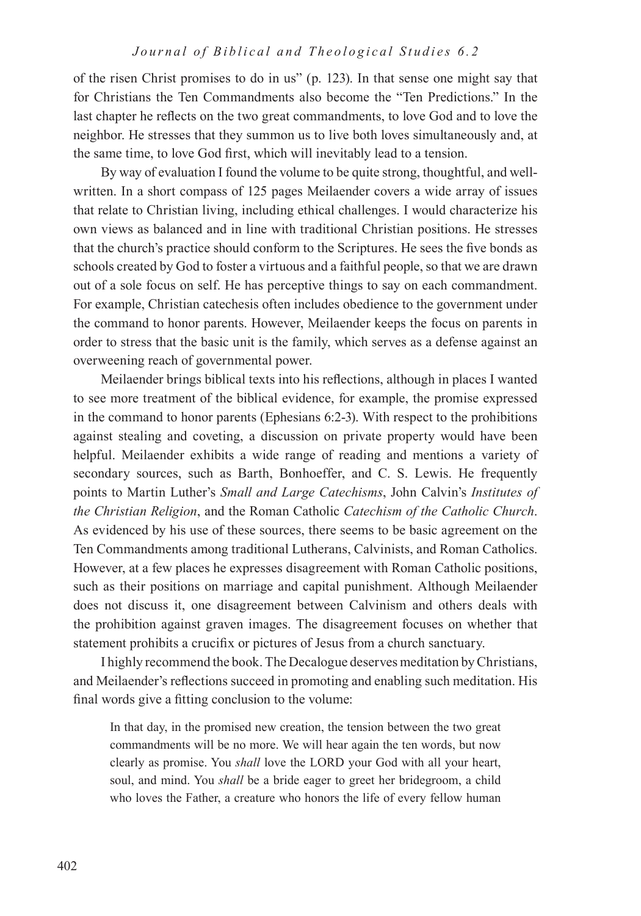of the risen Christ promises to do in us" (p. 123). In that sense one might say that for Christians the Ten Commandments also become the "Ten Predictions." In the last chapter he reflects on the two great commandments, to love God and to love the neighbor. He stresses that they summon us to live both loves simultaneously and, at the same time, to love God first, which will inevitably lead to a tension.

By way of evaluation I found the volume to be quite strong, thoughtful, and wellwritten. In a short compass of 125 pages Meilaender covers a wide array of issues that relate to Christian living, including ethical challenges. I would characterize his own views as balanced and in line with traditional Christian positions. He stresses that the church's practice should conform to the Scriptures. He sees the five bonds as schools created by God to foster a virtuous and a faithful people, so that we are drawn out of a sole focus on self. He has perceptive things to say on each commandment. For example, Christian catechesis often includes obedience to the government under the command to honor parents. However, Meilaender keeps the focus on parents in order to stress that the basic unit is the family, which serves as a defense against an overweening reach of governmental power.

Meilaender brings biblical texts into his reflections, although in places I wanted to see more treatment of the biblical evidence, for example, the promise expressed in the command to honor parents (Ephesians 6:2-3). With respect to the prohibitions against stealing and coveting, a discussion on private property would have been helpful. Meilaender exhibits a wide range of reading and mentions a variety of secondary sources, such as Barth, Bonhoeffer, and C. S. Lewis. He frequently points to Martin Luther's *Small and Large Catechisms*, John Calvin's *Institutes of the Christian Religion*, and the Roman Catholic *Catechism of the Catholic Church*. As evidenced by his use of these sources, there seems to be basic agreement on the Ten Commandments among traditional Lutherans, Calvinists, and Roman Catholics. However, at a few places he expresses disagreement with Roman Catholic positions, such as their positions on marriage and capital punishment. Although Meilaender does not discuss it, one disagreement between Calvinism and others deals with the prohibition against graven images. The disagreement focuses on whether that statement prohibits a crucifix or pictures of Jesus from a church sanctuary.

I highly recommend the book. The Decalogue deserves meditation by Christians, and Meilaender's reflections succeed in promoting and enabling such meditation. His final words give a fitting conclusion to the volume:

In that day, in the promised new creation, the tension between the two great commandments will be no more. We will hear again the ten words, but now clearly as promise. You *shall* love the LORD your God with all your heart, soul, and mind. You *shall* be a bride eager to greet her bridegroom, a child who loves the Father, a creature who honors the life of every fellow human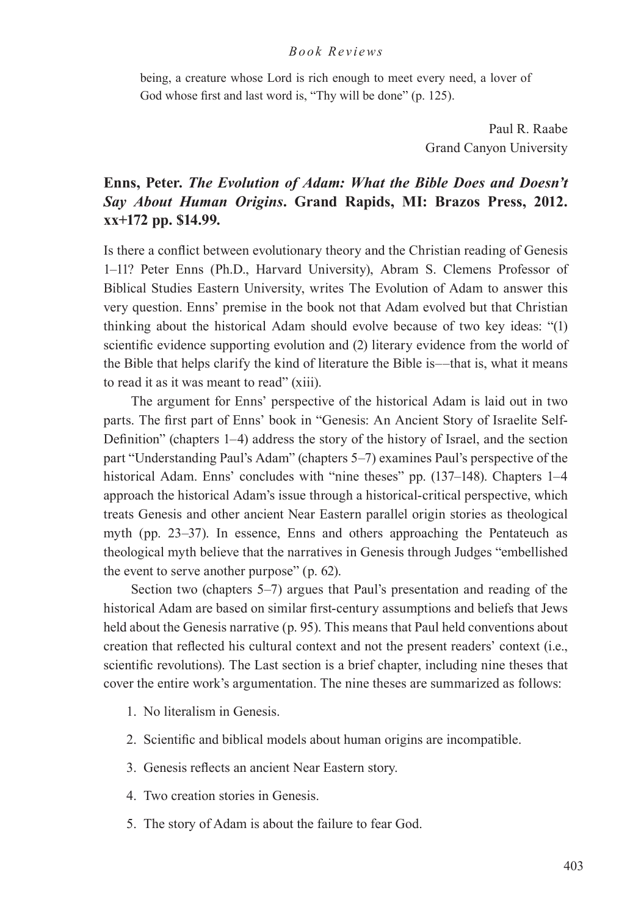being, a creature whose Lord is rich enough to meet every need, a lover of God whose first and last word is, "Thy will be done" (p. 125).

> Paul R. Raabe Grand Canyon University

# **Enns, Peter.** *The Evolution of Adam: What the Bible Does and Doesn't Say About Human Origins***. Grand Rapids, MI: Brazos Press, 2012. xx+172 pp. \$14.99.**

Is there a conflict between evolutionary theory and the Christian reading of Genesis 1–11? Peter Enns (Ph.D., Harvard University), Abram S. Clemens Professor of Biblical Studies Eastern University, writes The Evolution of Adam to answer this very question. Enns' premise in the book not that Adam evolved but that Christian thinking about the historical Adam should evolve because of two key ideas: "(1) scientific evidence supporting evolution and (2) literary evidence from the world of the Bible that helps clarify the kind of literature the Bible is––that is, what it means to read it as it was meant to read" (xiii).

The argument for Enns' perspective of the historical Adam is laid out in two parts. The first part of Enns' book in "Genesis: An Ancient Story of Israelite Self-Definition" (chapters 1–4) address the story of the history of Israel, and the section part "Understanding Paul's Adam" (chapters 5–7) examines Paul's perspective of the historical Adam. Enns' concludes with "nine theses" pp. (137–148). Chapters 1–4 approach the historical Adam's issue through a historical-critical perspective, which treats Genesis and other ancient Near Eastern parallel origin stories as theological myth (pp. 23–37). In essence, Enns and others approaching the Pentateuch as theological myth believe that the narratives in Genesis through Judges "embellished the event to serve another purpose" (p. 62).

Section two (chapters 5–7) argues that Paul's presentation and reading of the historical Adam are based on similar first-century assumptions and beliefs that Jews held about the Genesis narrative (p. 95). This means that Paul held conventions about creation that reflected his cultural context and not the present readers' context (i.e., scientific revolutions). The Last section is a brief chapter, including nine theses that cover the entire work's argumentation. The nine theses are summarized as follows:

- 1. No literalism in Genesis.
- 2. Scientific and biblical models about human origins are incompatible.
- 3. Genesis reflects an ancient Near Eastern story.
- 4. Two creation stories in Genesis.
- 5. The story of Adam is about the failure to fear God.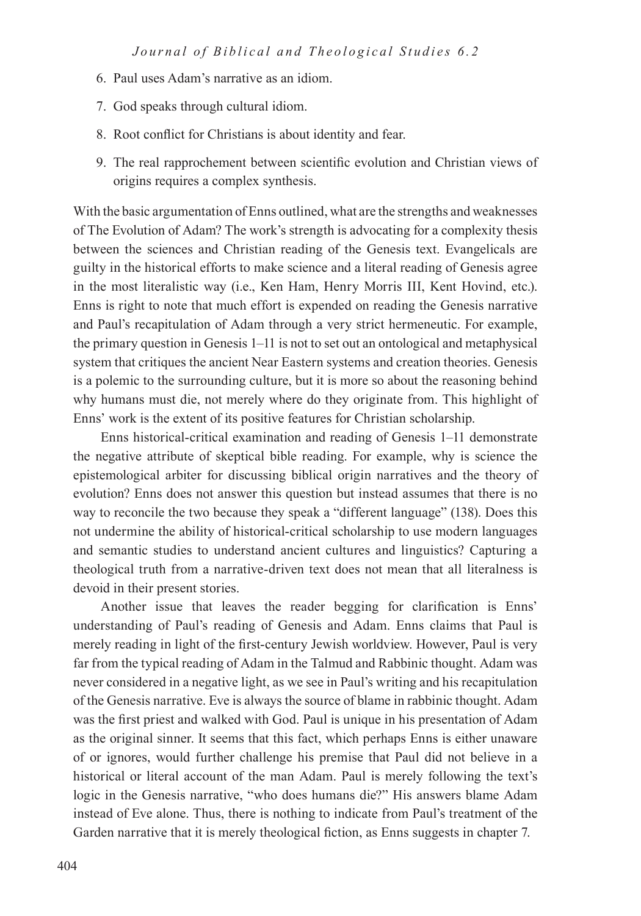- 6. Paul uses Adam's narrative as an idiom.
- 7. God speaks through cultural idiom.
- 8. Root conflict for Christians is about identity and fear.
- 9. The real rapprochement between scientific evolution and Christian views of origins requires a complex synthesis.

With the basic argumentation of Enns outlined, what are the strengths and weaknesses of The Evolution of Adam? The work's strength is advocating for a complexity thesis between the sciences and Christian reading of the Genesis text. Evangelicals are guilty in the historical efforts to make science and a literal reading of Genesis agree in the most literalistic way (i.e., Ken Ham, Henry Morris III, Kent Hovind, etc.). Enns is right to note that much effort is expended on reading the Genesis narrative and Paul's recapitulation of Adam through a very strict hermeneutic. For example, the primary question in Genesis 1–11 is not to set out an ontological and metaphysical system that critiques the ancient Near Eastern systems and creation theories. Genesis is a polemic to the surrounding culture, but it is more so about the reasoning behind why humans must die, not merely where do they originate from. This highlight of Enns' work is the extent of its positive features for Christian scholarship.

Enns historical-critical examination and reading of Genesis 1–11 demonstrate the negative attribute of skeptical bible reading. For example, why is science the epistemological arbiter for discussing biblical origin narratives and the theory of evolution? Enns does not answer this question but instead assumes that there is no way to reconcile the two because they speak a "different language" (138). Does this not undermine the ability of historical-critical scholarship to use modern languages and semantic studies to understand ancient cultures and linguistics? Capturing a theological truth from a narrative-driven text does not mean that all literalness is devoid in their present stories.

Another issue that leaves the reader begging for clarification is Enns' understanding of Paul's reading of Genesis and Adam. Enns claims that Paul is merely reading in light of the first-century Jewish worldview. However, Paul is very far from the typical reading of Adam in the Talmud and Rabbinic thought. Adam was never considered in a negative light, as we see in Paul's writing and his recapitulation of the Genesis narrative. Eve is always the source of blame in rabbinic thought. Adam was the first priest and walked with God. Paul is unique in his presentation of Adam as the original sinner. It seems that this fact, which perhaps Enns is either unaware of or ignores, would further challenge his premise that Paul did not believe in a historical or literal account of the man Adam. Paul is merely following the text's logic in the Genesis narrative, "who does humans die?" His answers blame Adam instead of Eve alone. Thus, there is nothing to indicate from Paul's treatment of the Garden narrative that it is merely theological fiction, as Enns suggests in chapter 7.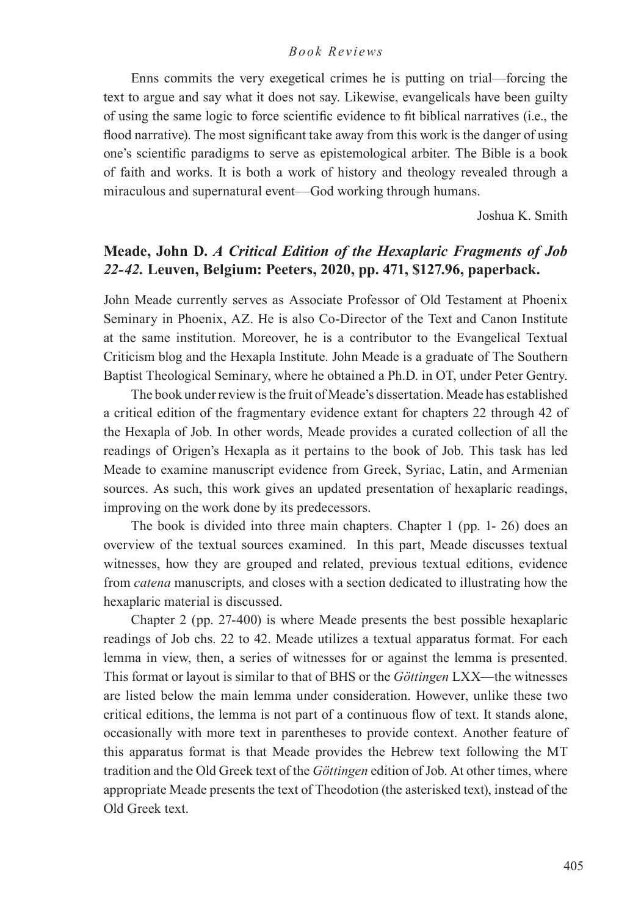Enns commits the very exegetical crimes he is putting on trial—forcing the text to argue and say what it does not say. Likewise, evangelicals have been guilty of using the same logic to force scientific evidence to fit biblical narratives (i.e., the flood narrative). The most significant take away from this work is the danger of using one's scientific paradigms to serve as epistemological arbiter. The Bible is a book of faith and works. It is both a work of history and theology revealed through a miraculous and supernatural event––God working through humans.

Joshua K. Smith

# **Meade, John D.** *A Critical Edition of the Hexaplaric Fragments of Job 22-42.* **Leuven, Belgium: Peeters, 2020, pp. 471, \$127.96, paperback.**

John Meade currently serves as Associate Professor of Old Testament at Phoenix Seminary in Phoenix, AZ. He is also Co-Director of the Text and Canon Institute at the same institution. Moreover, he is a contributor to the Evangelical Textual Criticism blog and the Hexapla Institute. John Meade is a graduate of The Southern Baptist Theological Seminary, where he obtained a Ph.D. in OT, under Peter Gentry.

The book under review is the fruit of Meade's dissertation. Meade has established a critical edition of the fragmentary evidence extant for chapters 22 through 42 of the Hexapla of Job. In other words, Meade provides a curated collection of all the readings of Origen's Hexapla as it pertains to the book of Job. This task has led Meade to examine manuscript evidence from Greek, Syriac, Latin, and Armenian sources. As such, this work gives an updated presentation of hexaplaric readings, improving on the work done by its predecessors.

The book is divided into three main chapters. Chapter 1 (pp. 1- 26) does an overview of the textual sources examined. In this part, Meade discusses textual witnesses, how they are grouped and related, previous textual editions, evidence from *catena* manuscripts*,* and closes with a section dedicated to illustrating how the hexaplaric material is discussed.

Chapter 2 (pp. 27-400) is where Meade presents the best possible hexaplaric readings of Job chs. 22 to 42. Meade utilizes a textual apparatus format. For each lemma in view, then, a series of witnesses for or against the lemma is presented. This format or layout is similar to that of BHS or the *Göttingen* LXX—the witnesses are listed below the main lemma under consideration. However, unlike these two critical editions, the lemma is not part of a continuous flow of text. It stands alone, occasionally with more text in parentheses to provide context. Another feature of this apparatus format is that Meade provides the Hebrew text following the MT tradition and the Old Greek text of the *Göttingen* edition of Job. At other times, where appropriate Meade presents the text of Theodotion (the asterisked text), instead of the Old Greek text.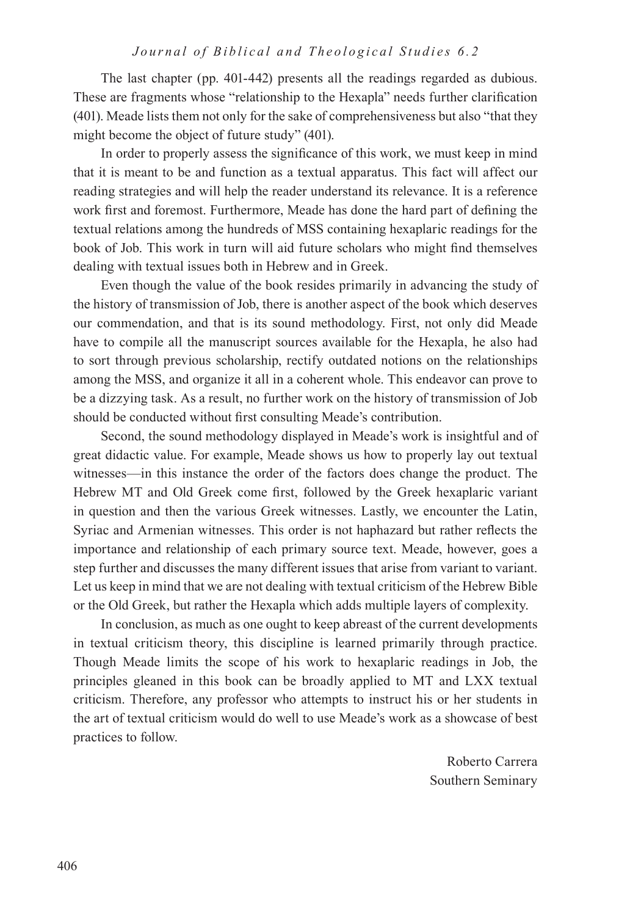The last chapter (pp. 401-442) presents all the readings regarded as dubious. These are fragments whose "relationship to the Hexapla" needs further clarification (401). Meade lists them not only for the sake of comprehensiveness but also "that they might become the object of future study" (401).

In order to properly assess the significance of this work, we must keep in mind that it is meant to be and function as a textual apparatus. This fact will affect our reading strategies and will help the reader understand its relevance. It is a reference work first and foremost. Furthermore, Meade has done the hard part of defining the textual relations among the hundreds of MSS containing hexaplaric readings for the book of Job. This work in turn will aid future scholars who might find themselves dealing with textual issues both in Hebrew and in Greek.

Even though the value of the book resides primarily in advancing the study of the history of transmission of Job, there is another aspect of the book which deserves our commendation, and that is its sound methodology. First, not only did Meade have to compile all the manuscript sources available for the Hexapla, he also had to sort through previous scholarship, rectify outdated notions on the relationships among the MSS, and organize it all in a coherent whole. This endeavor can prove to be a dizzying task. As a result, no further work on the history of transmission of Job should be conducted without first consulting Meade's contribution.

Second, the sound methodology displayed in Meade's work is insightful and of great didactic value. For example, Meade shows us how to properly lay out textual witnesses—in this instance the order of the factors does change the product. The Hebrew MT and Old Greek come first, followed by the Greek hexaplaric variant in question and then the various Greek witnesses. Lastly, we encounter the Latin, Syriac and Armenian witnesses. This order is not haphazard but rather reflects the importance and relationship of each primary source text. Meade, however, goes a step further and discusses the many different issues that arise from variant to variant. Let us keep in mind that we are not dealing with textual criticism of the Hebrew Bible or the Old Greek, but rather the Hexapla which adds multiple layers of complexity.

In conclusion, as much as one ought to keep abreast of the current developments in textual criticism theory, this discipline is learned primarily through practice. Though Meade limits the scope of his work to hexaplaric readings in Job, the principles gleaned in this book can be broadly applied to MT and LXX textual criticism. Therefore, any professor who attempts to instruct his or her students in the art of textual criticism would do well to use Meade's work as a showcase of best practices to follow.

> Roberto Carrera Southern Seminary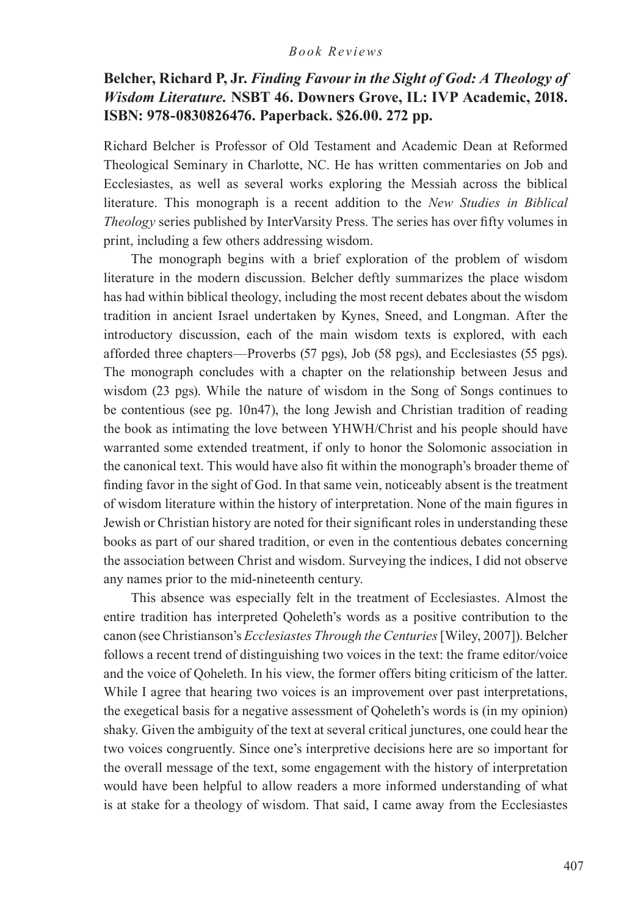# **Belcher, Richard P, Jr.** *Finding Favour in the Sight of God: A Theology of Wisdom Literature.* **NSBT 46. Downers Grove, IL: IVP Academic, 2018. ISBN: 978-0830826476. Paperback. \$26.00. 272 pp.**

Richard Belcher is Professor of Old Testament and Academic Dean at Reformed Theological Seminary in Charlotte, NC. He has written commentaries on Job and Ecclesiastes, as well as several works exploring the Messiah across the biblical literature. This monograph is a recent addition to the *New Studies in Biblical Theology* series published by InterVarsity Press. The series has over fifty volumes in print, including a few others addressing wisdom.

The monograph begins with a brief exploration of the problem of wisdom literature in the modern discussion. Belcher deftly summarizes the place wisdom has had within biblical theology, including the most recent debates about the wisdom tradition in ancient Israel undertaken by Kynes, Sneed, and Longman. After the introductory discussion, each of the main wisdom texts is explored, with each afforded three chapters—Proverbs (57 pgs), Job (58 pgs), and Ecclesiastes (55 pgs). The monograph concludes with a chapter on the relationship between Jesus and wisdom (23 pgs). While the nature of wisdom in the Song of Songs continues to be contentious (see pg. 10n47), the long Jewish and Christian tradition of reading the book as intimating the love between YHWH/Christ and his people should have warranted some extended treatment, if only to honor the Solomonic association in the canonical text. This would have also fit within the monograph's broader theme of finding favor in the sight of God. In that same vein, noticeably absent is the treatment of wisdom literature within the history of interpretation. None of the main figures in Jewish or Christian history are noted for their significant roles in understanding these books as part of our shared tradition, or even in the contentious debates concerning the association between Christ and wisdom. Surveying the indices, I did not observe any names prior to the mid-nineteenth century.

This absence was especially felt in the treatment of Ecclesiastes. Almost the entire tradition has interpreted Qoheleth's words as a positive contribution to the canon (see Christianson's *Ecclesiastes Through the Centuries* [Wiley, 2007]). Belcher follows a recent trend of distinguishing two voices in the text: the frame editor/voice and the voice of Qoheleth. In his view, the former offers biting criticism of the latter. While I agree that hearing two voices is an improvement over past interpretations, the exegetical basis for a negative assessment of Qoheleth's words is (in my opinion) shaky. Given the ambiguity of the text at several critical junctures, one could hear the two voices congruently. Since one's interpretive decisions here are so important for the overall message of the text, some engagement with the history of interpretation would have been helpful to allow readers a more informed understanding of what is at stake for a theology of wisdom. That said, I came away from the Ecclesiastes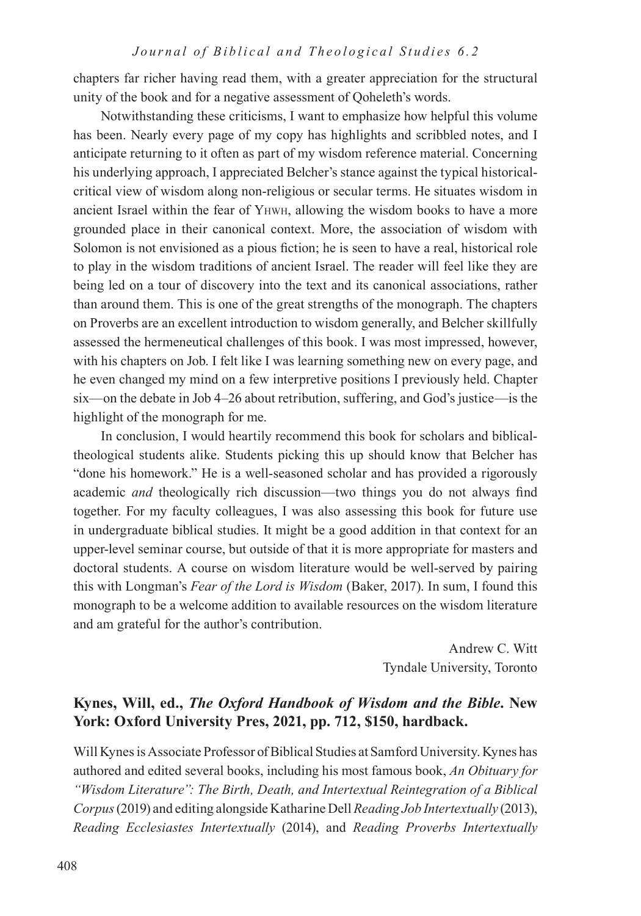chapters far richer having read them, with a greater appreciation for the structural unity of the book and for a negative assessment of Qoheleth's words.

Notwithstanding these criticisms, I want to emphasize how helpful this volume has been. Nearly every page of my copy has highlights and scribbled notes, and I anticipate returning to it often as part of my wisdom reference material. Concerning his underlying approach, I appreciated Belcher's stance against the typical historicalcritical view of wisdom along non-religious or secular terms. He situates wisdom in ancient Israel within the fear of Yhwh, allowing the wisdom books to have a more grounded place in their canonical context. More, the association of wisdom with Solomon is not envisioned as a pious fiction; he is seen to have a real, historical role to play in the wisdom traditions of ancient Israel. The reader will feel like they are being led on a tour of discovery into the text and its canonical associations, rather than around them. This is one of the great strengths of the monograph. The chapters on Proverbs are an excellent introduction to wisdom generally, and Belcher skillfully assessed the hermeneutical challenges of this book. I was most impressed, however, with his chapters on Job. I felt like I was learning something new on every page, and he even changed my mind on a few interpretive positions I previously held. Chapter six—on the debate in Job 4–26 about retribution, suffering, and God's justice—is the highlight of the monograph for me.

In conclusion, I would heartily recommend this book for scholars and biblicaltheological students alike. Students picking this up should know that Belcher has "done his homework." He is a well-seasoned scholar and has provided a rigorously academic *and* theologically rich discussion—two things you do not always find together. For my faculty colleagues, I was also assessing this book for future use in undergraduate biblical studies. It might be a good addition in that context for an upper-level seminar course, but outside of that it is more appropriate for masters and doctoral students. A course on wisdom literature would be well-served by pairing this with Longman's *Fear of the Lord is Wisdom* (Baker, 2017). In sum, I found this monograph to be a welcome addition to available resources on the wisdom literature and am grateful for the author's contribution.

> Andrew C. Witt Tyndale University, Toronto

# **Kynes, Will, ed.,** *The Oxford Handbook of Wisdom and the Bible***. New York: Oxford University Pres, 2021, pp. 712, \$150, hardback.**

Will Kynes is Associate Professor of Biblical Studies at Samford University. Kynes has authored and edited several books, including his most famous book, *An Obituary for "Wisdom Literature": The Birth, Death, and Intertextual Reintegration of a Biblical Corpus* (2019) and editing alongside Katharine Dell *Reading Job Intertextually* (2013), *Reading Ecclesiastes Intertextually* (2014), and *Reading Proverbs Intertextually*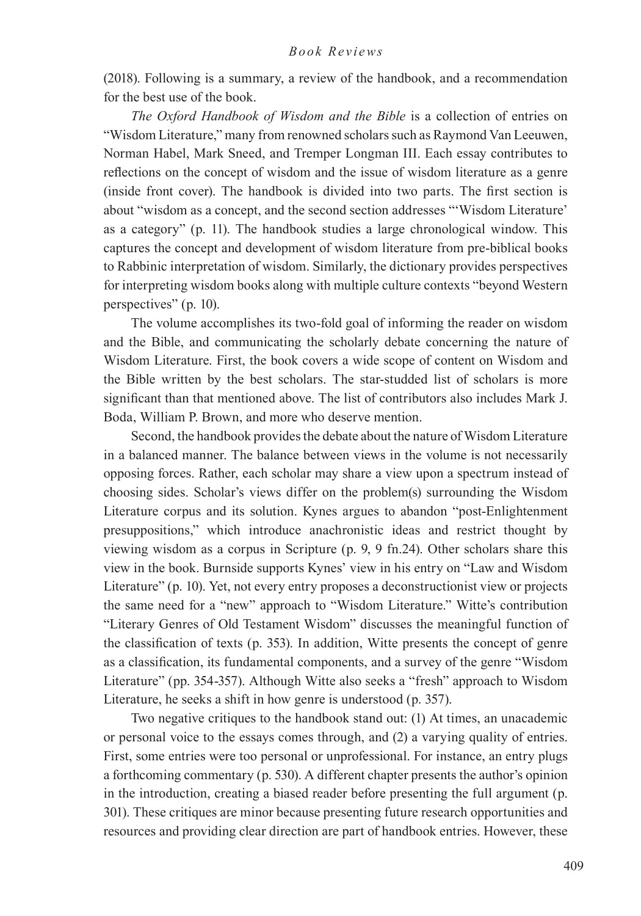(2018). Following is a summary, a review of the handbook, and a recommendation for the best use of the book.

*The Oxford Handbook of Wisdom and the Bible* is a collection of entries on "Wisdom Literature," many from renowned scholars such as Raymond Van Leeuwen, Norman Habel, Mark Sneed, and Tremper Longman III. Each essay contributes to reflections on the concept of wisdom and the issue of wisdom literature as a genre (inside front cover). The handbook is divided into two parts. The first section is about "wisdom as a concept, and the second section addresses "'Wisdom Literature' as a category" (p. 11). The handbook studies a large chronological window. This captures the concept and development of wisdom literature from pre-biblical books to Rabbinic interpretation of wisdom. Similarly, the dictionary provides perspectives for interpreting wisdom books along with multiple culture contexts "beyond Western perspectives" (p. 10).

The volume accomplishes its two-fold goal of informing the reader on wisdom and the Bible, and communicating the scholarly debate concerning the nature of Wisdom Literature. First, the book covers a wide scope of content on Wisdom and the Bible written by the best scholars. The star-studded list of scholars is more significant than that mentioned above. The list of contributors also includes Mark J. Boda, William P. Brown, and more who deserve mention.

Second, the handbook provides the debate about the nature of Wisdom Literature in a balanced manner. The balance between views in the volume is not necessarily opposing forces. Rather, each scholar may share a view upon a spectrum instead of choosing sides. Scholar's views differ on the problem(s) surrounding the Wisdom Literature corpus and its solution. Kynes argues to abandon "post-Enlightenment presuppositions," which introduce anachronistic ideas and restrict thought by viewing wisdom as a corpus in Scripture (p. 9, 9 fn.24). Other scholars share this view in the book. Burnside supports Kynes' view in his entry on "Law and Wisdom Literature" (p. 10). Yet, not every entry proposes a deconstructionist view or projects the same need for a "new" approach to "Wisdom Literature." Witte's contribution "Literary Genres of Old Testament Wisdom" discusses the meaningful function of the classification of texts (p. 353). In addition, Witte presents the concept of genre as a classification, its fundamental components, and a survey of the genre "Wisdom Literature" (pp. 354-357). Although Witte also seeks a "fresh" approach to Wisdom Literature, he seeks a shift in how genre is understood (p. 357).

Two negative critiques to the handbook stand out: (1) At times, an unacademic or personal voice to the essays comes through, and (2) a varying quality of entries. First, some entries were too personal or unprofessional. For instance, an entry plugs a forthcoming commentary (p. 530). A different chapter presents the author's opinion in the introduction, creating a biased reader before presenting the full argument (p. 301). These critiques are minor because presenting future research opportunities and resources and providing clear direction are part of handbook entries. However, these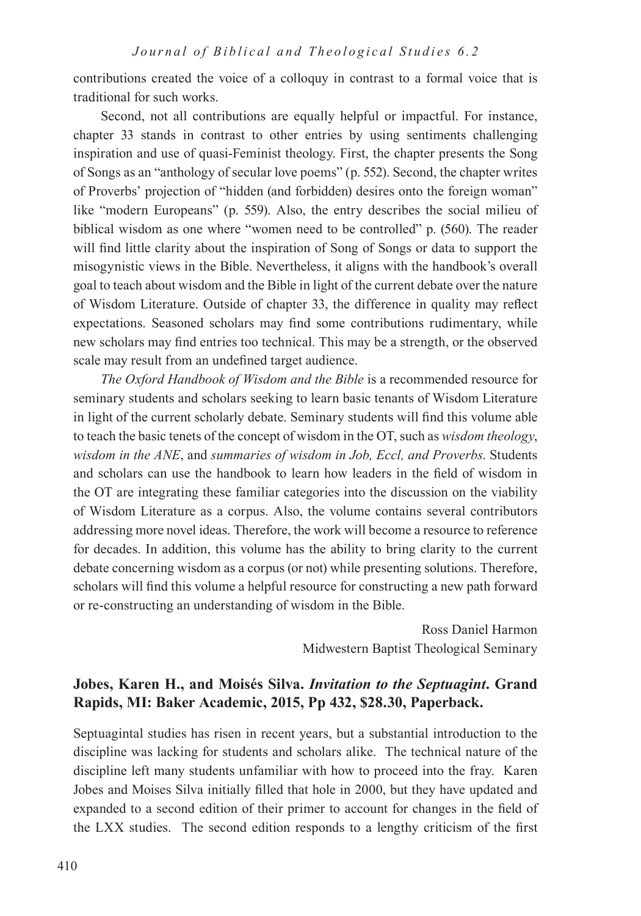contributions created the voice of a colloquy in contrast to a formal voice that is traditional for such works.

Second, not all contributions are equally helpful or impactful. For instance, chapter 33 stands in contrast to other entries by using sentiments challenging inspiration and use of quasi-Feminist theology. First, the chapter presents the Song of Songs as an "anthology of secular love poems" (p. 552). Second, the chapter writes of Proverbs' projection of "hidden (and forbidden) desires onto the foreign woman" like "modern Europeans" (p. 559). Also, the entry describes the social milieu of biblical wisdom as one where "women need to be controlled" p. (560). The reader will find little clarity about the inspiration of Song of Songs or data to support the misogynistic views in the Bible. Nevertheless, it aligns with the handbook's overall goal to teach about wisdom and the Bible in light of the current debate over the nature of Wisdom Literature. Outside of chapter 33, the difference in quality may reflect expectations. Seasoned scholars may find some contributions rudimentary, while new scholars may find entries too technical. This may be a strength, or the observed scale may result from an undefined target audience.

*The Oxford Handbook of Wisdom and the Bible* is a recommended resource for seminary students and scholars seeking to learn basic tenants of Wisdom Literature in light of the current scholarly debate. Seminary students will find this volume able to teach the basic tenets of the concept of wisdom in the OT, such as *wisdom theology*, *wisdom in the ANE*, and *summaries of wisdom in Job, Eccl, and Proverbs*. Students and scholars can use the handbook to learn how leaders in the field of wisdom in the OT are integrating these familiar categories into the discussion on the viability of Wisdom Literature as a corpus. Also, the volume contains several contributors addressing more novel ideas. Therefore, the work will become a resource to reference for decades. In addition, this volume has the ability to bring clarity to the current debate concerning wisdom as a corpus (or not) while presenting solutions. Therefore, scholars will find this volume a helpful resource for constructing a new path forward or re-constructing an understanding of wisdom in the Bible.

> Ross Daniel Harmon Midwestern Baptist Theological Seminary

# **Jobes, Karen H., and Moisés Silva.** *Invitation to the Septuagint***. Grand Rapids, MI: Baker Academic, 2015, Pp 432, \$28.30, Paperback.**

Septuagintal studies has risen in recent years, but a substantial introduction to the discipline was lacking for students and scholars alike. The technical nature of the discipline left many students unfamiliar with how to proceed into the fray. Karen Jobes and Moises Silva initially filled that hole in 2000, but they have updated and expanded to a second edition of their primer to account for changes in the field of the LXX studies. The second edition responds to a lengthy criticism of the first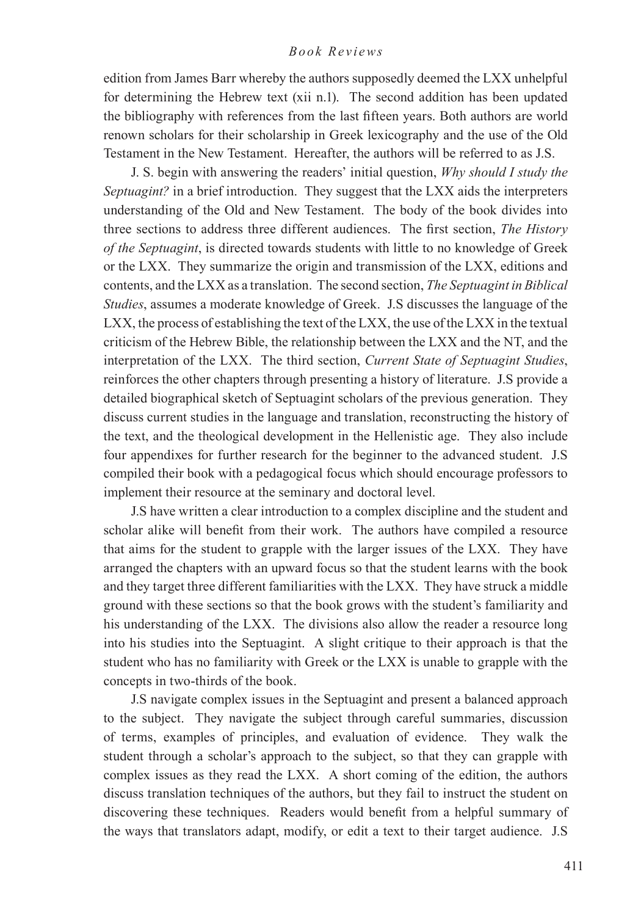edition from James Barr whereby the authors supposedly deemed the LXX unhelpful for determining the Hebrew text (xii n.1). The second addition has been updated the bibliography with references from the last fifteen years. Both authors are world renown scholars for their scholarship in Greek lexicography and the use of the Old Testament in the New Testament. Hereafter, the authors will be referred to as J.S.

J. S. begin with answering the readers' initial question, *Why should I study the Septuagint?* in a brief introduction. They suggest that the LXX aids the interpreters understanding of the Old and New Testament. The body of the book divides into three sections to address three different audiences. The first section, *The History of the Septuagint*, is directed towards students with little to no knowledge of Greek or the LXX. They summarize the origin and transmission of the LXX, editions and contents, and the LXX as a translation. The second section, *The Septuagint in Biblical Studies*, assumes a moderate knowledge of Greek. J.S discusses the language of the LXX, the process of establishing the text of the LXX, the use of the LXX in the textual criticism of the Hebrew Bible, the relationship between the LXX and the NT, and the interpretation of the LXX. The third section, *Current State of Septuagint Studies*, reinforces the other chapters through presenting a history of literature. J.S provide a detailed biographical sketch of Septuagint scholars of the previous generation. They discuss current studies in the language and translation, reconstructing the history of the text, and the theological development in the Hellenistic age. They also include four appendixes for further research for the beginner to the advanced student. J.S compiled their book with a pedagogical focus which should encourage professors to implement their resource at the seminary and doctoral level.

J.S have written a clear introduction to a complex discipline and the student and scholar alike will benefit from their work. The authors have compiled a resource that aims for the student to grapple with the larger issues of the LXX. They have arranged the chapters with an upward focus so that the student learns with the book and they target three different familiarities with the LXX. They have struck a middle ground with these sections so that the book grows with the student's familiarity and his understanding of the LXX. The divisions also allow the reader a resource long into his studies into the Septuagint. A slight critique to their approach is that the student who has no familiarity with Greek or the LXX is unable to grapple with the concepts in two-thirds of the book.

J.S navigate complex issues in the Septuagint and present a balanced approach to the subject. They navigate the subject through careful summaries, discussion of terms, examples of principles, and evaluation of evidence. They walk the student through a scholar's approach to the subject, so that they can grapple with complex issues as they read the LXX. A short coming of the edition, the authors discuss translation techniques of the authors, but they fail to instruct the student on discovering these techniques. Readers would benefit from a helpful summary of the ways that translators adapt, modify, or edit a text to their target audience. J.S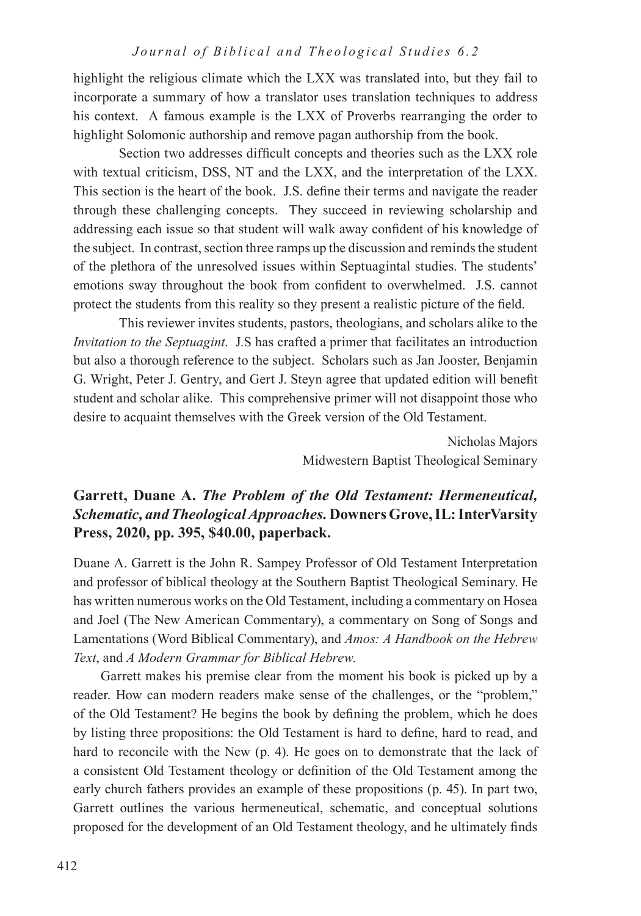highlight the religious climate which the LXX was translated into, but they fail to incorporate a summary of how a translator uses translation techniques to address his context. A famous example is the LXX of Proverbs rearranging the order to highlight Solomonic authorship and remove pagan authorship from the book.

Section two addresses difficult concepts and theories such as the LXX role with textual criticism, DSS, NT and the LXX, and the interpretation of the LXX. This section is the heart of the book. J.S. define their terms and navigate the reader through these challenging concepts. They succeed in reviewing scholarship and addressing each issue so that student will walk away confident of his knowledge of the subject. In contrast, section three ramps up the discussion and reminds the student of the plethora of the unresolved issues within Septuagintal studies. The students' emotions sway throughout the book from confident to overwhelmed. J.S. cannot protect the students from this reality so they present a realistic picture of the field.

This reviewer invites students, pastors, theologians, and scholars alike to the *Invitation to the Septuagint*. J.S has crafted a primer that facilitates an introduction but also a thorough reference to the subject. Scholars such as Jan Jooster, Benjamin G. Wright, Peter J. Gentry, and Gert J. Steyn agree that updated edition will benefit student and scholar alike. This comprehensive primer will not disappoint those who desire to acquaint themselves with the Greek version of the Old Testament.

> Nicholas Majors Midwestern Baptist Theological Seminary

# **Garrett, Duane A.** *The Problem of the Old Testament: Hermeneutical, Schematic, and Theological Approaches.* **Downers Grove, IL: InterVarsity Press, 2020, pp. 395, \$40.00, paperback.**

Duane A. Garrett is the John R. Sampey Professor of Old Testament Interpretation and professor of biblical theology at the Southern Baptist Theological Seminary. He has written numerous works on the Old Testament, including a commentary on Hosea and Joel (The New American Commentary), a commentary on Song of Songs and Lamentations (Word Biblical Commentary), and *Amos: A Handbook on the Hebrew Text*, and *A Modern Grammar for Biblical Hebrew*.

Garrett makes his premise clear from the moment his book is picked up by a reader. How can modern readers make sense of the challenges, or the "problem," of the Old Testament? He begins the book by defining the problem, which he does by listing three propositions: the Old Testament is hard to define, hard to read, and hard to reconcile with the New (p. 4). He goes on to demonstrate that the lack of a consistent Old Testament theology or definition of the Old Testament among the early church fathers provides an example of these propositions (p. 45). In part two, Garrett outlines the various hermeneutical, schematic, and conceptual solutions proposed for the development of an Old Testament theology, and he ultimately finds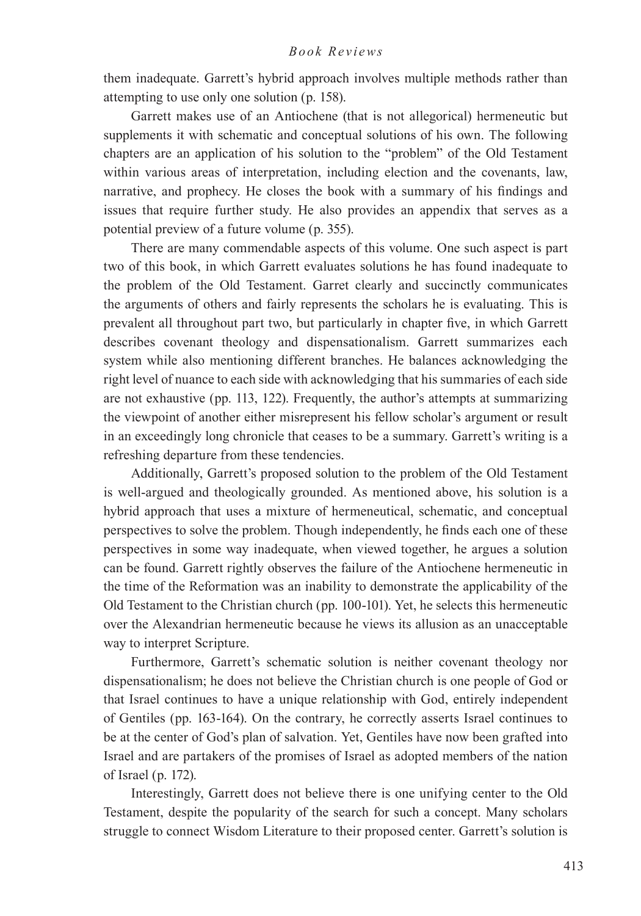them inadequate. Garrett's hybrid approach involves multiple methods rather than attempting to use only one solution (p. 158).

Garrett makes use of an Antiochene (that is not allegorical) hermeneutic but supplements it with schematic and conceptual solutions of his own. The following chapters are an application of his solution to the "problem" of the Old Testament within various areas of interpretation, including election and the covenants, law, narrative, and prophecy. He closes the book with a summary of his findings and issues that require further study. He also provides an appendix that serves as a potential preview of a future volume (p. 355).

There are many commendable aspects of this volume. One such aspect is part two of this book, in which Garrett evaluates solutions he has found inadequate to the problem of the Old Testament. Garret clearly and succinctly communicates the arguments of others and fairly represents the scholars he is evaluating. This is prevalent all throughout part two, but particularly in chapter five, in which Garrett describes covenant theology and dispensationalism. Garrett summarizes each system while also mentioning different branches. He balances acknowledging the right level of nuance to each side with acknowledging that his summaries of each side are not exhaustive (pp. 113, 122). Frequently, the author's attempts at summarizing the viewpoint of another either misrepresent his fellow scholar's argument or result in an exceedingly long chronicle that ceases to be a summary. Garrett's writing is a refreshing departure from these tendencies.

Additionally, Garrett's proposed solution to the problem of the Old Testament is well-argued and theologically grounded. As mentioned above, his solution is a hybrid approach that uses a mixture of hermeneutical, schematic, and conceptual perspectives to solve the problem. Though independently, he finds each one of these perspectives in some way inadequate, when viewed together, he argues a solution can be found. Garrett rightly observes the failure of the Antiochene hermeneutic in the time of the Reformation was an inability to demonstrate the applicability of the Old Testament to the Christian church (pp. 100-101). Yet, he selects this hermeneutic over the Alexandrian hermeneutic because he views its allusion as an unacceptable way to interpret Scripture.

Furthermore, Garrett's schematic solution is neither covenant theology nor dispensationalism; he does not believe the Christian church is one people of God or that Israel continues to have a unique relationship with God, entirely independent of Gentiles (pp. 163-164). On the contrary, he correctly asserts Israel continues to be at the center of God's plan of salvation. Yet, Gentiles have now been grafted into Israel and are partakers of the promises of Israel as adopted members of the nation of Israel (p. 172).

Interestingly, Garrett does not believe there is one unifying center to the Old Testament, despite the popularity of the search for such a concept. Many scholars struggle to connect Wisdom Literature to their proposed center. Garrett's solution is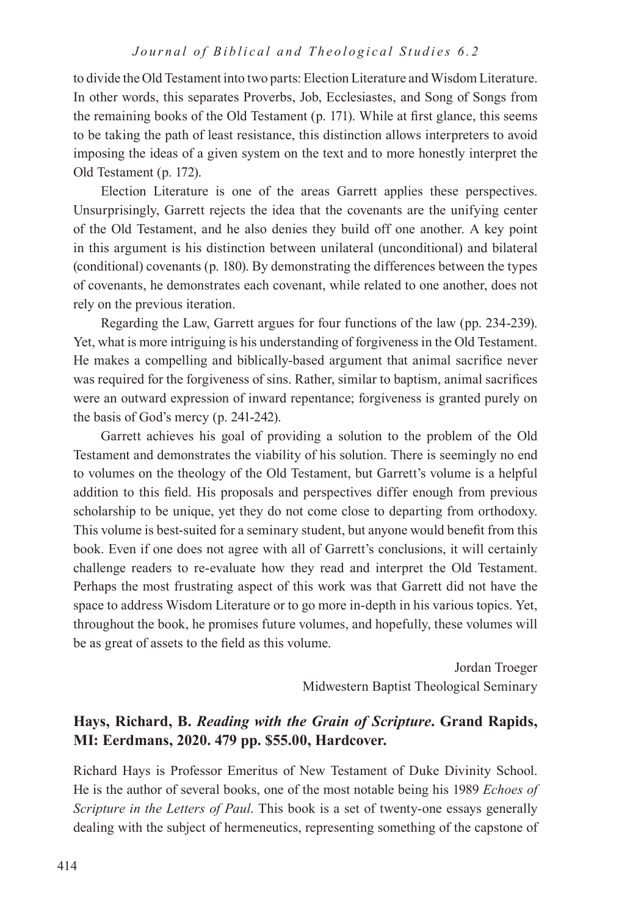to divide the Old Testament into two parts: Election Literature and Wisdom Literature. In other words, this separates Proverbs, Job, Ecclesiastes, and Song of Songs from the remaining books of the Old Testament (p. 171). While at first glance, this seems to be taking the path of least resistance, this distinction allows interpreters to avoid imposing the ideas of a given system on the text and to more honestly interpret the Old Testament (p. 172).

Election Literature is one of the areas Garrett applies these perspectives. Unsurprisingly, Garrett rejects the idea that the covenants are the unifying center of the Old Testament, and he also denies they build off one another. A key point in this argument is his distinction between unilateral (unconditional) and bilateral (conditional) covenants (p. 180). By demonstrating the differences between the types of covenants, he demonstrates each covenant, while related to one another, does not rely on the previous iteration.

Regarding the Law, Garrett argues for four functions of the law (pp. 234-239). Yet, what is more intriguing is his understanding of forgiveness in the Old Testament. He makes a compelling and biblically-based argument that animal sacrifice never was required for the forgiveness of sins. Rather, similar to baptism, animal sacrifices were an outward expression of inward repentance; forgiveness is granted purely on the basis of God's mercy (p. 241-242).

Garrett achieves his goal of providing a solution to the problem of the Old Testament and demonstrates the viability of his solution. There is seemingly no end to volumes on the theology of the Old Testament, but Garrett's volume is a helpful addition to this field. His proposals and perspectives differ enough from previous scholarship to be unique, yet they do not come close to departing from orthodoxy. This volume is best-suited for a seminary student, but anyone would benefit from this book. Even if one does not agree with all of Garrett's conclusions, it will certainly challenge readers to re-evaluate how they read and interpret the Old Testament. Perhaps the most frustrating aspect of this work was that Garrett did not have the space to address Wisdom Literature or to go more in-depth in his various topics. Yet, throughout the book, he promises future volumes, and hopefully, these volumes will be as great of assets to the field as this volume.

> Jordan Troeger Midwestern Baptist Theological Seminary

# **Hays, Richard, B.** *Reading with the Grain of Scripture***. Grand Rapids, MI: Eerdmans, 2020. 479 pp. \$55.00, Hardcover.**

Richard Hays is Professor Emeritus of New Testament of Duke Divinity School. He is the author of several books, one of the most notable being his 1989 *Echoes of Scripture in the Letters of Paul*. This book is a set of twenty-one essays generally dealing with the subject of hermeneutics, representing something of the capstone of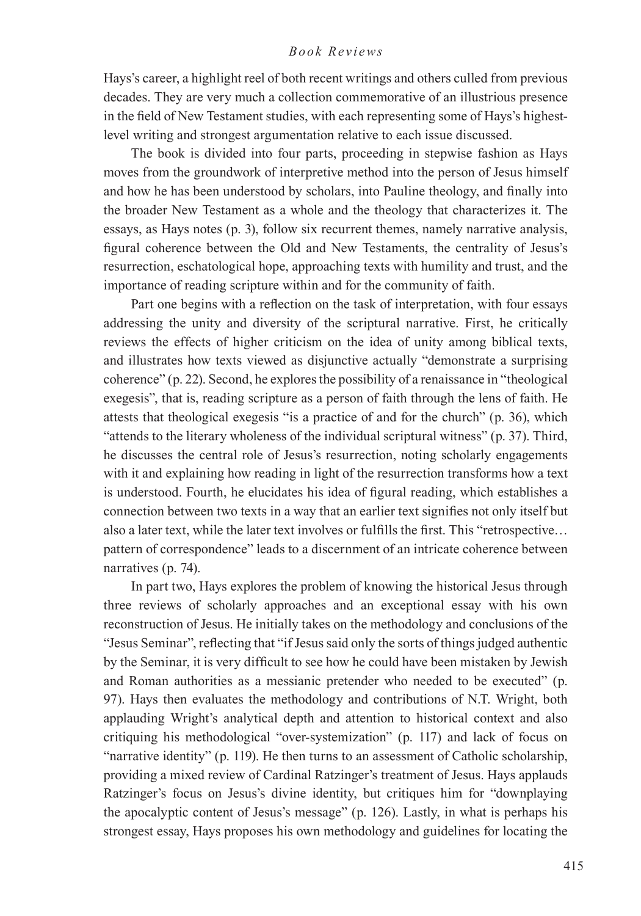Hays's career, a highlight reel of both recent writings and others culled from previous decades. They are very much a collection commemorative of an illustrious presence in the field of New Testament studies, with each representing some of Hays's highestlevel writing and strongest argumentation relative to each issue discussed.

The book is divided into four parts, proceeding in stepwise fashion as Hays moves from the groundwork of interpretive method into the person of Jesus himself and how he has been understood by scholars, into Pauline theology, and finally into the broader New Testament as a whole and the theology that characterizes it. The essays, as Hays notes (p. 3), follow six recurrent themes, namely narrative analysis, figural coherence between the Old and New Testaments, the centrality of Jesus's resurrection, eschatological hope, approaching texts with humility and trust, and the importance of reading scripture within and for the community of faith.

Part one begins with a reflection on the task of interpretation, with four essays addressing the unity and diversity of the scriptural narrative. First, he critically reviews the effects of higher criticism on the idea of unity among biblical texts, and illustrates how texts viewed as disjunctive actually "demonstrate a surprising coherence" (p. 22). Second, he explores the possibility of a renaissance in "theological exegesis", that is, reading scripture as a person of faith through the lens of faith. He attests that theological exegesis "is a practice of and for the church" (p. 36), which "attends to the literary wholeness of the individual scriptural witness" (p. 37). Third, he discusses the central role of Jesus's resurrection, noting scholarly engagements with it and explaining how reading in light of the resurrection transforms how a text is understood. Fourth, he elucidates his idea of figural reading, which establishes a connection between two texts in a way that an earlier text signifies not only itself but also a later text, while the later text involves or fulfills the first. This "retrospective… pattern of correspondence" leads to a discernment of an intricate coherence between narratives (p. 74).

In part two, Hays explores the problem of knowing the historical Jesus through three reviews of scholarly approaches and an exceptional essay with his own reconstruction of Jesus. He initially takes on the methodology and conclusions of the "Jesus Seminar", reflecting that "if Jesus said only the sorts of things judged authentic by the Seminar, it is very difficult to see how he could have been mistaken by Jewish and Roman authorities as a messianic pretender who needed to be executed" (p. 97). Hays then evaluates the methodology and contributions of N.T. Wright, both applauding Wright's analytical depth and attention to historical context and also critiquing his methodological "over-systemization" (p. 117) and lack of focus on "narrative identity" (p. 119). He then turns to an assessment of Catholic scholarship, providing a mixed review of Cardinal Ratzinger's treatment of Jesus. Hays applauds Ratzinger's focus on Jesus's divine identity, but critiques him for "downplaying the apocalyptic content of Jesus's message" (p. 126). Lastly, in what is perhaps his strongest essay, Hays proposes his own methodology and guidelines for locating the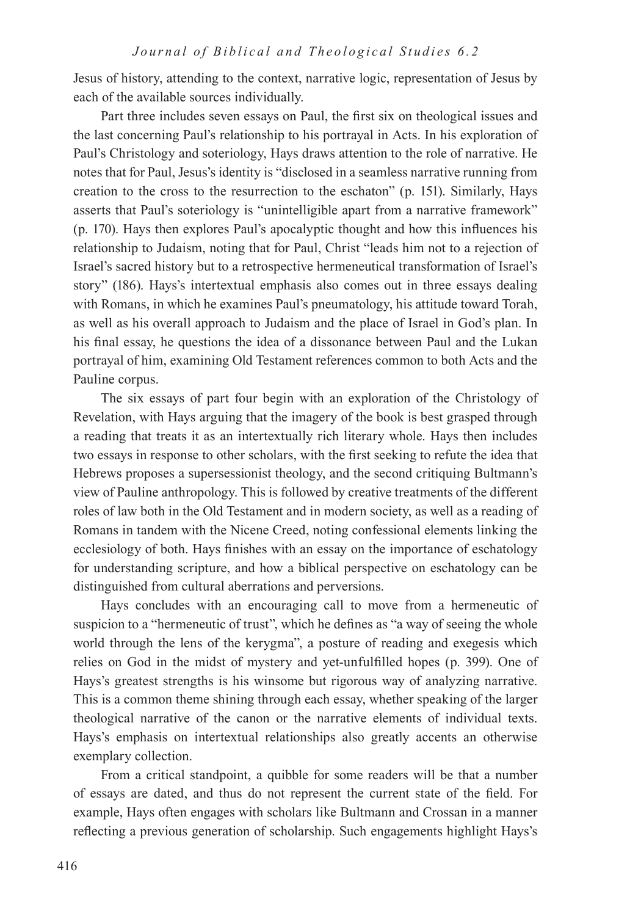Jesus of history, attending to the context, narrative logic, representation of Jesus by each of the available sources individually.

Part three includes seven essays on Paul, the first six on theological issues and the last concerning Paul's relationship to his portrayal in Acts. In his exploration of Paul's Christology and soteriology, Hays draws attention to the role of narrative. He notes that for Paul, Jesus's identity is "disclosed in a seamless narrative running from creation to the cross to the resurrection to the eschaton" (p. 151). Similarly, Hays asserts that Paul's soteriology is "unintelligible apart from a narrative framework" (p. 170). Hays then explores Paul's apocalyptic thought and how this influences his relationship to Judaism, noting that for Paul, Christ "leads him not to a rejection of Israel's sacred history but to a retrospective hermeneutical transformation of Israel's story" (186). Hays's intertextual emphasis also comes out in three essays dealing with Romans, in which he examines Paul's pneumatology, his attitude toward Torah, as well as his overall approach to Judaism and the place of Israel in God's plan. In his final essay, he questions the idea of a dissonance between Paul and the Lukan portrayal of him, examining Old Testament references common to both Acts and the Pauline corpus.

The six essays of part four begin with an exploration of the Christology of Revelation, with Hays arguing that the imagery of the book is best grasped through a reading that treats it as an intertextually rich literary whole. Hays then includes two essays in response to other scholars, with the first seeking to refute the idea that Hebrews proposes a supersessionist theology, and the second critiquing Bultmann's view of Pauline anthropology. This is followed by creative treatments of the different roles of law both in the Old Testament and in modern society, as well as a reading of Romans in tandem with the Nicene Creed, noting confessional elements linking the ecclesiology of both. Hays finishes with an essay on the importance of eschatology for understanding scripture, and how a biblical perspective on eschatology can be distinguished from cultural aberrations and perversions.

Hays concludes with an encouraging call to move from a hermeneutic of suspicion to a "hermeneutic of trust", which he defines as "a way of seeing the whole world through the lens of the kerygma", a posture of reading and exegesis which relies on God in the midst of mystery and yet-unfulfilled hopes (p. 399). One of Hays's greatest strengths is his winsome but rigorous way of analyzing narrative. This is a common theme shining through each essay, whether speaking of the larger theological narrative of the canon or the narrative elements of individual texts. Hays's emphasis on intertextual relationships also greatly accents an otherwise exemplary collection.

From a critical standpoint, a quibble for some readers will be that a number of essays are dated, and thus do not represent the current state of the field. For example, Hays often engages with scholars like Bultmann and Crossan in a manner reflecting a previous generation of scholarship. Such engagements highlight Hays's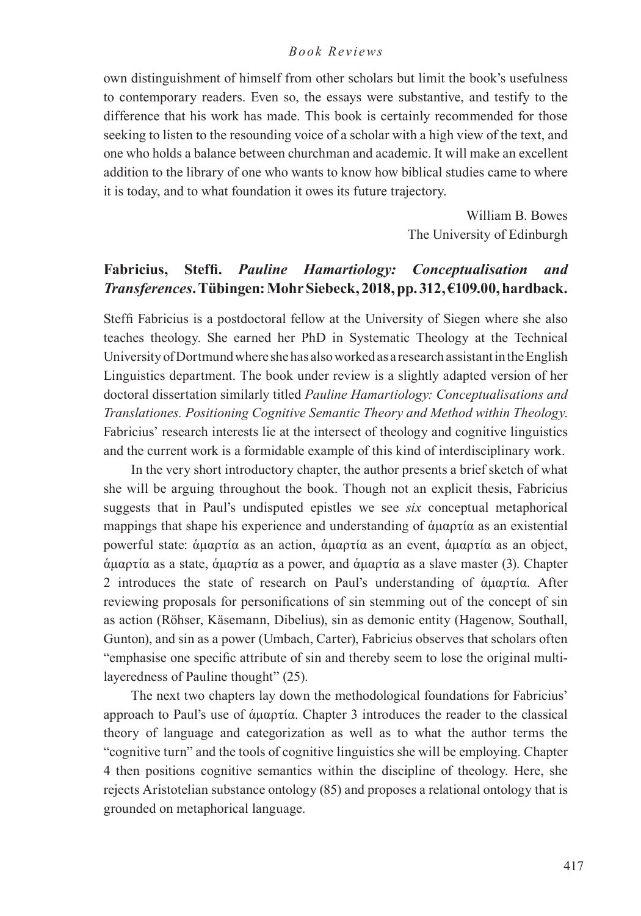own distinguishment of himself from other scholars but limit the book's usefulness to contemporary readers. Even so, the essays were substantive, and testify to the difference that his work has made. This book is certainly recommended for those seeking to listen to the resounding voice of a scholar with a high view of the text, and one who holds a balance between churchman and academic. It will make an excellent addition to the library of one who wants to know how biblical studies came to where it is today, and to what foundation it owes its future trajectory.

> William B. Bowes The University of Edinburgh

## **Fabricius, Steffi.** *Pauline Hamartiology: Conceptualisation and Transferences***. Tübingen: Mohr Siebeck, 2018, pp. 312, €109.00, hardback.**

Steffi Fabricius is a postdoctoral fellow at the University of Siegen where she also teaches theology. She earned her PhD in Systematic Theology at the Technical University of Dortmund where she has also worked as a research assistant in the English Linguistics department. The book under review is a slightly adapted version of her doctoral dissertation similarly titled *Pauline Hamartiology: Conceptualisations and Translationes. Positioning Cognitive Semantic Theory and Method within Theology*. Fabricius' research interests lie at the intersect of theology and cognitive linguistics and the current work is a formidable example of this kind of interdisciplinary work.

In the very short introductory chapter, the author presents a brief sketch of what she will be arguing throughout the book. Though not an explicit thesis, Fabricius suggests that in Paul's undisputed epistles we see *six* conceptual metaphorical mappings that shape his experience and understanding of ἁμαρτία as an existential powerful state: ἁμαρτία as an action, ἁμαρτία as an event, ἁμαρτία as an object, ἁμαρτία as a state, ἁμαρτία as a power, and ἁμαρτία as a slave master (3). Chapter 2 introduces the state of research on Paul's understanding of ἁμαρτία. After reviewing proposals for personifications of sin stemming out of the concept of sin as action (Röhser, Käsemann, Dibelius), sin as demonic entity (Hagenow, Southall, Gunton), and sin as a power (Umbach, Carter), Fabricius observes that scholars often "emphasise one specific attribute of sin and thereby seem to lose the original multilayeredness of Pauline thought" (25).

The next two chapters lay down the methodological foundations for Fabricius' approach to Paul's use of ἁμαρτία. Chapter 3 introduces the reader to the classical theory of language and categorization as well as to what the author terms the "cognitive turn" and the tools of cognitive linguistics she will be employing. Chapter 4 then positions cognitive semantics within the discipline of theology. Here, she rejects Aristotelian substance ontology (85) and proposes a relational ontology that is grounded on metaphorical language.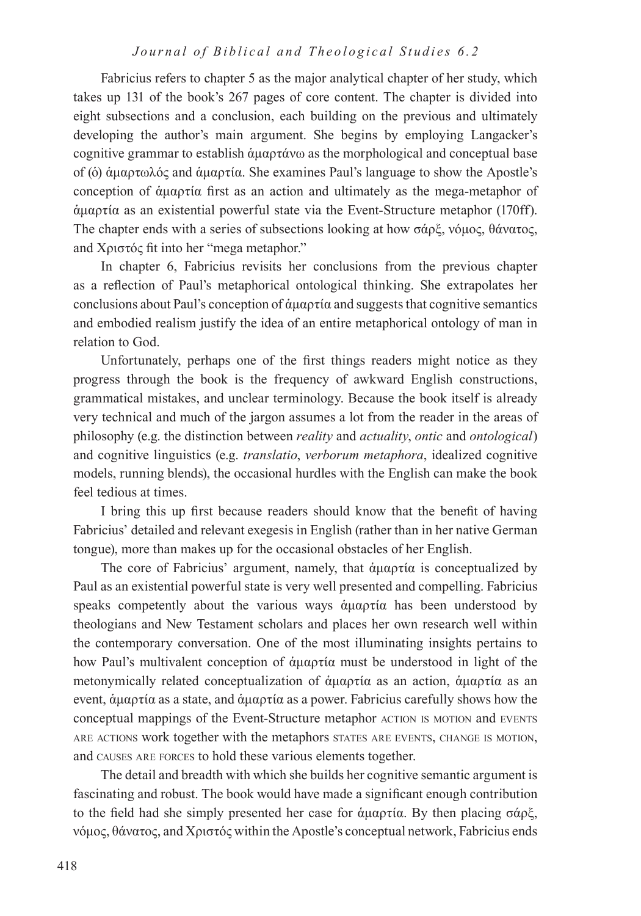Fabricius refers to chapter 5 as the major analytical chapter of her study, which takes up 131 of the book's 267 pages of core content. The chapter is divided into eight subsections and a conclusion, each building on the previous and ultimately developing the author's main argument. She begins by employing Langacker's cognitive grammar to establish ἁμαρτάνω as the morphological and conceptual base of (ὁ) ἁμαρτωλός and ἁμαρτία. She examines Paul's language to show the Apostle's conception of ἁμαρτία first as an action and ultimately as the mega-metaphor of ἁμαρτία as an existential powerful state via the Event-Structure metaphor (170ff). The chapter ends with a series of subsections looking at how σάρξ, νόμος, θάνατος, and Χριστός fit into her "mega metaphor."

In chapter 6, Fabricius revisits her conclusions from the previous chapter as a reflection of Paul's metaphorical ontological thinking. She extrapolates her conclusions about Paul's conception of ἁμαρτία and suggests that cognitive semantics and embodied realism justify the idea of an entire metaphorical ontology of man in relation to God.

Unfortunately, perhaps one of the first things readers might notice as they progress through the book is the frequency of awkward English constructions, grammatical mistakes, and unclear terminology. Because the book itself is already very technical and much of the jargon assumes a lot from the reader in the areas of philosophy (e.g. the distinction between *reality* and *actuality*, *ontic* and *ontological*) and cognitive linguistics (e.g. *translatio*, *verborum metaphora*, idealized cognitive models, running blends), the occasional hurdles with the English can make the book feel tedious at times.

I bring this up first because readers should know that the benefit of having Fabricius' detailed and relevant exegesis in English (rather than in her native German tongue), more than makes up for the occasional obstacles of her English.

The core of Fabricius' argument, namely, that ἁμαρτία is conceptualized by Paul as an existential powerful state is very well presented and compelling. Fabricius speaks competently about the various ways ἁμαρτία has been understood by theologians and New Testament scholars and places her own research well within the contemporary conversation. One of the most illuminating insights pertains to how Paul's multivalent conception of ἁμαρτία must be understood in light of the metonymically related conceptualization of ἁμαρτία as an action, ἁμαρτία as an event, ἁμαρτία as a state, and ἁμαρτία as a power. Fabricius carefully shows how the conceptual mappings of the Event-Structure metaphor ACTION IS MOTION and EVENTS are actions work together with the metaphors states are events, change is motion, and causes are forces to hold these various elements together.

The detail and breadth with which she builds her cognitive semantic argument is fascinating and robust. The book would have made a significant enough contribution to the field had she simply presented her case for ἁμαρτία. By then placing σάρξ, νόμος, θάνατος, and Χριστός within the Apostle's conceptual network, Fabricius ends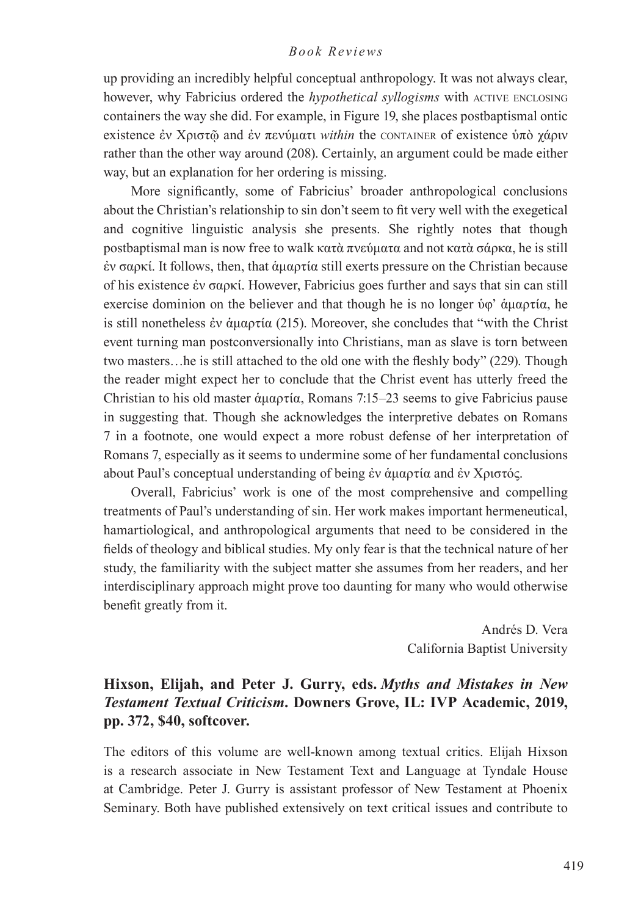up providing an incredibly helpful conceptual anthropology. It was not always clear, however, why Fabricius ordered the *hypothetical syllogisms* with ACTIVE ENCLOSING containers the way she did. For example, in Figure 19, she places postbaptismal ontic existence ἐν Χριστῷ and ἐν πενύματι *within* the CONTAINER of existence ὑπὸ χάριν rather than the other way around (208). Certainly, an argument could be made either way, but an explanation for her ordering is missing.

More significantly, some of Fabricius' broader anthropological conclusions about the Christian's relationship to sin don't seem to fit very well with the exegetical and cognitive linguistic analysis she presents. She rightly notes that though postbaptismal man is now free to walk κατὰ πνεύματα and not κατὰ σάρκα, he is still ἐν σαρκί. It follows, then, that ἁμαρτία still exerts pressure on the Christian because of his existence ἐν σαρκί. However, Fabricius goes further and says that sin can still exercise dominion on the believer and that though he is no longer ὑφ' ἁμαρτία, he is still nonetheless ἐν ἁμαρτία (215). Moreover, she concludes that "with the Christ event turning man postconversionally into Christians, man as slave is torn between two masters…he is still attached to the old one with the fleshly body" (229). Though the reader might expect her to conclude that the Christ event has utterly freed the Christian to his old master ἁμαρτία, Romans 7:15–23 seems to give Fabricius pause in suggesting that. Though she acknowledges the interpretive debates on Romans 7 in a footnote, one would expect a more robust defense of her interpretation of Romans 7, especially as it seems to undermine some of her fundamental conclusions about Paul's conceptual understanding of being ἐν ἁμαρτία and ἐν Χριστός.

Overall, Fabricius' work is one of the most comprehensive and compelling treatments of Paul's understanding of sin. Her work makes important hermeneutical, hamartiological, and anthropological arguments that need to be considered in the fields of theology and biblical studies. My only fear is that the technical nature of her study, the familiarity with the subject matter she assumes from her readers, and her interdisciplinary approach might prove too daunting for many who would otherwise benefit greatly from it.

> Andrés D. Vera California Baptist University

# **Hixson, Elijah, and Peter J. Gurry, eds.** *Myths and Mistakes in New Testament Textual Criticism***. Downers Grove, IL: IVP Academic, 2019, pp. 372, \$40, softcover.**

The editors of this volume are well-known among textual critics. Elijah Hixson is a research associate in New Testament Text and Language at Tyndale House at Cambridge. Peter J. Gurry is assistant professor of New Testament at Phoenix Seminary. Both have published extensively on text critical issues and contribute to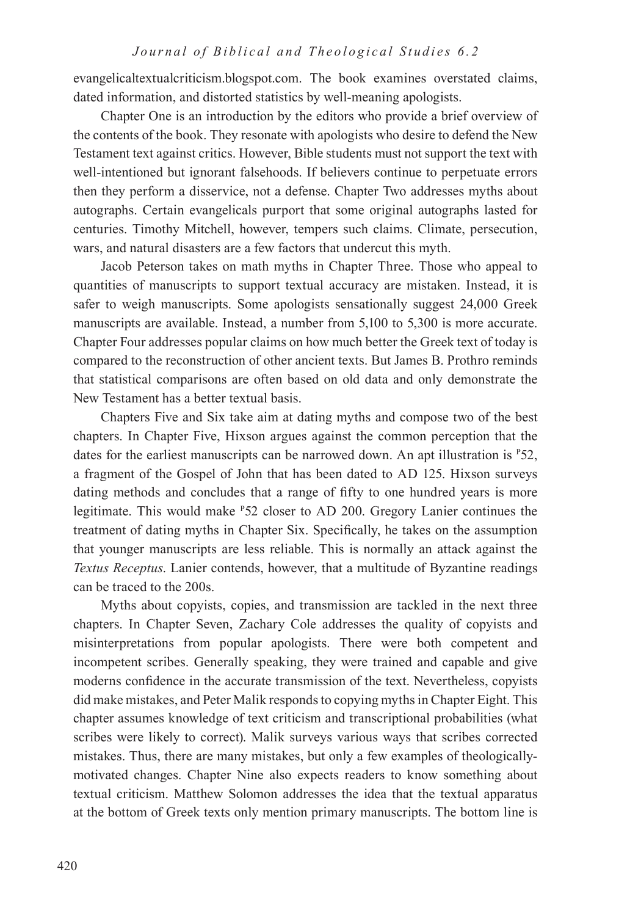evangelicaltextualcriticism.blogspot.com. The book examines overstated claims, dated information, and distorted statistics by well-meaning apologists.

Chapter One is an introduction by the editors who provide a brief overview of the contents of the book. They resonate with apologists who desire to defend the New Testament text against critics. However, Bible students must not support the text with well-intentioned but ignorant falsehoods. If believers continue to perpetuate errors then they perform a disservice, not a defense. Chapter Two addresses myths about autographs. Certain evangelicals purport that some original autographs lasted for centuries. Timothy Mitchell, however, tempers such claims. Climate, persecution, wars, and natural disasters are a few factors that undercut this myth.

Jacob Peterson takes on math myths in Chapter Three. Those who appeal to quantities of manuscripts to support textual accuracy are mistaken. Instead, it is safer to weigh manuscripts. Some apologists sensationally suggest 24,000 Greek manuscripts are available. Instead, a number from 5,100 to 5,300 is more accurate. Chapter Four addresses popular claims on how much better the Greek text of today is compared to the reconstruction of other ancient texts. But James B. Prothro reminds that statistical comparisons are often based on old data and only demonstrate the New Testament has a better textual basis.

Chapters Five and Six take aim at dating myths and compose two of the best chapters. In Chapter Five, Hixson argues against the common perception that the dates for the earliest manuscripts can be narrowed down. An apt illustration is <sup>P</sup>52, a fragment of the Gospel of John that has been dated to AD 125. Hixson surveys dating methods and concludes that a range of fifty to one hundred years is more legitimate. This would make <sup>P</sup>52 closer to AD 200. Gregory Lanier continues the treatment of dating myths in Chapter Six. Specifically, he takes on the assumption that younger manuscripts are less reliable. This is normally an attack against the *Textus Receptus*. Lanier contends, however, that a multitude of Byzantine readings can be traced to the 200s.

Myths about copyists, copies, and transmission are tackled in the next three chapters. In Chapter Seven, Zachary Cole addresses the quality of copyists and misinterpretations from popular apologists. There were both competent and incompetent scribes. Generally speaking, they were trained and capable and give moderns confidence in the accurate transmission of the text. Nevertheless, copyists did make mistakes, and Peter Malik responds to copying myths in Chapter Eight. This chapter assumes knowledge of text criticism and transcriptional probabilities (what scribes were likely to correct). Malik surveys various ways that scribes corrected mistakes. Thus, there are many mistakes, but only a few examples of theologicallymotivated changes. Chapter Nine also expects readers to know something about textual criticism. Matthew Solomon addresses the idea that the textual apparatus at the bottom of Greek texts only mention primary manuscripts. The bottom line is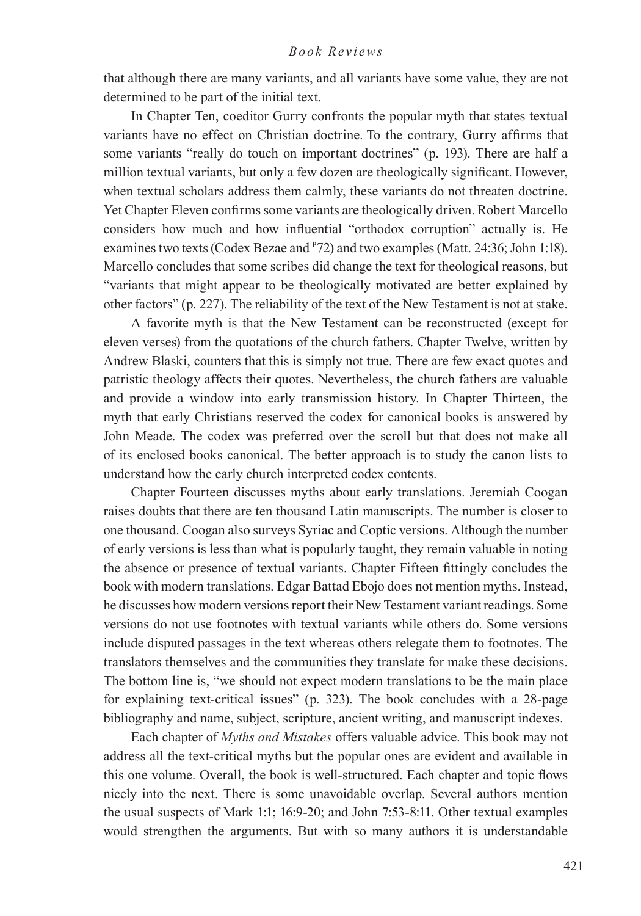that although there are many variants, and all variants have some value, they are not determined to be part of the initial text.

In Chapter Ten, coeditor Gurry confronts the popular myth that states textual variants have no effect on Christian doctrine. To the contrary, Gurry affirms that some variants "really do touch on important doctrines" (p. 193). There are half a million textual variants, but only a few dozen are theologically significant. However, when textual scholars address them calmly, these variants do not threaten doctrine. Yet Chapter Eleven confirms some variants are theologically driven. Robert Marcello considers how much and how influential "orthodox corruption" actually is. He examines two texts (Codex Bezae and <sup>P</sup>72) and two examples (Matt. 24:36; John 1:18). Marcello concludes that some scribes did change the text for theological reasons, but "variants that might appear to be theologically motivated are better explained by other factors" (p. 227). The reliability of the text of the New Testament is not at stake.

A favorite myth is that the New Testament can be reconstructed (except for eleven verses) from the quotations of the church fathers. Chapter Twelve, written by Andrew Blaski, counters that this is simply not true. There are few exact quotes and patristic theology affects their quotes. Nevertheless, the church fathers are valuable and provide a window into early transmission history. In Chapter Thirteen, the myth that early Christians reserved the codex for canonical books is answered by John Meade. The codex was preferred over the scroll but that does not make all of its enclosed books canonical. The better approach is to study the canon lists to understand how the early church interpreted codex contents.

Chapter Fourteen discusses myths about early translations. Jeremiah Coogan raises doubts that there are ten thousand Latin manuscripts. The number is closer to one thousand. Coogan also surveys Syriac and Coptic versions. Although the number of early versions is less than what is popularly taught, they remain valuable in noting the absence or presence of textual variants. Chapter Fifteen fittingly concludes the book with modern translations. Edgar Battad Ebojo does not mention myths. Instead, he discusses how modern versions report their New Testament variant readings. Some versions do not use footnotes with textual variants while others do. Some versions include disputed passages in the text whereas others relegate them to footnotes. The translators themselves and the communities they translate for make these decisions. The bottom line is, "we should not expect modern translations to be the main place for explaining text-critical issues" (p. 323). The book concludes with a 28-page bibliography and name, subject, scripture, ancient writing, and manuscript indexes.

Each chapter of *Myths and Mistakes* offers valuable advice. This book may not address all the text-critical myths but the popular ones are evident and available in this one volume. Overall, the book is well-structured. Each chapter and topic flows nicely into the next. There is some unavoidable overlap. Several authors mention the usual suspects of Mark 1:1; 16:9-20; and John 7:53-8:11. Other textual examples would strengthen the arguments. But with so many authors it is understandable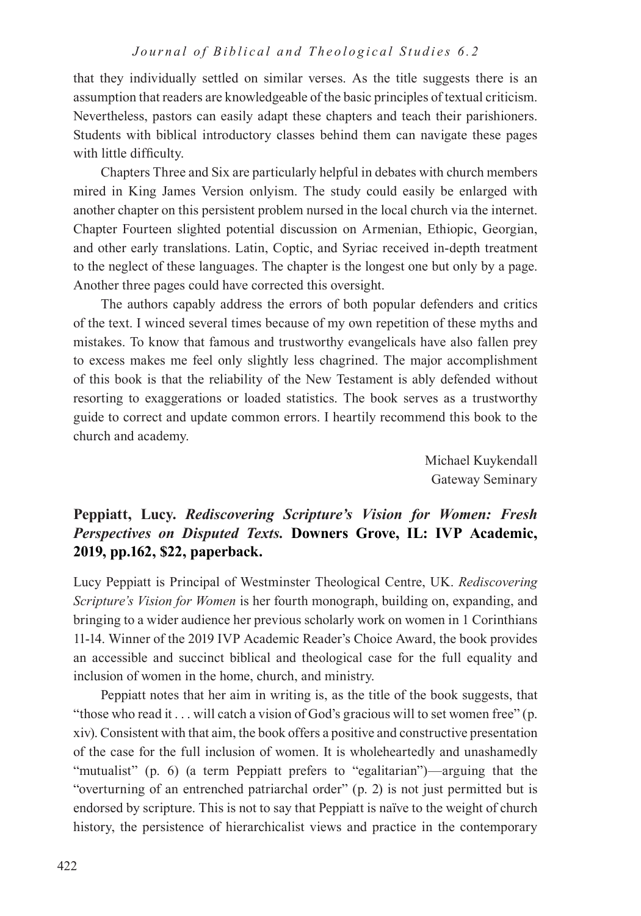that they individually settled on similar verses. As the title suggests there is an assumption that readers are knowledgeable of the basic principles of textual criticism. Nevertheless, pastors can easily adapt these chapters and teach their parishioners. Students with biblical introductory classes behind them can navigate these pages with little difficulty.

Chapters Three and Six are particularly helpful in debates with church members mired in King James Version onlyism. The study could easily be enlarged with another chapter on this persistent problem nursed in the local church via the internet. Chapter Fourteen slighted potential discussion on Armenian, Ethiopic, Georgian, and other early translations. Latin, Coptic, and Syriac received in-depth treatment to the neglect of these languages. The chapter is the longest one but only by a page. Another three pages could have corrected this oversight.

The authors capably address the errors of both popular defenders and critics of the text. I winced several times because of my own repetition of these myths and mistakes. To know that famous and trustworthy evangelicals have also fallen prey to excess makes me feel only slightly less chagrined. The major accomplishment of this book is that the reliability of the New Testament is ably defended without resorting to exaggerations or loaded statistics. The book serves as a trustworthy guide to correct and update common errors. I heartily recommend this book to the church and academy.

> Michael Kuykendall Gateway Seminary

# **Peppiatt, Lucy.** *Rediscovering Scripture's Vision for Women: Fresh Perspectives on Disputed Texts.* **Downers Grove, IL: IVP Academic, 2019, pp.162, \$22, paperback.**

Lucy Peppiatt is Principal of Westminster Theological Centre, UK. *Rediscovering Scripture's Vision for Women* is her fourth monograph, building on, expanding, and bringing to a wider audience her previous scholarly work on women in 1 Corinthians 11-14. Winner of the 2019 IVP Academic Reader's Choice Award, the book provides an accessible and succinct biblical and theological case for the full equality and inclusion of women in the home, church, and ministry.

Peppiatt notes that her aim in writing is, as the title of the book suggests, that "those who read it . . . will catch a vision of God's gracious will to set women free" (p. xiv). Consistent with that aim, the book offers a positive and constructive presentation of the case for the full inclusion of women. It is wholeheartedly and unashamedly "mutualist" (p. 6) (a term Peppiatt prefers to "egalitarian")—arguing that the "overturning of an entrenched patriarchal order" (p. 2) is not just permitted but is endorsed by scripture. This is not to say that Peppiatt is naïve to the weight of church history, the persistence of hierarchicalist views and practice in the contemporary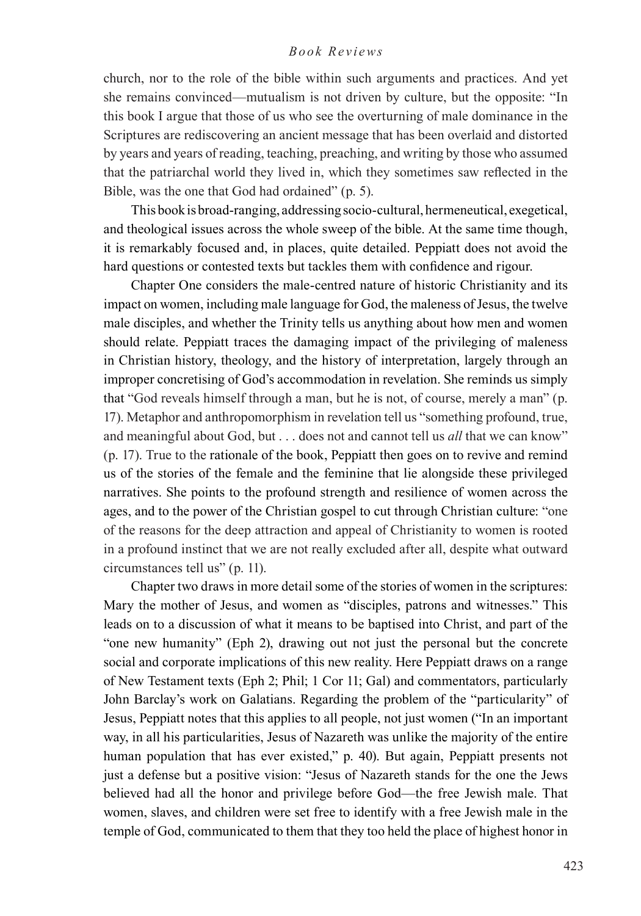church, nor to the role of the bible within such arguments and practices. And yet she remains convinced—mutualism is not driven by culture, but the opposite: "In this book I argue that those of us who see the overturning of male dominance in the Scriptures are rediscovering an ancient message that has been overlaid and distorted by years and years of reading, teaching, preaching, and writing by those who assumed that the patriarchal world they lived in, which they sometimes saw reflected in the Bible, was the one that God had ordained" (p. 5).

This book is broad-ranging, addressing socio-cultural, hermeneutical, exegetical, and theological issues across the whole sweep of the bible. At the same time though, it is remarkably focused and, in places, quite detailed. Peppiatt does not avoid the hard questions or contested texts but tackles them with confidence and rigour.

Chapter One considers the male-centred nature of historic Christianity and its impact on women, including male language for God, the maleness of Jesus, the twelve male disciples, and whether the Trinity tells us anything about how men and women should relate. Peppiatt traces the damaging impact of the privileging of maleness in Christian history, theology, and the history of interpretation, largely through an improper concretising of God's accommodation in revelation. She reminds us simply that "God reveals himself through a man, but he is not, of course, merely a man" (p. 17). Metaphor and anthropomorphism in revelation tell us "something profound, true, and meaningful about God, but . . . does not and cannot tell us *all* that we can know" (p. 17). True to the rationale of the book, Peppiatt then goes on to revive and remind us of the stories of the female and the feminine that lie alongside these privileged narratives. She points to the profound strength and resilience of women across the ages, and to the power of the Christian gospel to cut through Christian culture: "one of the reasons for the deep attraction and appeal of Christianity to women is rooted in a profound instinct that we are not really excluded after all, despite what outward circumstances tell us" (p. 11).

Chapter two draws in more detail some of the stories of women in the scriptures: Mary the mother of Jesus, and women as "disciples, patrons and witnesses." This leads on to a discussion of what it means to be baptised into Christ, and part of the "one new humanity" (Eph 2), drawing out not just the personal but the concrete social and corporate implications of this new reality. Here Peppiatt draws on a range of New Testament texts (Eph 2; Phil; 1 Cor 11; Gal) and commentators, particularly John Barclay's work on Galatians. Regarding the problem of the "particularity" of Jesus, Peppiatt notes that this applies to all people, not just women ("In an important way, in all his particularities, Jesus of Nazareth was unlike the majority of the entire human population that has ever existed," p. 40). But again, Peppiatt presents not just a defense but a positive vision: "Jesus of Nazareth stands for the one the Jews believed had all the honor and privilege before God—the free Jewish male. That women, slaves, and children were set free to identify with a free Jewish male in the temple of God, communicated to them that they too held the place of highest honor in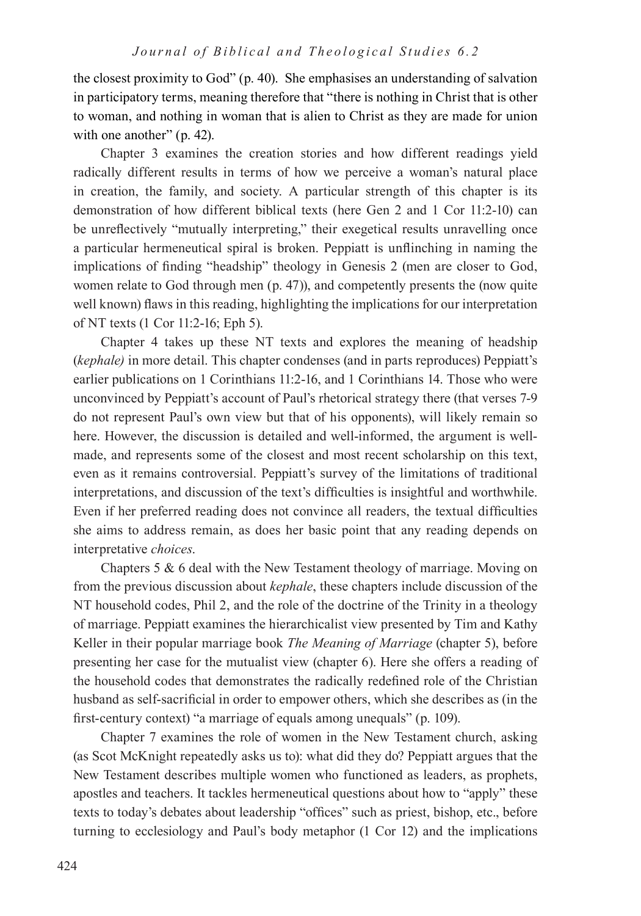the closest proximity to God" (p. 40). She emphasises an understanding of salvation in participatory terms, meaning therefore that "there is nothing in Christ that is other to woman, and nothing in woman that is alien to Christ as they are made for union with one another" (p. 42).

Chapter 3 examines the creation stories and how different readings yield radically different results in terms of how we perceive a woman's natural place in creation, the family, and society. A particular strength of this chapter is its demonstration of how different biblical texts (here Gen 2 and 1 Cor 11:2-10) can be unreflectively "mutually interpreting," their exegetical results unravelling once a particular hermeneutical spiral is broken. Peppiatt is unflinching in naming the implications of finding "headship" theology in Genesis 2 (men are closer to God, women relate to God through men (p. 47)), and competently presents the (now quite well known) flaws in this reading, highlighting the implications for our interpretation of NT texts (1 Cor 11:2-16; Eph 5).

Chapter 4 takes up these NT texts and explores the meaning of headship (*kephale)* in more detail. This chapter condenses (and in parts reproduces) Peppiatt's earlier publications on 1 Corinthians 11:2-16, and 1 Corinthians 14. Those who were unconvinced by Peppiatt's account of Paul's rhetorical strategy there (that verses 7-9 do not represent Paul's own view but that of his opponents), will likely remain so here. However, the discussion is detailed and well-informed, the argument is wellmade, and represents some of the closest and most recent scholarship on this text, even as it remains controversial. Peppiatt's survey of the limitations of traditional interpretations, and discussion of the text's difficulties is insightful and worthwhile. Even if her preferred reading does not convince all readers, the textual difficulties she aims to address remain, as does her basic point that any reading depends on interpretative *choices*.

Chapters 5 & 6 deal with the New Testament theology of marriage. Moving on from the previous discussion about *kephale*, these chapters include discussion of the NT household codes, Phil 2, and the role of the doctrine of the Trinity in a theology of marriage. Peppiatt examines the hierarchicalist view presented by Tim and Kathy Keller in their popular marriage book *The Meaning of Marriage* (chapter 5), before presenting her case for the mutualist view (chapter 6). Here she offers a reading of the household codes that demonstrates the radically redefined role of the Christian husband as self-sacrificial in order to empower others, which she describes as (in the first-century context) "a marriage of equals among unequals" (p. 109).

Chapter 7 examines the role of women in the New Testament church, asking (as Scot McKnight repeatedly asks us to): what did they do? Peppiatt argues that the New Testament describes multiple women who functioned as leaders, as prophets, apostles and teachers. It tackles hermeneutical questions about how to "apply" these texts to today's debates about leadership "offices" such as priest, bishop, etc., before turning to ecclesiology and Paul's body metaphor (1 Cor 12) and the implications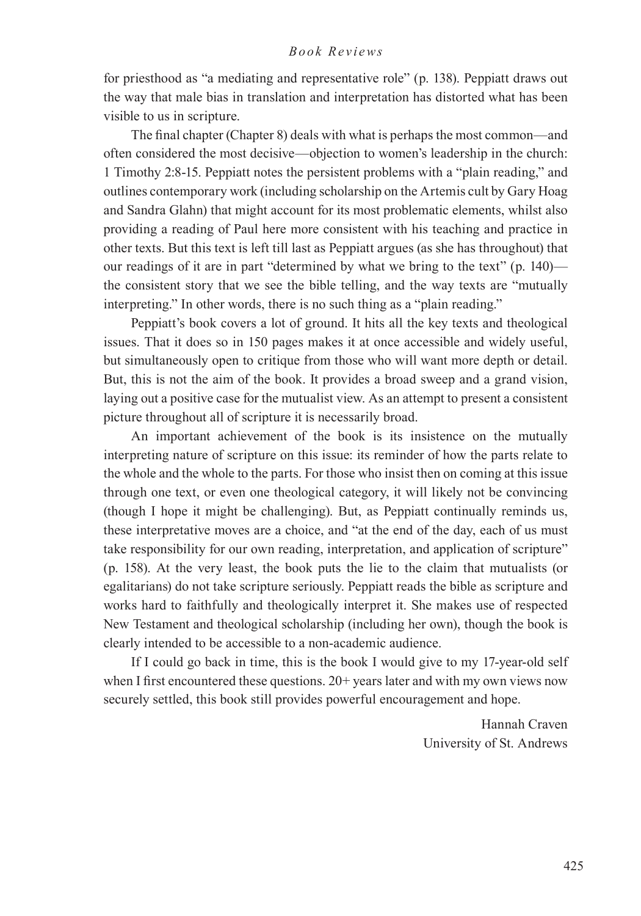for priesthood as "a mediating and representative role" (p. 138). Peppiatt draws out the way that male bias in translation and interpretation has distorted what has been visible to us in scripture.

The final chapter (Chapter 8) deals with what is perhaps the most common—and often considered the most decisive—objection to women's leadership in the church: 1 Timothy 2:8-15. Peppiatt notes the persistent problems with a "plain reading," and outlines contemporary work (including scholarship on the Artemis cult by Gary Hoag and Sandra Glahn) that might account for its most problematic elements, whilst also providing a reading of Paul here more consistent with his teaching and practice in other texts. But this text is left till last as Peppiatt argues (as she has throughout) that our readings of it are in part "determined by what we bring to the text" (p. 140) the consistent story that we see the bible telling, and the way texts are "mutually interpreting." In other words, there is no such thing as a "plain reading."

Peppiatt's book covers a lot of ground. It hits all the key texts and theological issues. That it does so in 150 pages makes it at once accessible and widely useful, but simultaneously open to critique from those who will want more depth or detail. But, this is not the aim of the book. It provides a broad sweep and a grand vision, laying out a positive case for the mutualist view. As an attempt to present a consistent picture throughout all of scripture it is necessarily broad.

An important achievement of the book is its insistence on the mutually interpreting nature of scripture on this issue: its reminder of how the parts relate to the whole and the whole to the parts. For those who insist then on coming at this issue through one text, or even one theological category, it will likely not be convincing (though I hope it might be challenging). But, as Peppiatt continually reminds us, these interpretative moves are a choice, and "at the end of the day, each of us must take responsibility for our own reading, interpretation, and application of scripture" (p. 158). At the very least, the book puts the lie to the claim that mutualists (or egalitarians) do not take scripture seriously. Peppiatt reads the bible as scripture and works hard to faithfully and theologically interpret it. She makes use of respected New Testament and theological scholarship (including her own), though the book is clearly intended to be accessible to a non-academic audience.

If I could go back in time, this is the book I would give to my 17-year-old self when I first encountered these questions. 20+ years later and with my own views now securely settled, this book still provides powerful encouragement and hope.

> Hannah Craven University of St. Andrews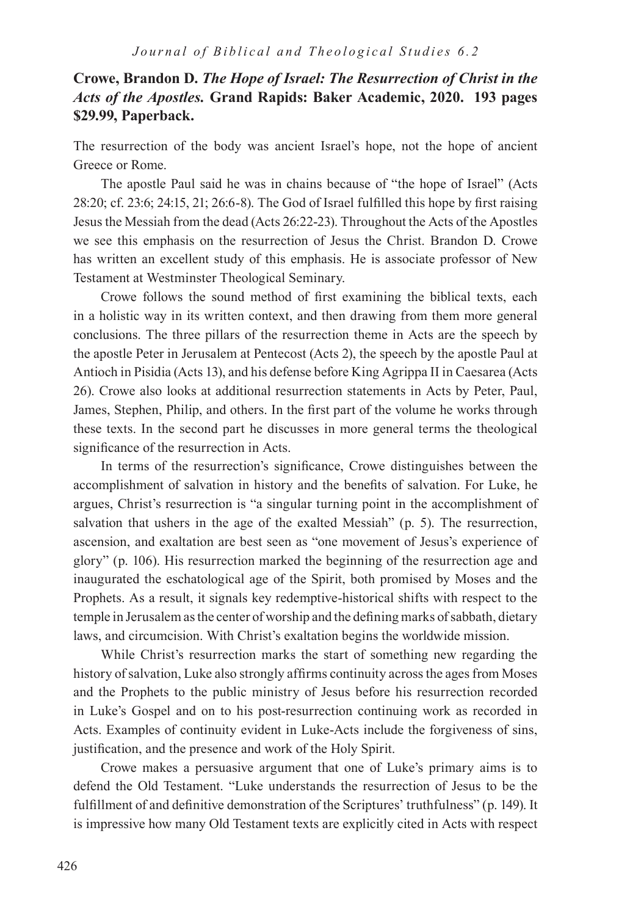# **Crowe, Brandon D.** *The Hope of Israel: The Resurrection of Christ in the Acts of the Apostles.* **Grand Rapids: Baker Academic, 2020. 193 pages \$29.99, Paperback.**

The resurrection of the body was ancient Israel's hope, not the hope of ancient Greece or Rome.

The apostle Paul said he was in chains because of "the hope of Israel" (Acts 28:20; cf. 23:6; 24:15, 21; 26:6-8). The God of Israel fulfilled this hope by first raising Jesus the Messiah from the dead (Acts 26:22-23). Throughout the Acts of the Apostles we see this emphasis on the resurrection of Jesus the Christ. Brandon D. Crowe has written an excellent study of this emphasis. He is associate professor of New Testament at Westminster Theological Seminary.

Crowe follows the sound method of first examining the biblical texts, each in a holistic way in its written context, and then drawing from them more general conclusions. The three pillars of the resurrection theme in Acts are the speech by the apostle Peter in Jerusalem at Pentecost (Acts 2), the speech by the apostle Paul at Antioch in Pisidia (Acts 13), and his defense before King Agrippa II in Caesarea (Acts 26). Crowe also looks at additional resurrection statements in Acts by Peter, Paul, James, Stephen, Philip, and others. In the first part of the volume he works through these texts. In the second part he discusses in more general terms the theological significance of the resurrection in Acts.

In terms of the resurrection's significance, Crowe distinguishes between the accomplishment of salvation in history and the benefits of salvation. For Luke, he argues, Christ's resurrection is "a singular turning point in the accomplishment of salvation that ushers in the age of the exalted Messiah" (p. 5). The resurrection, ascension, and exaltation are best seen as "one movement of Jesus's experience of glory" (p. 106). His resurrection marked the beginning of the resurrection age and inaugurated the eschatological age of the Spirit, both promised by Moses and the Prophets. As a result, it signals key redemptive-historical shifts with respect to the temple in Jerusalem as the center of worship and the defining marks of sabbath, dietary laws, and circumcision. With Christ's exaltation begins the worldwide mission.

While Christ's resurrection marks the start of something new regarding the history of salvation, Luke also strongly affirms continuity across the ages from Moses and the Prophets to the public ministry of Jesus before his resurrection recorded in Luke's Gospel and on to his post-resurrection continuing work as recorded in Acts. Examples of continuity evident in Luke-Acts include the forgiveness of sins, justification, and the presence and work of the Holy Spirit.

Crowe makes a persuasive argument that one of Luke's primary aims is to defend the Old Testament. "Luke understands the resurrection of Jesus to be the fulfillment of and definitive demonstration of the Scriptures' truthfulness" (p. 149). It is impressive how many Old Testament texts are explicitly cited in Acts with respect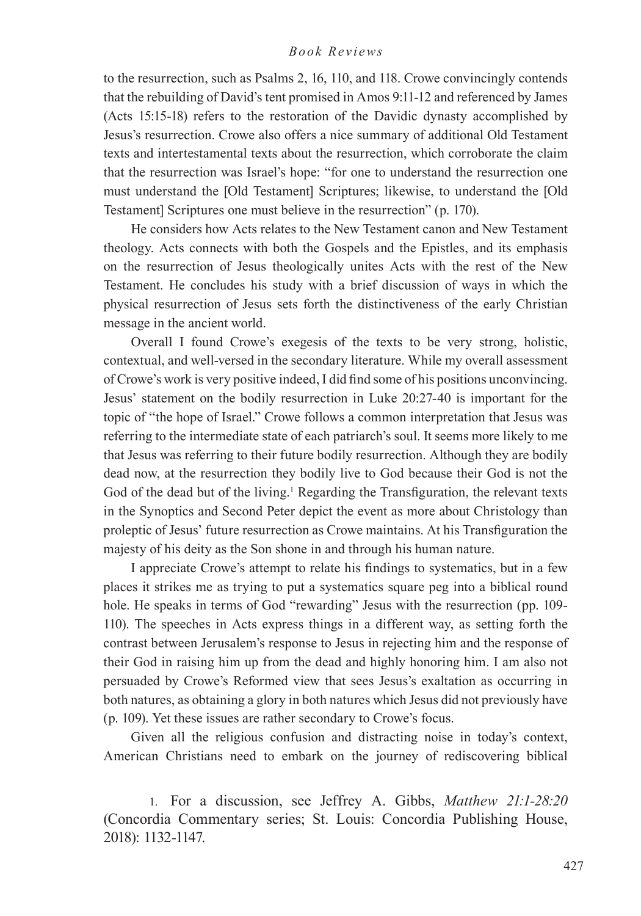to the resurrection, such as Psalms 2, 16, 110, and 118. Crowe convincingly contends that the rebuilding of David's tent promised in Amos 9:11-12 and referenced by James (Acts 15:15-18) refers to the restoration of the Davidic dynasty accomplished by Jesus's resurrection. Crowe also offers a nice summary of additional Old Testament texts and intertestamental texts about the resurrection, which corroborate the claim that the resurrection was Israel's hope: "for one to understand the resurrection one must understand the [Old Testament] Scriptures; likewise, to understand the [Old Testament] Scriptures one must believe in the resurrection" (p. 170).

He considers how Acts relates to the New Testament canon and New Testament theology. Acts connects with both the Gospels and the Epistles, and its emphasis on the resurrection of Jesus theologically unites Acts with the rest of the New Testament. He concludes his study with a brief discussion of ways in which the physical resurrection of Jesus sets forth the distinctiveness of the early Christian message in the ancient world.

Overall I found Crowe's exegesis of the texts to be very strong, holistic, contextual, and well-versed in the secondary literature. While my overall assessment of Crowe's work is very positive indeed, I did find some of his positions unconvincing. Jesus' statement on the bodily resurrection in Luke 20:27-40 is important for the topic of "the hope of Israel." Crowe follows a common interpretation that Jesus was referring to the intermediate state of each patriarch's soul. It seems more likely to me that Jesus was referring to their future bodily resurrection. Although they are bodily dead now, at the resurrection they bodily live to God because their God is not the God of the dead but of the living.<sup>1</sup> Regarding the Transfiguration, the relevant texts in the Synoptics and Second Peter depict the event as more about Christology than proleptic of Jesus' future resurrection as Crowe maintains. At his Transfiguration the majesty of his deity as the Son shone in and through his human nature.

I appreciate Crowe's attempt to relate his findings to systematics, but in a few places it strikes me as trying to put a systematics square peg into a biblical round hole. He speaks in terms of God "rewarding" Jesus with the resurrection (pp. 109-110). The speeches in Acts express things in a different way, as setting forth the contrast between Jerusalem's response to Jesus in rejecting him and the response of their God in raising him up from the dead and highly honoring him. I am also not persuaded by Crowe's Reformed view that sees Jesus's exaltation as occurring in both natures, as obtaining a glory in both natures which Jesus did not previously have (p. 109). Yet these issues are rather secondary to Crowe's focus.

Given all the religious confusion and distracting noise in today's context, American Christians need to embark on the journey of rediscovering biblical

1. For a discussion, see Jeffrey A. Gibbs, *Matthew 21:1-28:20* (Concordia Commentary series; St. Louis: Concordia Publishing House, 2018): 1132-1147.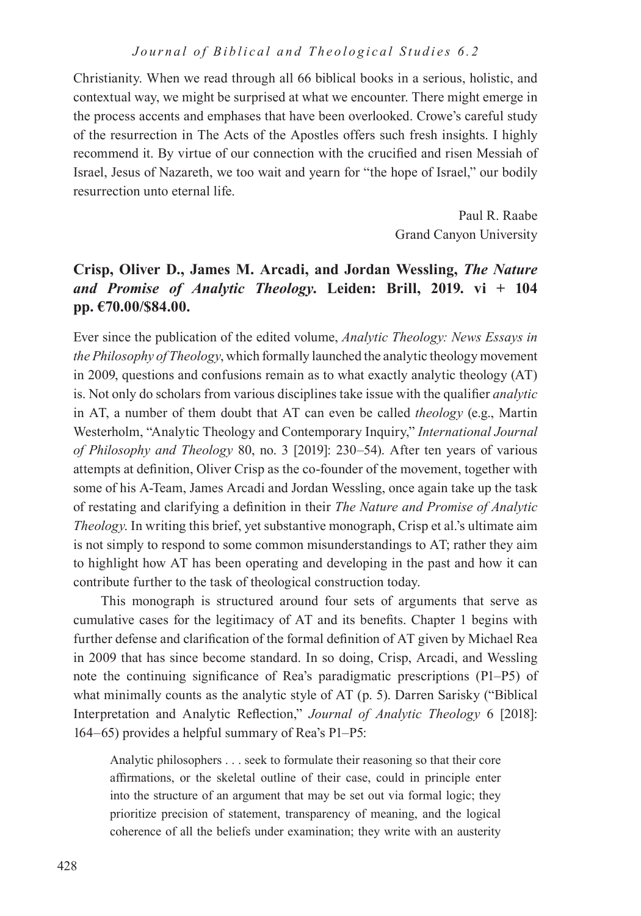Christianity. When we read through all 66 biblical books in a serious, holistic, and contextual way, we might be surprised at what we encounter. There might emerge in the process accents and emphases that have been overlooked. Crowe's careful study of the resurrection in The Acts of the Apostles offers such fresh insights. I highly recommend it. By virtue of our connection with the crucified and risen Messiah of Israel, Jesus of Nazareth, we too wait and yearn for "the hope of Israel," our bodily resurrection unto eternal life.

> Paul R. Raabe Grand Canyon University

# **Crisp, Oliver D., James M. Arcadi, and Jordan Wessling,** *The Nature and Promise of Analytic Theology***. Leiden: Brill, 2019. vi + 104 pp. €70.00/\$84.00.**

Ever since the publication of the edited volume, *Analytic Theology: News Essays in the Philosophy of Theology*, which formally launched the analytic theology movement in 2009, questions and confusions remain as to what exactly analytic theology (AT) is. Not only do scholars from various disciplines take issue with the qualifier *analytic* in AT, a number of them doubt that AT can even be called *theology* (e.g., Martin Westerholm, "Analytic Theology and Contemporary Inquiry," *International Journal of Philosophy and Theology* 80, no. 3 [2019]: 230–54). After ten years of various attempts at definition, Oliver Crisp as the co-founder of the movement, together with some of his A-Team, James Arcadi and Jordan Wessling, once again take up the task of restating and clarifying a definition in their *The Nature and Promise of Analytic Theology*. In writing this brief, yet substantive monograph, Crisp et al.'s ultimate aim is not simply to respond to some common misunderstandings to AT; rather they aim to highlight how AT has been operating and developing in the past and how it can contribute further to the task of theological construction today.

This monograph is structured around four sets of arguments that serve as cumulative cases for the legitimacy of AT and its benefits. Chapter 1 begins with further defense and clarification of the formal definition of AT given by Michael Rea in 2009 that has since become standard. In so doing, Crisp, Arcadi, and Wessling note the continuing significance of Rea's paradigmatic prescriptions (P1–P5) of what minimally counts as the analytic style of AT (p. 5). Darren Sarisky ("Biblical Interpretation and Analytic Reflection," *Journal of Analytic Theology* 6 [2018]: 164–65) provides a helpful summary of Rea's P1–P5:

Analytic philosophers . . . seek to formulate their reasoning so that their core affirmations, or the skeletal outline of their case, could in principle enter into the structure of an argument that may be set out via formal logic; they prioritize precision of statement, transparency of meaning, and the logical coherence of all the beliefs under examination; they write with an austerity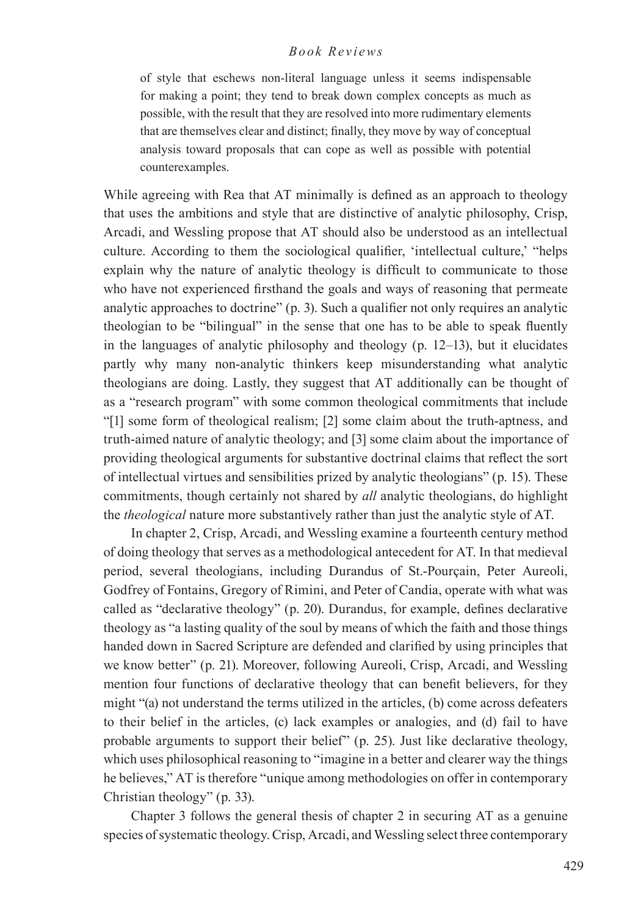of style that eschews non-literal language unless it seems indispensable for making a point; they tend to break down complex concepts as much as possible, with the result that they are resolved into more rudimentary elements that are themselves clear and distinct; finally, they move by way of conceptual analysis toward proposals that can cope as well as possible with potential counterexamples.

While agreeing with Rea that AT minimally is defined as an approach to theology that uses the ambitions and style that are distinctive of analytic philosophy, Crisp, Arcadi, and Wessling propose that AT should also be understood as an intellectual culture. According to them the sociological qualifier, 'intellectual culture,' "helps explain why the nature of analytic theology is difficult to communicate to those who have not experienced firsthand the goals and ways of reasoning that permeate analytic approaches to doctrine" (p. 3). Such a qualifier not only requires an analytic theologian to be "bilingual" in the sense that one has to be able to speak fluently in the languages of analytic philosophy and theology (p. 12–13), but it elucidates partly why many non-analytic thinkers keep misunderstanding what analytic theologians are doing. Lastly, they suggest that AT additionally can be thought of as a "research program" with some common theological commitments that include "[1] some form of theological realism; [2] some claim about the truth-aptness, and truth-aimed nature of analytic theology; and [3] some claim about the importance of providing theological arguments for substantive doctrinal claims that reflect the sort of intellectual virtues and sensibilities prized by analytic theologians" (p. 15). These commitments, though certainly not shared by *all* analytic theologians, do highlight the *theological* nature more substantively rather than just the analytic style of AT.

In chapter 2, Crisp, Arcadi, and Wessling examine a fourteenth century method of doing theology that serves as a methodological antecedent for AT. In that medieval period, several theologians, including Durandus of St.-Pourçain, Peter Aureoli, Godfrey of Fontains, Gregory of Rimini, and Peter of Candia, operate with what was called as "declarative theology" (p. 20). Durandus, for example, defines declarative theology as "a lasting quality of the soul by means of which the faith and those things handed down in Sacred Scripture are defended and clarified by using principles that we know better" (p. 21). Moreover, following Aureoli, Crisp, Arcadi, and Wessling mention four functions of declarative theology that can benefit believers, for they might "(a) not understand the terms utilized in the articles, (b) come across defeaters to their belief in the articles, (c) lack examples or analogies, and (d) fail to have probable arguments to support their belief" (p. 25). Just like declarative theology, which uses philosophical reasoning to "imagine in a better and clearer way the things he believes," AT is therefore "unique among methodologies on offer in contemporary Christian theology" (p. 33).

Chapter 3 follows the general thesis of chapter 2 in securing AT as a genuine species of systematic theology. Crisp, Arcadi, and Wessling select three contemporary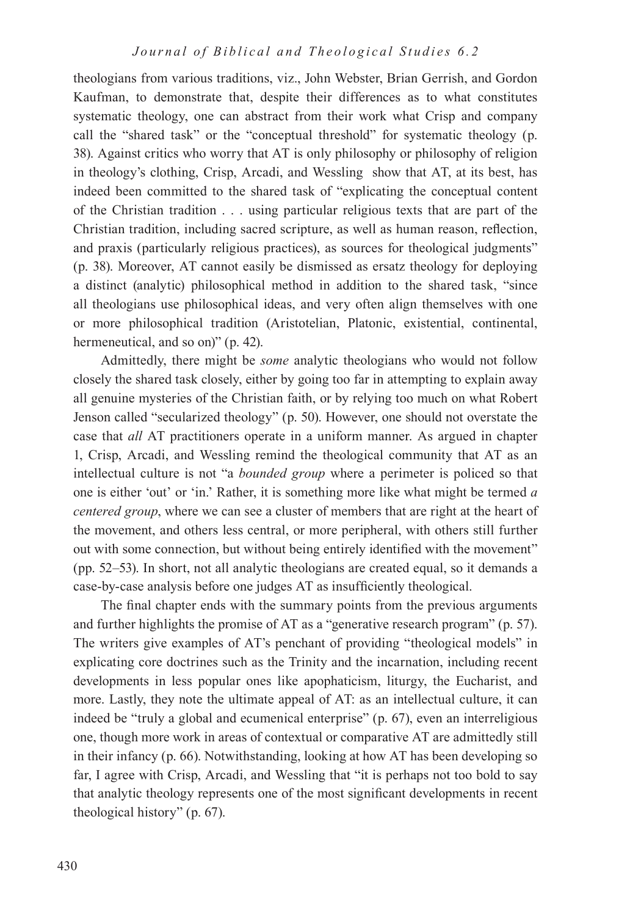theologians from various traditions, viz., John Webster, Brian Gerrish, and Gordon Kaufman, to demonstrate that, despite their differences as to what constitutes systematic theology, one can abstract from their work what Crisp and company call the "shared task" or the "conceptual threshold" for systematic theology (p. 38). Against critics who worry that AT is only philosophy or philosophy of religion in theology's clothing, Crisp, Arcadi, and Wessling show that AT, at its best, has indeed been committed to the shared task of "explicating the conceptual content of the Christian tradition . . . using particular religious texts that are part of the Christian tradition, including sacred scripture, as well as human reason, reflection, and praxis (particularly religious practices), as sources for theological judgments" (p. 38). Moreover, AT cannot easily be dismissed as ersatz theology for deploying a distinct (analytic) philosophical method in addition to the shared task, "since all theologians use philosophical ideas, and very often align themselves with one or more philosophical tradition (Aristotelian, Platonic, existential, continental, hermeneutical, and so on)" (p. 42).

Admittedly, there might be *some* analytic theologians who would not follow closely the shared task closely, either by going too far in attempting to explain away all genuine mysteries of the Christian faith, or by relying too much on what Robert Jenson called "secularized theology" (p. 50). However, one should not overstate the case that *all* AT practitioners operate in a uniform manner. As argued in chapter 1, Crisp, Arcadi, and Wessling remind the theological community that AT as an intellectual culture is not "a *bounded group* where a perimeter is policed so that one is either 'out' or 'in.' Rather, it is something more like what might be termed *a centered group*, where we can see a cluster of members that are right at the heart of the movement, and others less central, or more peripheral, with others still further out with some connection, but without being entirely identified with the movement" (pp. 52–53). In short, not all analytic theologians are created equal, so it demands a case-by-case analysis before one judges AT as insufficiently theological.

The final chapter ends with the summary points from the previous arguments and further highlights the promise of AT as a "generative research program" (p. 57). The writers give examples of AT's penchant of providing "theological models" in explicating core doctrines such as the Trinity and the incarnation, including recent developments in less popular ones like apophaticism, liturgy, the Eucharist, and more. Lastly, they note the ultimate appeal of AT: as an intellectual culture, it can indeed be "truly a global and ecumenical enterprise" (p. 67), even an interreligious one, though more work in areas of contextual or comparative AT are admittedly still in their infancy (p. 66). Notwithstanding, looking at how AT has been developing so far, I agree with Crisp, Arcadi, and Wessling that "it is perhaps not too bold to say that analytic theology represents one of the most significant developments in recent theological history" (p. 67).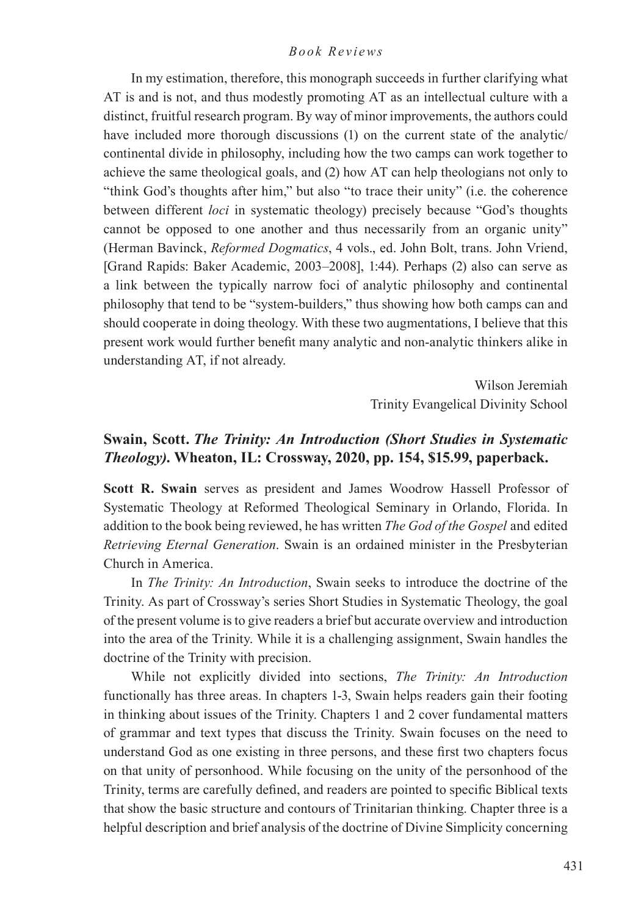In my estimation, therefore, this monograph succeeds in further clarifying what AT is and is not, and thus modestly promoting AT as an intellectual culture with a distinct, fruitful research program. By way of minor improvements, the authors could have included more thorough discussions (1) on the current state of the analytic/ continental divide in philosophy, including how the two camps can work together to achieve the same theological goals, and (2) how AT can help theologians not only to "think God's thoughts after him," but also "to trace their unity" (i.e. the coherence between different *loci* in systematic theology) precisely because "God's thoughts cannot be opposed to one another and thus necessarily from an organic unity" (Herman Bavinck, *Reformed Dogmatics*, 4 vols., ed. John Bolt, trans. John Vriend, [Grand Rapids: Baker Academic, 2003–2008], 1:44). Perhaps (2) also can serve as a link between the typically narrow foci of analytic philosophy and continental philosophy that tend to be "system-builders," thus showing how both camps can and should cooperate in doing theology. With these two augmentations, I believe that this present work would further benefit many analytic and non-analytic thinkers alike in understanding AT, if not already.

> Wilson Jeremiah Trinity Evangelical Divinity School

## **Swain, Scott.** *The Trinity: An Introduction (Short Studies in Systematic Theology)***. Wheaton, IL: Crossway, 2020, pp. 154, \$15.99, paperback.**

**Scott R. Swain** serves as president and James Woodrow Hassell Professor of Systematic Theology at Reformed Theological Seminary in Orlando, Florida. In addition to the book being reviewed, he has written *The God of the Gospel* and edited *Retrieving Eternal Generation*. Swain is an ordained minister in the Presbyterian Church in America.

In *The Trinity: An Introduction*, Swain seeks to introduce the doctrine of the Trinity. As part of Crossway's series Short Studies in Systematic Theology, the goal of the present volume is to give readers a brief but accurate overview and introduction into the area of the Trinity. While it is a challenging assignment, Swain handles the doctrine of the Trinity with precision.

While not explicitly divided into sections, *The Trinity: An Introduction* functionally has three areas. In chapters 1-3, Swain helps readers gain their footing in thinking about issues of the Trinity. Chapters 1 and 2 cover fundamental matters of grammar and text types that discuss the Trinity. Swain focuses on the need to understand God as one existing in three persons, and these first two chapters focus on that unity of personhood. While focusing on the unity of the personhood of the Trinity, terms are carefully defined, and readers are pointed to specific Biblical texts that show the basic structure and contours of Trinitarian thinking. Chapter three is a helpful description and brief analysis of the doctrine of Divine Simplicity concerning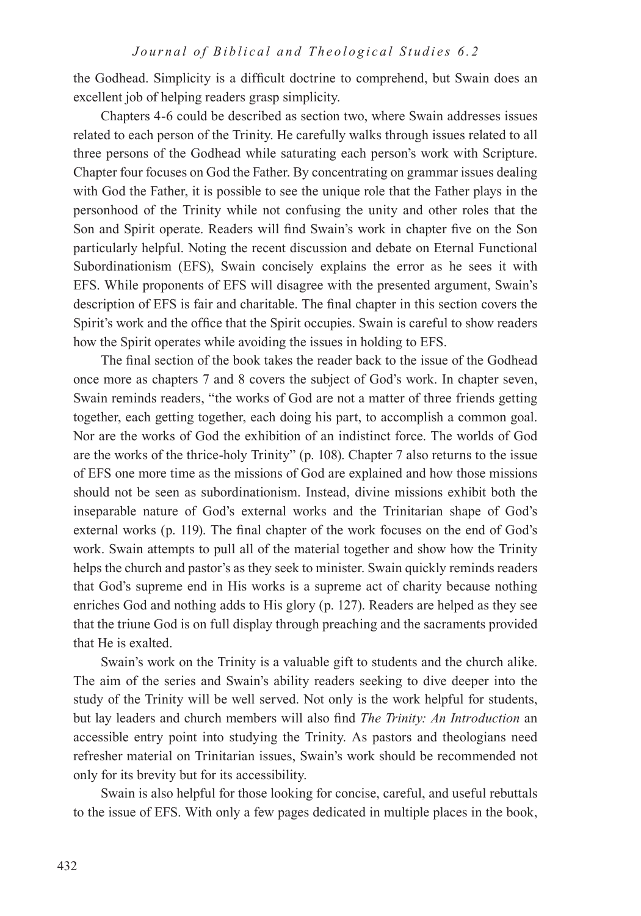the Godhead. Simplicity is a difficult doctrine to comprehend, but Swain does an excellent job of helping readers grasp simplicity.

Chapters 4-6 could be described as section two, where Swain addresses issues related to each person of the Trinity. He carefully walks through issues related to all three persons of the Godhead while saturating each person's work with Scripture. Chapter four focuses on God the Father. By concentrating on grammar issues dealing with God the Father, it is possible to see the unique role that the Father plays in the personhood of the Trinity while not confusing the unity and other roles that the Son and Spirit operate. Readers will find Swain's work in chapter five on the Son particularly helpful. Noting the recent discussion and debate on Eternal Functional Subordinationism (EFS), Swain concisely explains the error as he sees it with EFS. While proponents of EFS will disagree with the presented argument, Swain's description of EFS is fair and charitable. The final chapter in this section covers the Spirit's work and the office that the Spirit occupies. Swain is careful to show readers how the Spirit operates while avoiding the issues in holding to EFS.

The final section of the book takes the reader back to the issue of the Godhead once more as chapters 7 and 8 covers the subject of God's work. In chapter seven, Swain reminds readers, "the works of God are not a matter of three friends getting together, each getting together, each doing his part, to accomplish a common goal. Nor are the works of God the exhibition of an indistinct force. The worlds of God are the works of the thrice-holy Trinity" (p. 108). Chapter 7 also returns to the issue of EFS one more time as the missions of God are explained and how those missions should not be seen as subordinationism. Instead, divine missions exhibit both the inseparable nature of God's external works and the Trinitarian shape of God's external works (p. 119). The final chapter of the work focuses on the end of God's work. Swain attempts to pull all of the material together and show how the Trinity helps the church and pastor's as they seek to minister. Swain quickly reminds readers that God's supreme end in His works is a supreme act of charity because nothing enriches God and nothing adds to His glory (p. 127). Readers are helped as they see that the triune God is on full display through preaching and the sacraments provided that He is exalted.

Swain's work on the Trinity is a valuable gift to students and the church alike. The aim of the series and Swain's ability readers seeking to dive deeper into the study of the Trinity will be well served. Not only is the work helpful for students, but lay leaders and church members will also find *The Trinity: An Introduction* an accessible entry point into studying the Trinity. As pastors and theologians need refresher material on Trinitarian issues, Swain's work should be recommended not only for its brevity but for its accessibility.

Swain is also helpful for those looking for concise, careful, and useful rebuttals to the issue of EFS. With only a few pages dedicated in multiple places in the book,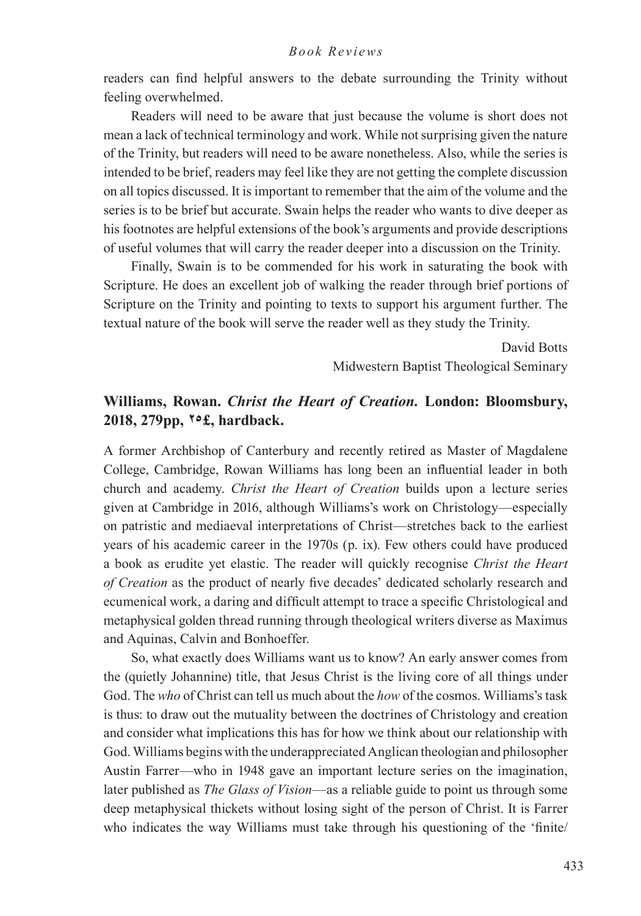readers can find helpful answers to the debate surrounding the Trinity without feeling overwhelmed.

Readers will need to be aware that just because the volume is short does not mean a lack of technical terminology and work. While not surprising given the nature of the Trinity, but readers will need to be aware nonetheless. Also, while the series is intended to be brief, readers may feel like they are not getting the complete discussion on all topics discussed. It is important to remember that the aim of the volume and the series is to be brief but accurate. Swain helps the reader who wants to dive deeper as his footnotes are helpful extensions of the book's arguments and provide descriptions of useful volumes that will carry the reader deeper into a discussion on the Trinity.

Finally, Swain is to be commended for his work in saturating the book with Scripture. He does an excellent job of walking the reader through brief portions of Scripture on the Trinity and pointing to texts to support his argument further. The textual nature of the book will serve the reader well as they study the Trinity.

> David Botts Midwestern Baptist Theological Seminary

## **Williams, Rowan.** *Christ the Heart of Creation.* **London: Bloomsbury, 2018, 279pp, 25£, hardback.**

A former Archbishop of Canterbury and recently retired as Master of Magdalene College, Cambridge, Rowan Williams has long been an influential leader in both church and academy. *Christ the Heart of Creation* builds upon a lecture series given at Cambridge in 2016, although Williams's work on Christology—especially on patristic and mediaeval interpretations of Christ—stretches back to the earliest years of his academic career in the 1970s (p. ix). Few others could have produced a book as erudite yet elastic. The reader will quickly recognise *Christ the Heart of Creation* as the product of nearly five decades' dedicated scholarly research and ecumenical work, a daring and difficult attempt to trace a specific Christological and metaphysical golden thread running through theological writers diverse as Maximus and Aquinas, Calvin and Bonhoeffer.

So, what exactly does Williams want us to know? An early answer comes from the (quietly Johannine) title, that Jesus Christ is the living core of all things under God. The *who* of Christ can tell us much about the *how* of the cosmos. Williams's task is thus: to draw out the mutuality between the doctrines of Christology and creation and consider what implications this has for how we think about our relationship with God. Williams begins with the underappreciated Anglican theologian and philosopher Austin Farrer—who in 1948 gave an important lecture series on the imagination, later published as *The Glass of Vision*—as a reliable guide to point us through some deep metaphysical thickets without losing sight of the person of Christ. It is Farrer who indicates the way Williams must take through his questioning of the 'finite'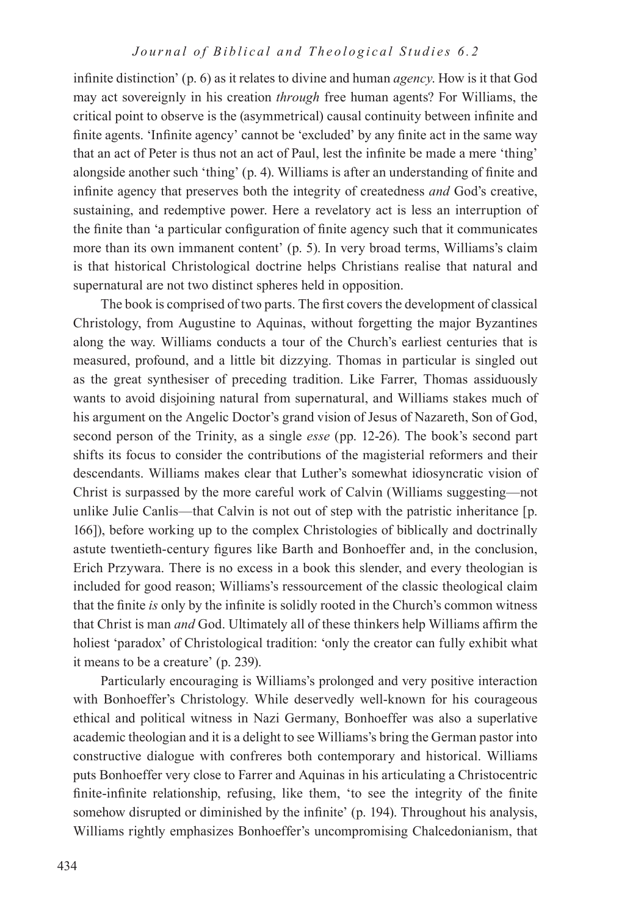infinite distinction' (p. 6) as it relates to divine and human *agency*. How is it that God may act sovereignly in his creation *through* free human agents? For Williams, the critical point to observe is the (asymmetrical) causal continuity between infinite and finite agents. 'Infinite agency' cannot be 'excluded' by any finite act in the same way that an act of Peter is thus not an act of Paul, lest the infinite be made a mere 'thing' alongside another such 'thing' (p. 4). Williams is after an understanding of finite and infinite agency that preserves both the integrity of createdness *and* God's creative, sustaining, and redemptive power. Here a revelatory act is less an interruption of the finite than 'a particular configuration of finite agency such that it communicates more than its own immanent content' (p. 5). In very broad terms, Williams's claim is that historical Christological doctrine helps Christians realise that natural and supernatural are not two distinct spheres held in opposition.

The book is comprised of two parts. The first covers the development of classical Christology, from Augustine to Aquinas, without forgetting the major Byzantines along the way. Williams conducts a tour of the Church's earliest centuries that is measured, profound, and a little bit dizzying. Thomas in particular is singled out as the great synthesiser of preceding tradition. Like Farrer, Thomas assiduously wants to avoid disjoining natural from supernatural, and Williams stakes much of his argument on the Angelic Doctor's grand vision of Jesus of Nazareth, Son of God, second person of the Trinity, as a single *esse* (pp. 12-26). The book's second part shifts its focus to consider the contributions of the magisterial reformers and their descendants. Williams makes clear that Luther's somewhat idiosyncratic vision of Christ is surpassed by the more careful work of Calvin (Williams suggesting—not unlike Julie Canlis—that Calvin is not out of step with the patristic inheritance [p. 166]), before working up to the complex Christologies of biblically and doctrinally astute twentieth-century figures like Barth and Bonhoeffer and, in the conclusion, Erich Przywara. There is no excess in a book this slender, and every theologian is included for good reason; Williams's ressourcement of the classic theological claim that the finite *is* only by the infinite is solidly rooted in the Church's common witness that Christ is man *and* God. Ultimately all of these thinkers help Williams affirm the holiest 'paradox' of Christological tradition: 'only the creator can fully exhibit what it means to be a creature' (p. 239).

Particularly encouraging is Williams's prolonged and very positive interaction with Bonhoeffer's Christology. While deservedly well-known for his courageous ethical and political witness in Nazi Germany, Bonhoeffer was also a superlative academic theologian and it is a delight to see Williams's bring the German pastor into constructive dialogue with confreres both contemporary and historical. Williams puts Bonhoeffer very close to Farrer and Aquinas in his articulating a Christocentric finite-infinite relationship, refusing, like them, 'to see the integrity of the finite somehow disrupted or diminished by the infinite' (p. 194). Throughout his analysis, Williams rightly emphasizes Bonhoeffer's uncompromising Chalcedonianism, that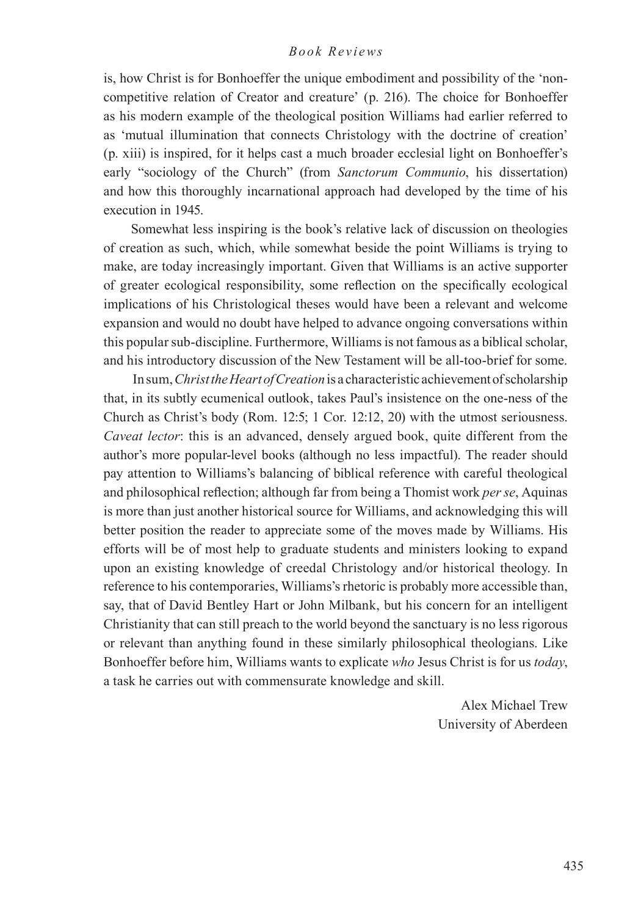is, how Christ is for Bonhoeffer the unique embodiment and possibility of the 'noncompetitive relation of Creator and creature' (p. 216). The choice for Bonhoeffer as his modern example of the theological position Williams had earlier referred to as 'mutual illumination that connects Christology with the doctrine of creation' (p. xiii) is inspired, for it helps cast a much broader ecclesial light on Bonhoeffer's early "sociology of the Church" (from *Sanctorum Communio*, his dissertation) and how this thoroughly incarnational approach had developed by the time of his execution in 1945.

Somewhat less inspiring is the book's relative lack of discussion on theologies of creation as such, which, while somewhat beside the point Williams is trying to make, are today increasingly important. Given that Williams is an active supporter of greater ecological responsibility, some reflection on the specifically ecological implications of his Christological theses would have been a relevant and welcome expansion and would no doubt have helped to advance ongoing conversations within this popular sub-discipline. Furthermore, Williams is not famous as a biblical scholar, and his introductory discussion of the New Testament will be all-too-brief for some.

 In sum, *Christ the Heart of Creation* is a characteristic achievement of scholarship that, in its subtly ecumenical outlook, takes Paul's insistence on the one-ness of the Church as Christ's body (Rom. 12:5; 1 Cor. 12:12, 20) with the utmost seriousness. *Caveat lector*: this is an advanced, densely argued book, quite different from the author's more popular-level books (although no less impactful). The reader should pay attention to Williams's balancing of biblical reference with careful theological and philosophical reflection; although far from being a Thomist work *per se*, Aquinas is more than just another historical source for Williams, and acknowledging this will better position the reader to appreciate some of the moves made by Williams. His efforts will be of most help to graduate students and ministers looking to expand upon an existing knowledge of creedal Christology and/or historical theology. In reference to his contemporaries, Williams's rhetoric is probably more accessible than, say, that of David Bentley Hart or John Milbank, but his concern for an intelligent Christianity that can still preach to the world beyond the sanctuary is no less rigorous or relevant than anything found in these similarly philosophical theologians. Like Bonhoeffer before him, Williams wants to explicate *who* Jesus Christ is for us *today*, a task he carries out with commensurate knowledge and skill.

> Alex Michael Trew University of Aberdeen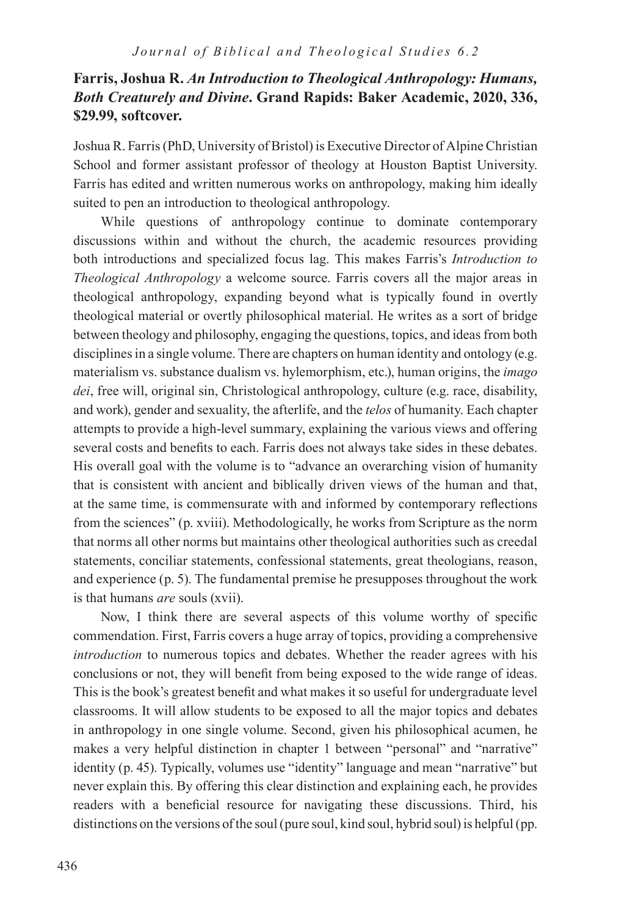# **Farris, Joshua R.** *An Introduction to Theological Anthropology: Humans, Both Creaturely and Divine***. Grand Rapids: Baker Academic, 2020, 336, \$29.99, softcover.**

Joshua R. Farris (PhD, University of Bristol) is Executive Director of Alpine Christian School and former assistant professor of theology at Houston Baptist University. Farris has edited and written numerous works on anthropology, making him ideally suited to pen an introduction to theological anthropology.

While questions of anthropology continue to dominate contemporary discussions within and without the church, the academic resources providing both introductions and specialized focus lag. This makes Farris's *Introduction to Theological Anthropology* a welcome source. Farris covers all the major areas in theological anthropology, expanding beyond what is typically found in overtly theological material or overtly philosophical material. He writes as a sort of bridge between theology and philosophy, engaging the questions, topics, and ideas from both disciplines in a single volume. There are chapters on human identity and ontology (e.g. materialism vs. substance dualism vs. hylemorphism, etc.), human origins, the *imago dei*, free will, original sin, Christological anthropology, culture (e.g. race, disability, and work), gender and sexuality, the afterlife, and the *telos* of humanity. Each chapter attempts to provide a high-level summary, explaining the various views and offering several costs and benefits to each. Farris does not always take sides in these debates. His overall goal with the volume is to "advance an overarching vision of humanity that is consistent with ancient and biblically driven views of the human and that, at the same time, is commensurate with and informed by contemporary reflections from the sciences" (p. xviii). Methodologically, he works from Scripture as the norm that norms all other norms but maintains other theological authorities such as creedal statements, conciliar statements, confessional statements, great theologians, reason, and experience (p. 5). The fundamental premise he presupposes throughout the work is that humans *are* souls (xvii).

Now, I think there are several aspects of this volume worthy of specific commendation. First, Farris covers a huge array of topics, providing a comprehensive *introduction* to numerous topics and debates. Whether the reader agrees with his conclusions or not, they will benefit from being exposed to the wide range of ideas. This is the book's greatest benefit and what makes it so useful for undergraduate level classrooms. It will allow students to be exposed to all the major topics and debates in anthropology in one single volume. Second, given his philosophical acumen, he makes a very helpful distinction in chapter 1 between "personal" and "narrative" identity (p. 45). Typically, volumes use "identity" language and mean "narrative" but never explain this. By offering this clear distinction and explaining each, he provides readers with a beneficial resource for navigating these discussions. Third, his distinctions on the versions of the soul (pure soul, kind soul, hybrid soul) is helpful (pp.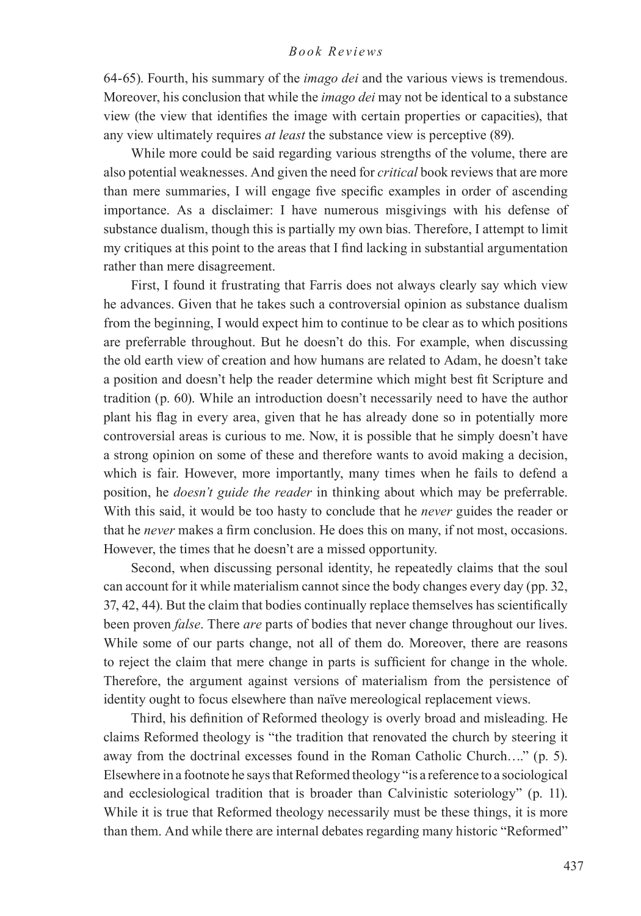64-65). Fourth, his summary of the *imago dei* and the various views is tremendous. Moreover, his conclusion that while the *imago dei* may not be identical to a substance view (the view that identifies the image with certain properties or capacities), that any view ultimately requires *at least* the substance view is perceptive (89).

While more could be said regarding various strengths of the volume, there are also potential weaknesses. And given the need for *critical* book reviews that are more than mere summaries, I will engage five specific examples in order of ascending importance. As a disclaimer: I have numerous misgivings with his defense of substance dualism, though this is partially my own bias. Therefore, I attempt to limit my critiques at this point to the areas that I find lacking in substantial argumentation rather than mere disagreement.

First, I found it frustrating that Farris does not always clearly say which view he advances. Given that he takes such a controversial opinion as substance dualism from the beginning, I would expect him to continue to be clear as to which positions are preferrable throughout. But he doesn't do this. For example, when discussing the old earth view of creation and how humans are related to Adam, he doesn't take a position and doesn't help the reader determine which might best fit Scripture and tradition (p. 60). While an introduction doesn't necessarily need to have the author plant his flag in every area, given that he has already done so in potentially more controversial areas is curious to me. Now, it is possible that he simply doesn't have a strong opinion on some of these and therefore wants to avoid making a decision, which is fair. However, more importantly, many times when he fails to defend a position, he *doesn't guide the reader* in thinking about which may be preferrable. With this said, it would be too hasty to conclude that he *never* guides the reader or that he *never* makes a firm conclusion. He does this on many, if not most, occasions. However, the times that he doesn't are a missed opportunity.

Second, when discussing personal identity, he repeatedly claims that the soul can account for it while materialism cannot since the body changes every day (pp. 32, 37, 42, 44). But the claim that bodies continually replace themselves has scientifically been proven *false*. There *are* parts of bodies that never change throughout our lives. While some of our parts change, not all of them do. Moreover, there are reasons to reject the claim that mere change in parts is sufficient for change in the whole. Therefore, the argument against versions of materialism from the persistence of identity ought to focus elsewhere than naïve mereological replacement views.

Third, his definition of Reformed theology is overly broad and misleading. He claims Reformed theology is "the tradition that renovated the church by steering it away from the doctrinal excesses found in the Roman Catholic Church…." (p. 5). Elsewhere in a footnote he says that Reformed theology "is a reference to a sociological and ecclesiological tradition that is broader than Calvinistic soteriology" (p. 11). While it is true that Reformed theology necessarily must be these things, it is more than them. And while there are internal debates regarding many historic "Reformed"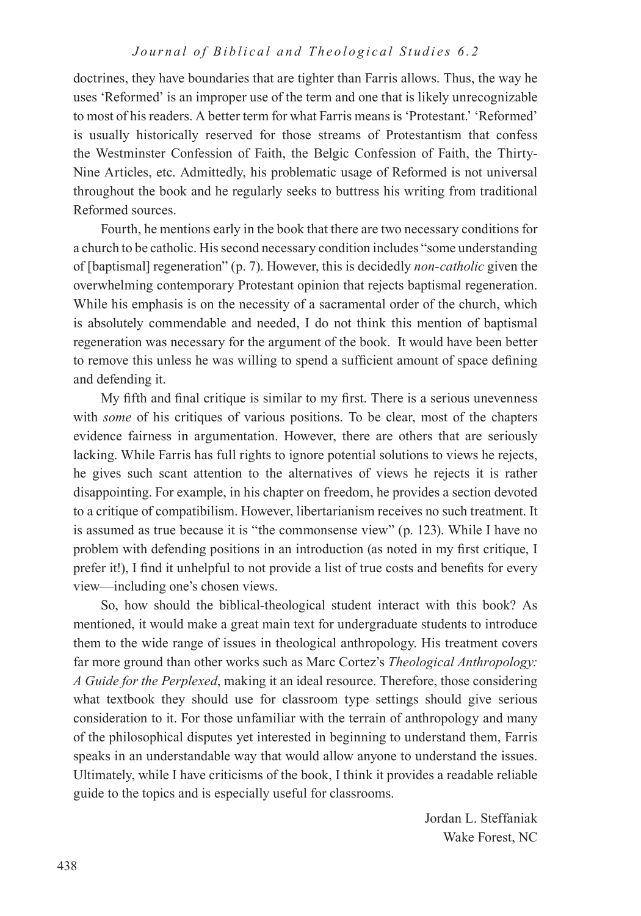doctrines, they have boundaries that are tighter than Farris allows. Thus, the way he uses 'Reformed' is an improper use of the term and one that is likely unrecognizable to most of his readers. A better term for what Farris means is 'Protestant.' 'Reformed' is usually historically reserved for those streams of Protestantism that confess the Westminster Confession of Faith, the Belgic Confession of Faith, the Thirty-Nine Articles, etc. Admittedly, his problematic usage of Reformed is not universal throughout the book and he regularly seeks to buttress his writing from traditional Reformed sources.

Fourth, he mentions early in the book that there are two necessary conditions for a church to be catholic. His second necessary condition includes "some understanding of [baptismal] regeneration" (p. 7). However, this is decidedly *non-catholic* given the overwhelming contemporary Protestant opinion that rejects baptismal regeneration. While his emphasis is on the necessity of a sacramental order of the church, which is absolutely commendable and needed, I do not think this mention of baptismal regeneration was necessary for the argument of the book. It would have been better to remove this unless he was willing to spend a sufficient amount of space defining and defending it.

My fifth and final critique is similar to my first. There is a serious unevenness with *some* of his critiques of various positions. To be clear, most of the chapters evidence fairness in argumentation. However, there are others that are seriously lacking. While Farris has full rights to ignore potential solutions to views he rejects, he gives such scant attention to the alternatives of views he rejects it is rather disappointing. For example, in his chapter on freedom, he provides a section devoted to a critique of compatibilism. However, libertarianism receives no such treatment. It is assumed as true because it is "the commonsense view" (p. 123). While I have no problem with defending positions in an introduction (as noted in my first critique, I prefer it!), I find it unhelpful to not provide a list of true costs and benefits for every view—including one's chosen views.

So, how should the biblical-theological student interact with this book? As mentioned, it would make a great main text for undergraduate students to introduce them to the wide range of issues in theological anthropology. His treatment covers far more ground than other works such as Marc Cortez's *Theological Anthropology: A Guide for the Perplexed*, making it an ideal resource. Therefore, those considering what textbook they should use for classroom type settings should give serious consideration to it. For those unfamiliar with the terrain of anthropology and many of the philosophical disputes yet interested in beginning to understand them, Farris speaks in an understandable way that would allow anyone to understand the issues. Ultimately, while I have criticisms of the book, I think it provides a readable reliable guide to the topics and is especially useful for classrooms.

> Jordan L. Steffaniak Wake Forest, NC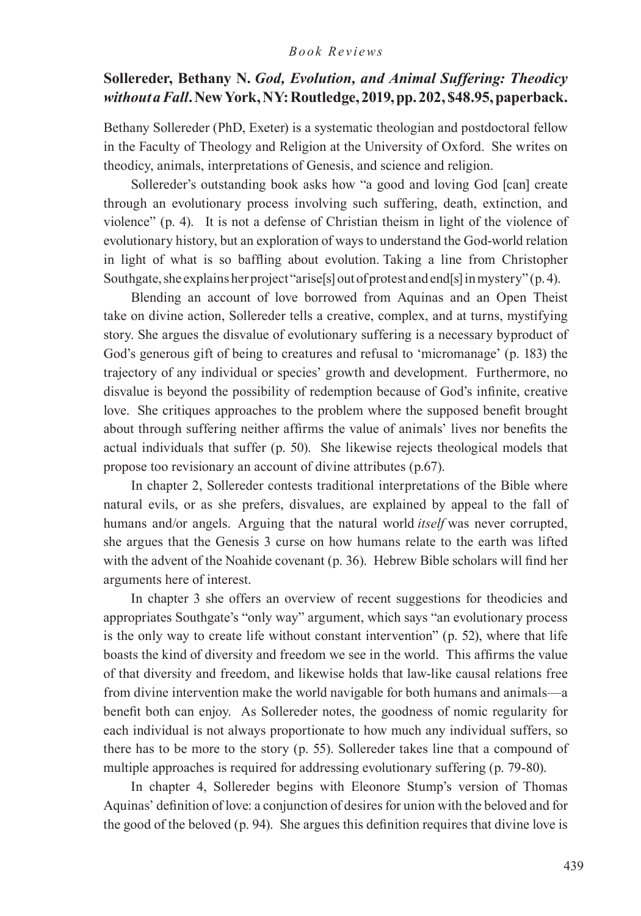## **Sollereder, Bethany N.** *God, Evolution, and Animal Suffering: Theodicy without a Fall***. New York, NY: Routledge, 2019, pp. 202, \$48.95, paperback.**

Bethany Sollereder (PhD, Exeter) is a systematic theologian and postdoctoral fellow in the Faculty of Theology and Religion at the University of Oxford. She writes on theodicy, animals, interpretations of Genesis, and science and religion.

Sollereder's outstanding book asks how "a good and loving God [can] create through an evolutionary process involving such suffering, death, extinction, and violence" (p. 4). It is not a defense of Christian theism in light of the violence of evolutionary history, but an exploration of ways to understand the God-world relation in light of what is so baffling about evolution. Taking a line from Christopher Southgate, she explains her project "arise[s] out of protest and end[s] in mystery" (p. 4).

Blending an account of love borrowed from Aquinas and an Open Theist take on divine action, Sollereder tells a creative, complex, and at turns, mystifying story. She argues the disvalue of evolutionary suffering is a necessary byproduct of God's generous gift of being to creatures and refusal to 'micromanage' (p. 183) the trajectory of any individual or species' growth and development. Furthermore, no disvalue is beyond the possibility of redemption because of God's infinite, creative love. She critiques approaches to the problem where the supposed benefit brought about through suffering neither affirms the value of animals' lives nor benefits the actual individuals that suffer (p. 50). She likewise rejects theological models that propose too revisionary an account of divine attributes (p.67).

In chapter 2, Sollereder contests traditional interpretations of the Bible where natural evils, or as she prefers, disvalues, are explained by appeal to the fall of humans and/or angels. Arguing that the natural world *itself* was never corrupted, she argues that the Genesis 3 curse on how humans relate to the earth was lifted with the advent of the Noahide covenant (p. 36). Hebrew Bible scholars will find her arguments here of interest.

In chapter 3 she offers an overview of recent suggestions for theodicies and appropriates Southgate's "only way" argument, which says "an evolutionary process is the only way to create life without constant intervention" (p. 52), where that life boasts the kind of diversity and freedom we see in the world. This affirms the value of that diversity and freedom, and likewise holds that law-like causal relations free from divine intervention make the world navigable for both humans and animals—a benefit both can enjoy. As Sollereder notes, the goodness of nomic regularity for each individual is not always proportionate to how much any individual suffers, so there has to be more to the story (p. 55). Sollereder takes line that a compound of multiple approaches is required for addressing evolutionary suffering (p. 79-80).

In chapter 4, Sollereder begins with Eleonore Stump's version of Thomas Aquinas' definition of love: a conjunction of desires for union with the beloved and for the good of the beloved (p. 94). She argues this definition requires that divine love is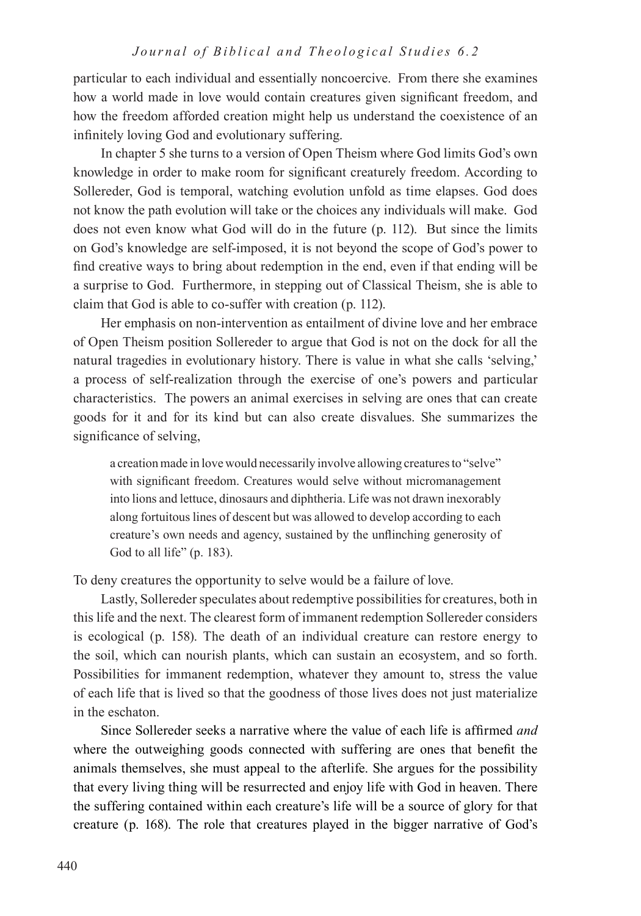particular to each individual and essentially noncoercive. From there she examines how a world made in love would contain creatures given significant freedom, and how the freedom afforded creation might help us understand the coexistence of an infinitely loving God and evolutionary suffering.

In chapter 5 she turns to a version of Open Theism where God limits God's own knowledge in order to make room for significant creaturely freedom. According to Sollereder, God is temporal, watching evolution unfold as time elapses. God does not know the path evolution will take or the choices any individuals will make. God does not even know what God will do in the future (p. 112). But since the limits on God's knowledge are self-imposed, it is not beyond the scope of God's power to find creative ways to bring about redemption in the end, even if that ending will be a surprise to God. Furthermore, in stepping out of Classical Theism, she is able to claim that God is able to co-suffer with creation (p. 112).

Her emphasis on non-intervention as entailment of divine love and her embrace of Open Theism position Sollereder to argue that God is not on the dock for all the natural tragedies in evolutionary history. There is value in what she calls 'selving,' a process of self-realization through the exercise of one's powers and particular characteristics. The powers an animal exercises in selving are ones that can create goods for it and for its kind but can also create disvalues. She summarizes the significance of selving,

a creation made in love would necessarily involve allowing creatures to "selve" with significant freedom. Creatures would selve without micromanagement into lions and lettuce, dinosaurs and diphtheria. Life was not drawn inexorably along fortuitous lines of descent but was allowed to develop according to each creature's own needs and agency, sustained by the unflinching generosity of God to all life" (p. 183).

To deny creatures the opportunity to selve would be a failure of love.

Lastly, Sollereder speculates about redemptive possibilities for creatures, both in this life and the next. The clearest form of immanent redemption Sollereder considers is ecological (p. 158). The death of an individual creature can restore energy to the soil, which can nourish plants, which can sustain an ecosystem, and so forth. Possibilities for immanent redemption, whatever they amount to, stress the value of each life that is lived so that the goodness of those lives does not just materialize in the eschaton.

Since Sollereder seeks a narrative where the value of each life is affirmed *and* where the outweighing goods connected with suffering are ones that benefit the animals themselves, she must appeal to the afterlife. She argues for the possibility that every living thing will be resurrected and enjoy life with God in heaven. There the suffering contained within each creature's life will be a source of glory for that creature (p. 168). The role that creatures played in the bigger narrative of God's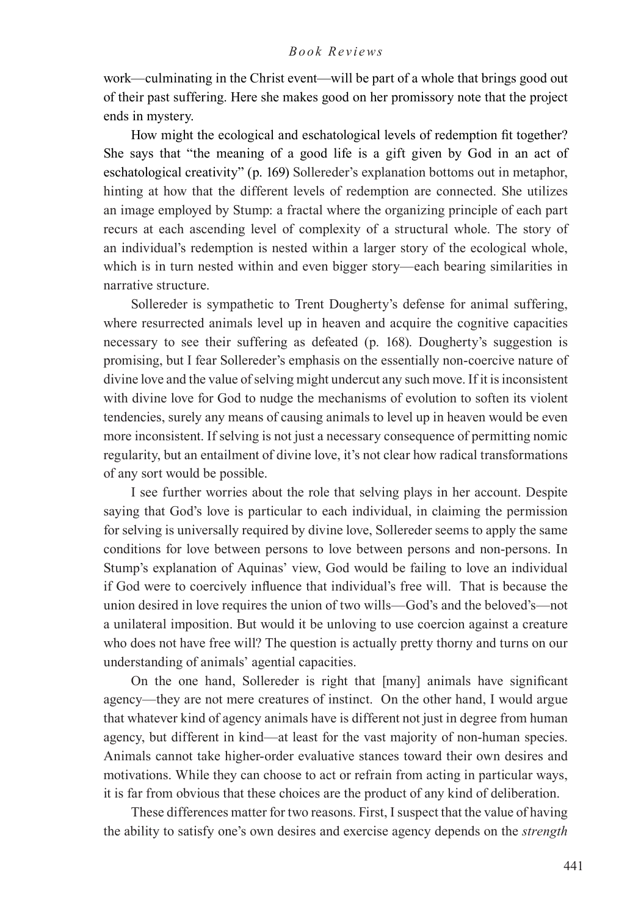work—culminating in the Christ event—will be part of a whole that brings good out of their past suffering. Here she makes good on her promissory note that the project ends in mystery.

How might the ecological and eschatological levels of redemption fit together? She says that "the meaning of a good life is a gift given by God in an act of eschatological creativity" (p. 169) Sollereder's explanation bottoms out in metaphor, hinting at how that the different levels of redemption are connected. She utilizes an image employed by Stump: a fractal where the organizing principle of each part recurs at each ascending level of complexity of a structural whole. The story of an individual's redemption is nested within a larger story of the ecological whole, which is in turn nested within and even bigger story—each bearing similarities in narrative structure.

Sollereder is sympathetic to Trent Dougherty's defense for animal suffering, where resurrected animals level up in heaven and acquire the cognitive capacities necessary to see their suffering as defeated (p. 168). Dougherty's suggestion is promising, but I fear Sollereder's emphasis on the essentially non-coercive nature of divine love and the value of selving might undercut any such move. If it is inconsistent with divine love for God to nudge the mechanisms of evolution to soften its violent tendencies, surely any means of causing animals to level up in heaven would be even more inconsistent. If selving is not just a necessary consequence of permitting nomic regularity, but an entailment of divine love, it's not clear how radical transformations of any sort would be possible.

I see further worries about the role that selving plays in her account. Despite saying that God's love is particular to each individual, in claiming the permission for selving is universally required by divine love, Sollereder seems to apply the same conditions for love between persons to love between persons and non-persons. In Stump's explanation of Aquinas' view, God would be failing to love an individual if God were to coercively influence that individual's free will. That is because the union desired in love requires the union of two wills—God's and the beloved's—not a unilateral imposition. But would it be unloving to use coercion against a creature who does not have free will? The question is actually pretty thorny and turns on our understanding of animals' agential capacities.

On the one hand, Sollereder is right that [many] animals have significant agency—they are not mere creatures of instinct. On the other hand, I would argue that whatever kind of agency animals have is different not just in degree from human agency, but different in kind—at least for the vast majority of non-human species. Animals cannot take higher-order evaluative stances toward their own desires and motivations. While they can choose to act or refrain from acting in particular ways, it is far from obvious that these choices are the product of any kind of deliberation.

These differences matter for two reasons. First, I suspect that the value of having the ability to satisfy one's own desires and exercise agency depends on the *strength*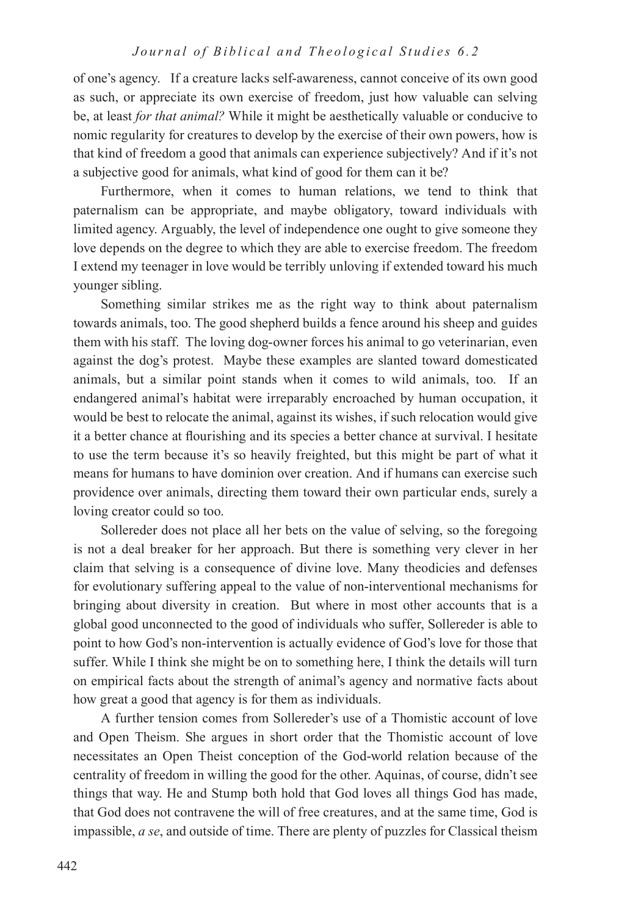of one's agency. If a creature lacks self-awareness, cannot conceive of its own good as such, or appreciate its own exercise of freedom, just how valuable can selving be, at least *for that animal?* While it might be aesthetically valuable or conducive to nomic regularity for creatures to develop by the exercise of their own powers, how is that kind of freedom a good that animals can experience subjectively? And if it's not a subjective good for animals, what kind of good for them can it be?

Furthermore, when it comes to human relations, we tend to think that paternalism can be appropriate, and maybe obligatory, toward individuals with limited agency. Arguably, the level of independence one ought to give someone they love depends on the degree to which they are able to exercise freedom. The freedom I extend my teenager in love would be terribly unloving if extended toward his much younger sibling.

Something similar strikes me as the right way to think about paternalism towards animals, too. The good shepherd builds a fence around his sheep and guides them with his staff. The loving dog-owner forces his animal to go veterinarian, even against the dog's protest. Maybe these examples are slanted toward domesticated animals, but a similar point stands when it comes to wild animals, too. If an endangered animal's habitat were irreparably encroached by human occupation, it would be best to relocate the animal, against its wishes, if such relocation would give it a better chance at flourishing and its species a better chance at survival. I hesitate to use the term because it's so heavily freighted, but this might be part of what it means for humans to have dominion over creation. And if humans can exercise such providence over animals, directing them toward their own particular ends, surely a loving creator could so too.

Sollereder does not place all her bets on the value of selving, so the foregoing is not a deal breaker for her approach. But there is something very clever in her claim that selving is a consequence of divine love. Many theodicies and defenses for evolutionary suffering appeal to the value of non-interventional mechanisms for bringing about diversity in creation. But where in most other accounts that is a global good unconnected to the good of individuals who suffer, Sollereder is able to point to how God's non-intervention is actually evidence of God's love for those that suffer. While I think she might be on to something here, I think the details will turn on empirical facts about the strength of animal's agency and normative facts about how great a good that agency is for them as individuals.

A further tension comes from Sollereder's use of a Thomistic account of love and Open Theism. She argues in short order that the Thomistic account of love necessitates an Open Theist conception of the God-world relation because of the centrality of freedom in willing the good for the other. Aquinas, of course, didn't see things that way. He and Stump both hold that God loves all things God has made, that God does not contravene the will of free creatures, and at the same time, God is impassible, *a se*, and outside of time. There are plenty of puzzles for Classical theism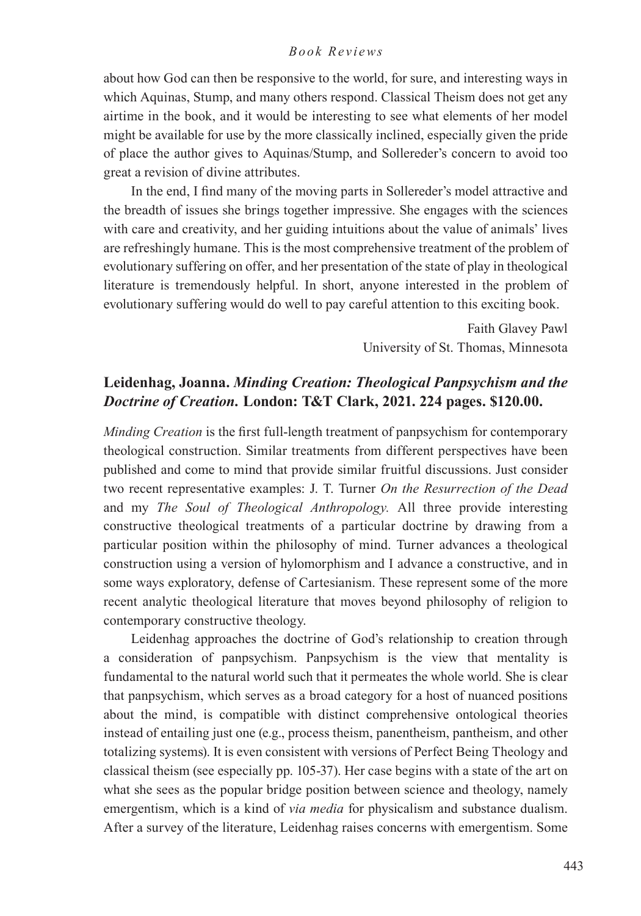about how God can then be responsive to the world, for sure, and interesting ways in which Aquinas, Stump, and many others respond. Classical Theism does not get any airtime in the book, and it would be interesting to see what elements of her model might be available for use by the more classically inclined, especially given the pride of place the author gives to Aquinas/Stump, and Sollereder's concern to avoid too great a revision of divine attributes.

In the end, I find many of the moving parts in Sollereder's model attractive and the breadth of issues she brings together impressive. She engages with the sciences with care and creativity, and her guiding intuitions about the value of animals' lives are refreshingly humane. This is the most comprehensive treatment of the problem of evolutionary suffering on offer, and her presentation of the state of play in theological literature is tremendously helpful. In short, anyone interested in the problem of evolutionary suffering would do well to pay careful attention to this exciting book.

> Faith Glavey Pawl University of St. Thomas, Minnesota

## **Leidenhag, Joanna.** *Minding Creation: Theological Panpsychism and the Doctrine of Creation.* **London: T&T Clark, 2021. 224 pages. \$120.00.**

*Minding Creation* is the first full-length treatment of panpsychism for contemporary theological construction. Similar treatments from different perspectives have been published and come to mind that provide similar fruitful discussions. Just consider two recent representative examples: J. T. Turner *On the Resurrection of the Dead*  and my *The Soul of Theological Anthropology.* All three provide interesting constructive theological treatments of a particular doctrine by drawing from a particular position within the philosophy of mind. Turner advances a theological construction using a version of hylomorphism and I advance a constructive, and in some ways exploratory, defense of Cartesianism. These represent some of the more recent analytic theological literature that moves beyond philosophy of religion to contemporary constructive theology.

Leidenhag approaches the doctrine of God's relationship to creation through a consideration of panpsychism. Panpsychism is the view that mentality is fundamental to the natural world such that it permeates the whole world. She is clear that panpsychism, which serves as a broad category for a host of nuanced positions about the mind, is compatible with distinct comprehensive ontological theories instead of entailing just one (e.g., process theism, panentheism, pantheism, and other totalizing systems). It is even consistent with versions of Perfect Being Theology and classical theism (see especially pp. 105-37). Her case begins with a state of the art on what she sees as the popular bridge position between science and theology, namely emergentism, which is a kind of *via media* for physicalism and substance dualism. After a survey of the literature, Leidenhag raises concerns with emergentism. Some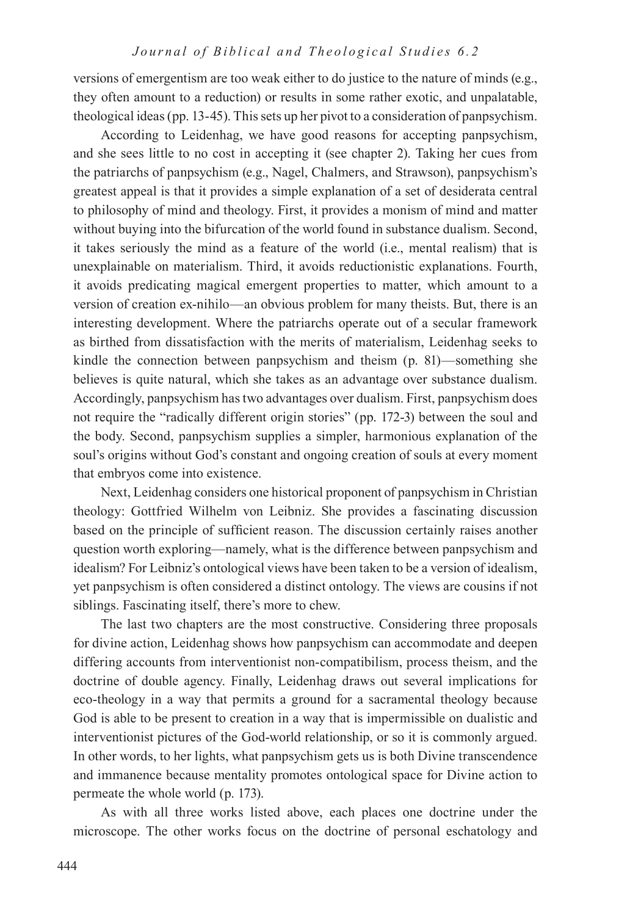versions of emergentism are too weak either to do justice to the nature of minds (e.g., they often amount to a reduction) or results in some rather exotic, and unpalatable, theological ideas (pp. 13-45). This sets up her pivot to a consideration of panpsychism.

According to Leidenhag, we have good reasons for accepting panpsychism, and she sees little to no cost in accepting it (see chapter 2). Taking her cues from the patriarchs of panpsychism (e.g., Nagel, Chalmers, and Strawson), panpsychism's greatest appeal is that it provides a simple explanation of a set of desiderata central to philosophy of mind and theology. First, it provides a monism of mind and matter without buying into the bifurcation of the world found in substance dualism. Second, it takes seriously the mind as a feature of the world (i.e., mental realism) that is unexplainable on materialism. Third, it avoids reductionistic explanations. Fourth, it avoids predicating magical emergent properties to matter, which amount to a version of creation ex-nihilo—an obvious problem for many theists. But, there is an interesting development. Where the patriarchs operate out of a secular framework as birthed from dissatisfaction with the merits of materialism, Leidenhag seeks to kindle the connection between panpsychism and theism (p. 81)—something she believes is quite natural, which she takes as an advantage over substance dualism. Accordingly, panpsychism has two advantages over dualism. First, panpsychism does not require the "radically different origin stories" (pp. 172-3) between the soul and the body. Second, panpsychism supplies a simpler, harmonious explanation of the soul's origins without God's constant and ongoing creation of souls at every moment that embryos come into existence.

Next, Leidenhag considers one historical proponent of panpsychism in Christian theology: Gottfried Wilhelm von Leibniz. She provides a fascinating discussion based on the principle of sufficient reason. The discussion certainly raises another question worth exploring—namely, what is the difference between panpsychism and idealism? For Leibniz's ontological views have been taken to be a version of idealism, yet panpsychism is often considered a distinct ontology. The views are cousins if not siblings. Fascinating itself, there's more to chew.

The last two chapters are the most constructive. Considering three proposals for divine action, Leidenhag shows how panpsychism can accommodate and deepen differing accounts from interventionist non-compatibilism, process theism, and the doctrine of double agency. Finally, Leidenhag draws out several implications for eco-theology in a way that permits a ground for a sacramental theology because God is able to be present to creation in a way that is impermissible on dualistic and interventionist pictures of the God-world relationship, or so it is commonly argued. In other words, to her lights, what panpsychism gets us is both Divine transcendence and immanence because mentality promotes ontological space for Divine action to permeate the whole world (p. 173).

As with all three works listed above, each places one doctrine under the microscope. The other works focus on the doctrine of personal eschatology and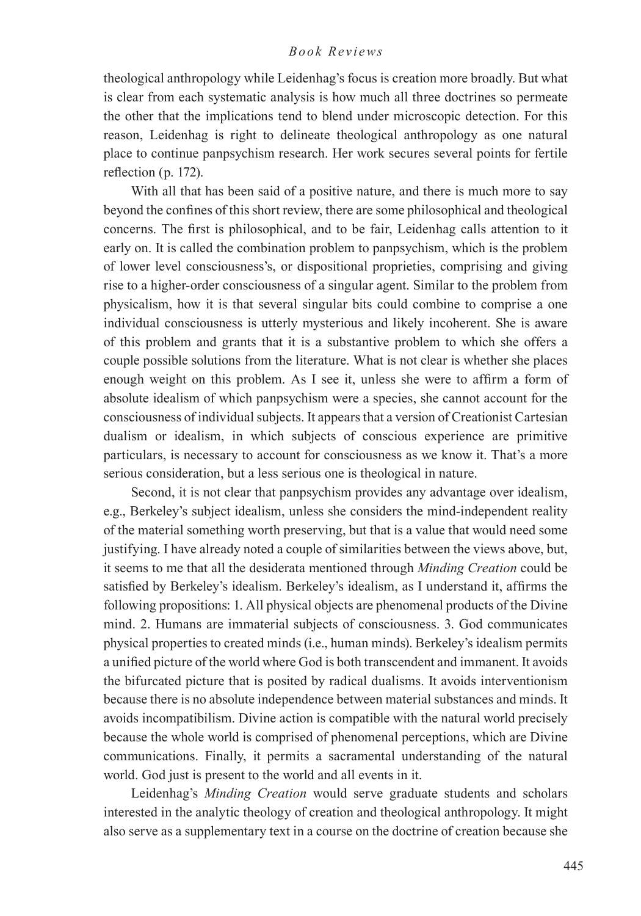theological anthropology while Leidenhag's focus is creation more broadly. But what is clear from each systematic analysis is how much all three doctrines so permeate the other that the implications tend to blend under microscopic detection. For this reason, Leidenhag is right to delineate theological anthropology as one natural place to continue panpsychism research. Her work secures several points for fertile reflection (p. 172).

With all that has been said of a positive nature, and there is much more to say beyond the confines of this short review, there are some philosophical and theological concerns. The first is philosophical, and to be fair, Leidenhag calls attention to it early on. It is called the combination problem to panpsychism, which is the problem of lower level consciousness's, or dispositional proprieties, comprising and giving rise to a higher-order consciousness of a singular agent. Similar to the problem from physicalism, how it is that several singular bits could combine to comprise a one individual consciousness is utterly mysterious and likely incoherent. She is aware of this problem and grants that it is a substantive problem to which she offers a couple possible solutions from the literature. What is not clear is whether she places enough weight on this problem. As I see it, unless she were to affirm a form of absolute idealism of which panpsychism were a species, she cannot account for the consciousness of individual subjects. It appears that a version of Creationist Cartesian dualism or idealism, in which subjects of conscious experience are primitive particulars, is necessary to account for consciousness as we know it. That's a more serious consideration, but a less serious one is theological in nature.

Second, it is not clear that panpsychism provides any advantage over idealism, e.g., Berkeley's subject idealism, unless she considers the mind-independent reality of the material something worth preserving, but that is a value that would need some justifying. I have already noted a couple of similarities between the views above, but, it seems to me that all the desiderata mentioned through *Minding Creation* could be satisfied by Berkeley's idealism. Berkeley's idealism, as I understand it, affirms the following propositions: 1. All physical objects are phenomenal products of the Divine mind. 2. Humans are immaterial subjects of consciousness. 3. God communicates physical properties to created minds (i.e., human minds). Berkeley's idealism permits a unified picture of the world where God is both transcendent and immanent. It avoids the bifurcated picture that is posited by radical dualisms. It avoids interventionism because there is no absolute independence between material substances and minds. It avoids incompatibilism. Divine action is compatible with the natural world precisely because the whole world is comprised of phenomenal perceptions, which are Divine communications. Finally, it permits a sacramental understanding of the natural world. God just is present to the world and all events in it.

Leidenhag's *Minding Creation* would serve graduate students and scholars interested in the analytic theology of creation and theological anthropology. It might also serve as a supplementary text in a course on the doctrine of creation because she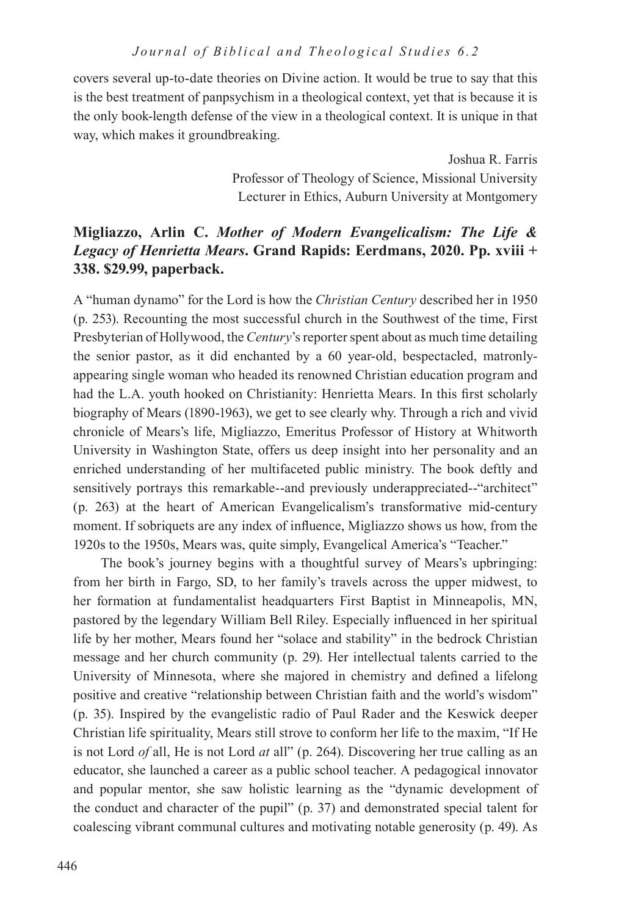covers several up-to-date theories on Divine action. It would be true to say that this is the best treatment of panpsychism in a theological context, yet that is because it is the only book-length defense of the view in a theological context. It is unique in that way, which makes it groundbreaking.

> Joshua R. Farris Professor of Theology of Science, Missional University Lecturer in Ethics, Auburn University at Montgomery

## **Migliazzo, Arlin C.** *Mother of Modern Evangelicalism: The Life & Legacy of Henrietta Mears***. Grand Rapids: Eerdmans, 2020. Pp. xviii + 338. \$29.99, paperback.**

A "human dynamo" for the Lord is how the *Christian Century* described her in 1950 (p. 253). Recounting the most successful church in the Southwest of the time, First Presbyterian of Hollywood, the *Century*'s reporter spent about as much time detailing the senior pastor, as it did enchanted by a 60 year-old, bespectacled, matronlyappearing single woman who headed its renowned Christian education program and had the L.A. youth hooked on Christianity: Henrietta Mears. In this first scholarly biography of Mears (1890-1963), we get to see clearly why. Through a rich and vivid chronicle of Mears's life, Migliazzo, Emeritus Professor of History at Whitworth University in Washington State, offers us deep insight into her personality and an enriched understanding of her multifaceted public ministry. The book deftly and sensitively portrays this remarkable--and previously underappreciated--"architect" (p. 263) at the heart of American Evangelicalism's transformative mid-century moment. If sobriquets are any index of influence, Migliazzo shows us how, from the 1920s to the 1950s, Mears was, quite simply, Evangelical America's "Teacher."

The book's journey begins with a thoughtful survey of Mears's upbringing: from her birth in Fargo, SD, to her family's travels across the upper midwest, to her formation at fundamentalist headquarters First Baptist in Minneapolis, MN, pastored by the legendary William Bell Riley. Especially influenced in her spiritual life by her mother, Mears found her "solace and stability" in the bedrock Christian message and her church community (p. 29). Her intellectual talents carried to the University of Minnesota, where she majored in chemistry and defined a lifelong positive and creative "relationship between Christian faith and the world's wisdom" (p. 35). Inspired by the evangelistic radio of Paul Rader and the Keswick deeper Christian life spirituality, Mears still strove to conform her life to the maxim, "If He is not Lord *of* all, He is not Lord *at* all" (p. 264). Discovering her true calling as an educator, she launched a career as a public school teacher. A pedagogical innovator and popular mentor, she saw holistic learning as the "dynamic development of the conduct and character of the pupil" (p. 37) and demonstrated special talent for coalescing vibrant communal cultures and motivating notable generosity (p. 49). As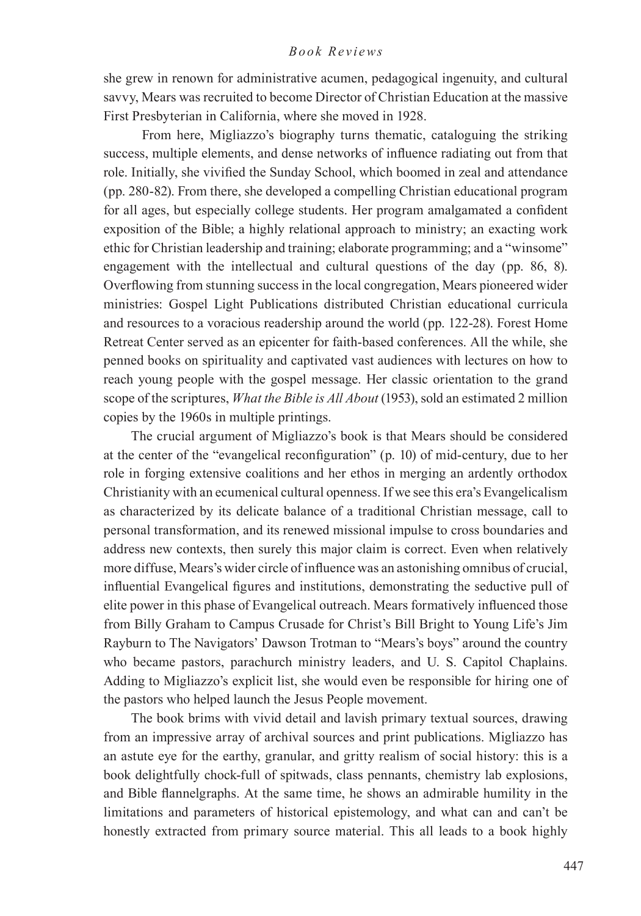she grew in renown for administrative acumen, pedagogical ingenuity, and cultural savvy, Mears was recruited to become Director of Christian Education at the massive First Presbyterian in California, where she moved in 1928.

 From here, Migliazzo's biography turns thematic, cataloguing the striking success, multiple elements, and dense networks of influence radiating out from that role. Initially, she vivified the Sunday School, which boomed in zeal and attendance (pp. 280-82). From there, she developed a compelling Christian educational program for all ages, but especially college students. Her program amalgamated a confident exposition of the Bible; a highly relational approach to ministry; an exacting work ethic for Christian leadership and training; elaborate programming; and a "winsome" engagement with the intellectual and cultural questions of the day (pp. 86, 8). Overflowing from stunning success in the local congregation, Mears pioneered wider ministries: Gospel Light Publications distributed Christian educational curricula and resources to a voracious readership around the world (pp. 122-28). Forest Home Retreat Center served as an epicenter for faith-based conferences. All the while, she penned books on spirituality and captivated vast audiences with lectures on how to reach young people with the gospel message. Her classic orientation to the grand scope of the scriptures, *What the Bible is All About* (1953), sold an estimated 2 million copies by the 1960s in multiple printings.

The crucial argument of Migliazzo's book is that Mears should be considered at the center of the "evangelical reconfiguration" (p. 10) of mid-century, due to her role in forging extensive coalitions and her ethos in merging an ardently orthodox Christianity with an ecumenical cultural openness. If we see this era's Evangelicalism as characterized by its delicate balance of a traditional Christian message, call to personal transformation, and its renewed missional impulse to cross boundaries and address new contexts, then surely this major claim is correct. Even when relatively more diffuse, Mears's wider circle of influence was an astonishing omnibus of crucial, influential Evangelical figures and institutions, demonstrating the seductive pull of elite power in this phase of Evangelical outreach. Mears formatively influenced those from Billy Graham to Campus Crusade for Christ's Bill Bright to Young Life's Jim Rayburn to The Navigators' Dawson Trotman to "Mears's boys" around the country who became pastors, parachurch ministry leaders, and U. S. Capitol Chaplains. Adding to Migliazzo's explicit list, she would even be responsible for hiring one of the pastors who helped launch the Jesus People movement.

The book brims with vivid detail and lavish primary textual sources, drawing from an impressive array of archival sources and print publications. Migliazzo has an astute eye for the earthy, granular, and gritty realism of social history: this is a book delightfully chock-full of spitwads, class pennants, chemistry lab explosions, and Bible flannelgraphs. At the same time, he shows an admirable humility in the limitations and parameters of historical epistemology, and what can and can't be honestly extracted from primary source material. This all leads to a book highly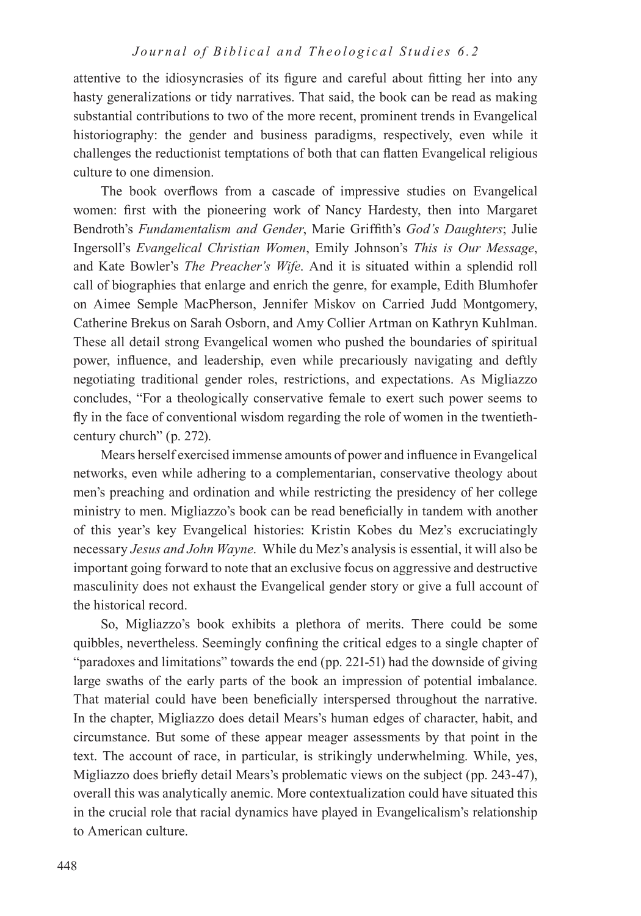attentive to the idiosyncrasies of its figure and careful about fitting her into any hasty generalizations or tidy narratives. That said, the book can be read as making substantial contributions to two of the more recent, prominent trends in Evangelical historiography: the gender and business paradigms, respectively, even while it challenges the reductionist temptations of both that can flatten Evangelical religious culture to one dimension.

The book overflows from a cascade of impressive studies on Evangelical women: first with the pioneering work of Nancy Hardesty, then into Margaret Bendroth's *Fundamentalism and Gender*, Marie Griffith's *God's Daughters*; Julie Ingersoll's *Evangelical Christian Women*, Emily Johnson's *This is Our Message*, and Kate Bowler's *The Preacher's Wife*. And it is situated within a splendid roll call of biographies that enlarge and enrich the genre, for example, Edith Blumhofer on Aimee Semple MacPherson, Jennifer Miskov on Carried Judd Montgomery, Catherine Brekus on Sarah Osborn, and Amy Collier Artman on Kathryn Kuhlman. These all detail strong Evangelical women who pushed the boundaries of spiritual power, influence, and leadership, even while precariously navigating and deftly negotiating traditional gender roles, restrictions, and expectations. As Migliazzo concludes, "For a theologically conservative female to exert such power seems to fly in the face of conventional wisdom regarding the role of women in the twentiethcentury church" (p. 272).

Mears herself exercised immense amounts of power and influence in Evangelical networks, even while adhering to a complementarian, conservative theology about men's preaching and ordination and while restricting the presidency of her college ministry to men. Migliazzo's book can be read beneficially in tandem with another of this year's key Evangelical histories: Kristin Kobes du Mez's excruciatingly necessary *Jesus and John Wayne*. While du Mez's analysis is essential, it will also be important going forward to note that an exclusive focus on aggressive and destructive masculinity does not exhaust the Evangelical gender story or give a full account of the historical record.

So, Migliazzo's book exhibits a plethora of merits. There could be some quibbles, nevertheless. Seemingly confining the critical edges to a single chapter of "paradoxes and limitations" towards the end (pp. 221-51) had the downside of giving large swaths of the early parts of the book an impression of potential imbalance. That material could have been beneficially interspersed throughout the narrative. In the chapter, Migliazzo does detail Mears's human edges of character, habit, and circumstance. But some of these appear meager assessments by that point in the text. The account of race, in particular, is strikingly underwhelming. While, yes, Migliazzo does briefly detail Mears's problematic views on the subject (pp. 243-47), overall this was analytically anemic. More contextualization could have situated this in the crucial role that racial dynamics have played in Evangelicalism's relationship to American culture.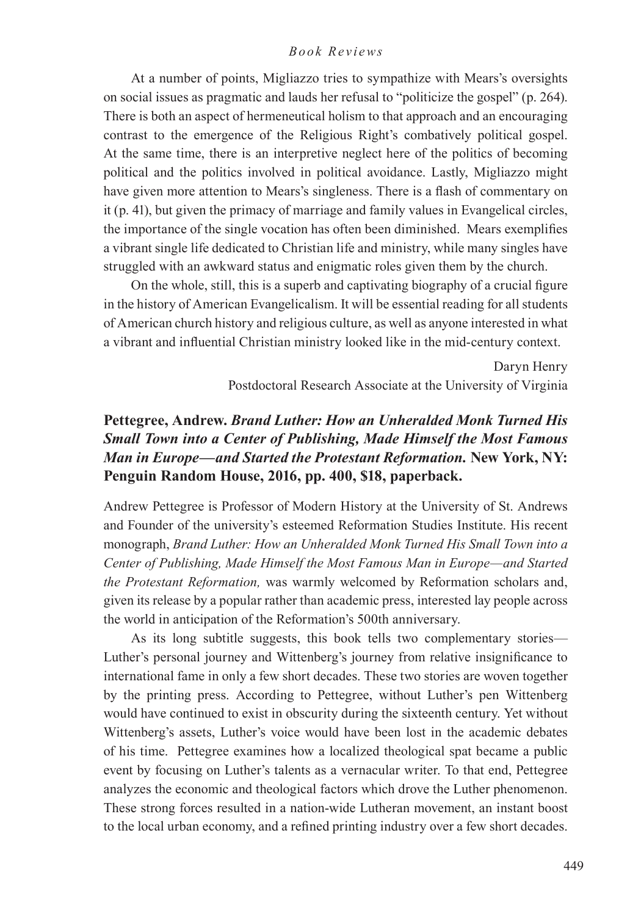At a number of points, Migliazzo tries to sympathize with Mears's oversights on social issues as pragmatic and lauds her refusal to "politicize the gospel" (p. 264). There is both an aspect of hermeneutical holism to that approach and an encouraging contrast to the emergence of the Religious Right's combatively political gospel. At the same time, there is an interpretive neglect here of the politics of becoming political and the politics involved in political avoidance. Lastly, Migliazzo might have given more attention to Mears's singleness. There is a flash of commentary on it (p. 41), but given the primacy of marriage and family values in Evangelical circles, the importance of the single vocation has often been diminished. Mears exemplifies a vibrant single life dedicated to Christian life and ministry, while many singles have struggled with an awkward status and enigmatic roles given them by the church.

On the whole, still, this is a superb and captivating biography of a crucial figure in the history of American Evangelicalism. It will be essential reading for all students of American church history and religious culture, as well as anyone interested in what a vibrant and influential Christian ministry looked like in the mid-century context.

> Daryn Henry Postdoctoral Research Associate at the University of Virginia

## **Pettegree, Andrew.** *Brand Luther: How an Unheralded Monk Turned His Small Town into a Center of Publishing, Made Himself the Most Famous Man in Europe—and Started the Protestant Reformation.* **New York, NY: Penguin Random House, 2016, pp. 400, \$18, paperback.**

Andrew Pettegree is Professor of Modern History at the University of St. Andrews and Founder of the university's esteemed Reformation Studies Institute. His recent monograph, *Brand Luther: How an Unheralded Monk Turned His Small Town into a Center of Publishing, Made Himself the Most Famous Man in Europe—and Started the Protestant Reformation,* was warmly welcomed by Reformation scholars and, given its release by a popular rather than academic press, interested lay people across the world in anticipation of the Reformation's 500th anniversary.

As its long subtitle suggests, this book tells two complementary stories— Luther's personal journey and Wittenberg's journey from relative insignificance to international fame in only a few short decades. These two stories are woven together by the printing press. According to Pettegree, without Luther's pen Wittenberg would have continued to exist in obscurity during the sixteenth century. Yet without Wittenberg's assets, Luther's voice would have been lost in the academic debates of his time. Pettegree examines how a localized theological spat became a public event by focusing on Luther's talents as a vernacular writer. To that end, Pettegree analyzes the economic and theological factors which drove the Luther phenomenon. These strong forces resulted in a nation-wide Lutheran movement, an instant boost to the local urban economy, and a refined printing industry over a few short decades.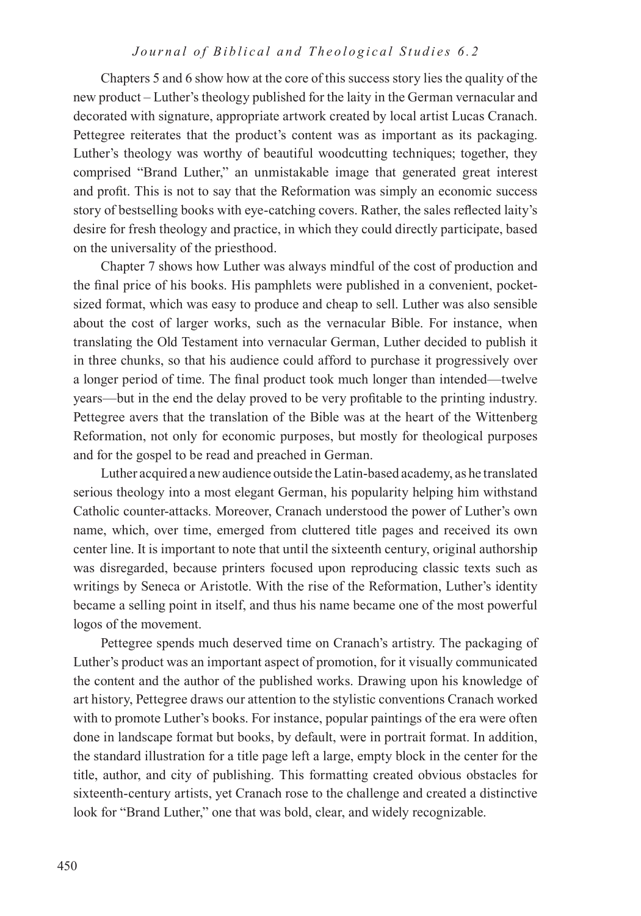Chapters 5 and 6 show how at the core of this success story lies the quality of the new product – Luther's theology published for the laity in the German vernacular and decorated with signature, appropriate artwork created by local artist Lucas Cranach. Pettegree reiterates that the product's content was as important as its packaging. Luther's theology was worthy of beautiful woodcutting techniques; together, they comprised "Brand Luther," an unmistakable image that generated great interest and profit. This is not to say that the Reformation was simply an economic success story of bestselling books with eye-catching covers. Rather, the sales reflected laity's desire for fresh theology and practice, in which they could directly participate, based on the universality of the priesthood.

Chapter 7 shows how Luther was always mindful of the cost of production and the final price of his books. His pamphlets were published in a convenient, pocketsized format, which was easy to produce and cheap to sell. Luther was also sensible about the cost of larger works, such as the vernacular Bible. For instance, when translating the Old Testament into vernacular German, Luther decided to publish it in three chunks, so that his audience could afford to purchase it progressively over a longer period of time. The final product took much longer than intended—twelve years—but in the end the delay proved to be very profitable to the printing industry. Pettegree avers that the translation of the Bible was at the heart of the Wittenberg Reformation, not only for economic purposes, but mostly for theological purposes and for the gospel to be read and preached in German.

Luther acquired a new audience outside the Latin-based academy, as he translated serious theology into a most elegant German, his popularity helping him withstand Catholic counter-attacks. Moreover, Cranach understood the power of Luther's own name, which, over time, emerged from cluttered title pages and received its own center line. It is important to note that until the sixteenth century, original authorship was disregarded, because printers focused upon reproducing classic texts such as writings by Seneca or Aristotle. With the rise of the Reformation, Luther's identity became a selling point in itself, and thus his name became one of the most powerful logos of the movement.

Pettegree spends much deserved time on Cranach's artistry. The packaging of Luther's product was an important aspect of promotion, for it visually communicated the content and the author of the published works. Drawing upon his knowledge of art history, Pettegree draws our attention to the stylistic conventions Cranach worked with to promote Luther's books. For instance, popular paintings of the era were often done in landscape format but books, by default, were in portrait format. In addition, the standard illustration for a title page left a large, empty block in the center for the title, author, and city of publishing. This formatting created obvious obstacles for sixteenth-century artists, yet Cranach rose to the challenge and created a distinctive look for "Brand Luther," one that was bold, clear, and widely recognizable.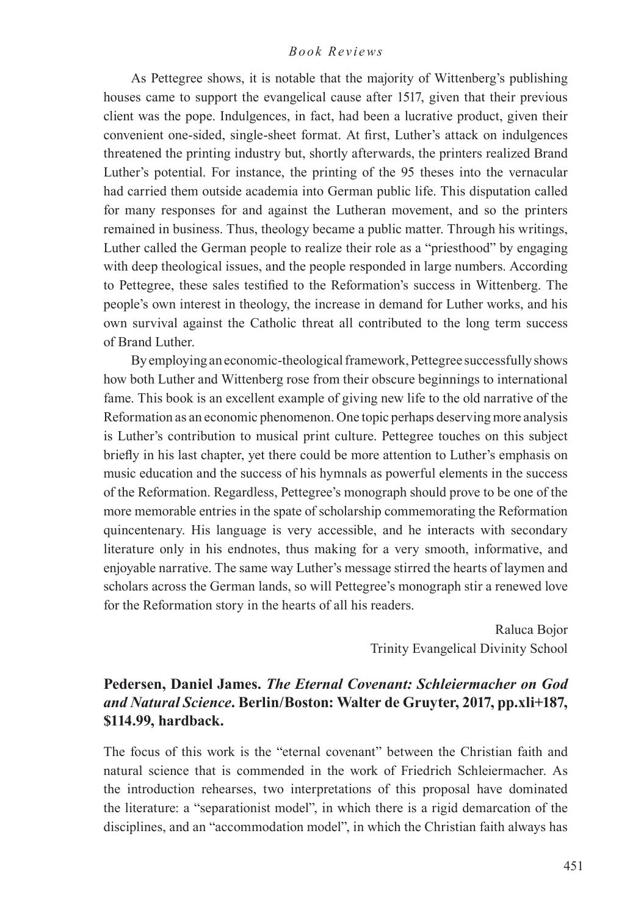As Pettegree shows, it is notable that the majority of Wittenberg's publishing houses came to support the evangelical cause after 1517, given that their previous client was the pope. Indulgences, in fact, had been a lucrative product, given their convenient one-sided, single-sheet format. At first, Luther's attack on indulgences threatened the printing industry but, shortly afterwards, the printers realized Brand Luther's potential. For instance, the printing of the 95 theses into the vernacular had carried them outside academia into German public life. This disputation called for many responses for and against the Lutheran movement, and so the printers remained in business. Thus, theology became a public matter. Through his writings, Luther called the German people to realize their role as a "priesthood" by engaging with deep theological issues, and the people responded in large numbers. According to Pettegree, these sales testified to the Reformation's success in Wittenberg. The people's own interest in theology, the increase in demand for Luther works, and his own survival against the Catholic threat all contributed to the long term success of Brand Luther.

By employing an economic-theological framework, Pettegree successfully shows how both Luther and Wittenberg rose from their obscure beginnings to international fame. This book is an excellent example of giving new life to the old narrative of the Reformation as an economic phenomenon. One topic perhaps deserving more analysis is Luther's contribution to musical print culture. Pettegree touches on this subject briefly in his last chapter, yet there could be more attention to Luther's emphasis on music education and the success of his hymnals as powerful elements in the success of the Reformation. Regardless, Pettegree's monograph should prove to be one of the more memorable entries in the spate of scholarship commemorating the Reformation quincentenary. His language is very accessible, and he interacts with secondary literature only in his endnotes, thus making for a very smooth, informative, and enjoyable narrative. The same way Luther's message stirred the hearts of laymen and scholars across the German lands, so will Pettegree's monograph stir a renewed love for the Reformation story in the hearts of all his readers.

> Raluca Bojor Trinity Evangelical Divinity School

## **Pedersen, Daniel James.** *The Eternal Covenant: Schleiermacher on God and Natural Science***. Berlin/Boston: Walter de Gruyter, 2017, pp.xli+187, \$114.99, hardback.**

The focus of this work is the "eternal covenant" between the Christian faith and natural science that is commended in the work of Friedrich Schleiermacher. As the introduction rehearses, two interpretations of this proposal have dominated the literature: a "separationist model", in which there is a rigid demarcation of the disciplines, and an "accommodation model", in which the Christian faith always has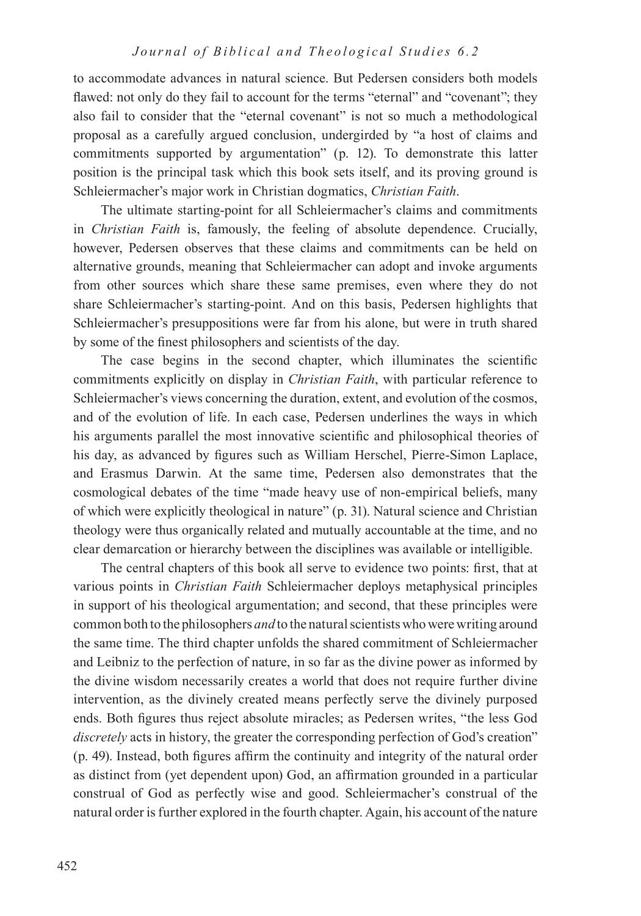to accommodate advances in natural science. But Pedersen considers both models flawed: not only do they fail to account for the terms "eternal" and "covenant"; they also fail to consider that the "eternal covenant" is not so much a methodological proposal as a carefully argued conclusion, undergirded by "a host of claims and commitments supported by argumentation" (p. 12). To demonstrate this latter position is the principal task which this book sets itself, and its proving ground is Schleiermacher's major work in Christian dogmatics, *Christian Faith*.

The ultimate starting-point for all Schleiermacher's claims and commitments in *Christian Faith* is, famously, the feeling of absolute dependence. Crucially, however, Pedersen observes that these claims and commitments can be held on alternative grounds, meaning that Schleiermacher can adopt and invoke arguments from other sources which share these same premises, even where they do not share Schleiermacher's starting-point. And on this basis, Pedersen highlights that Schleiermacher's presuppositions were far from his alone, but were in truth shared by some of the finest philosophers and scientists of the day.

The case begins in the second chapter, which illuminates the scientific commitments explicitly on display in *Christian Faith*, with particular reference to Schleiermacher's views concerning the duration, extent, and evolution of the cosmos, and of the evolution of life. In each case, Pedersen underlines the ways in which his arguments parallel the most innovative scientific and philosophical theories of his day, as advanced by figures such as William Herschel, Pierre-Simon Laplace, and Erasmus Darwin. At the same time, Pedersen also demonstrates that the cosmological debates of the time "made heavy use of non-empirical beliefs, many of which were explicitly theological in nature" (p. 31). Natural science and Christian theology were thus organically related and mutually accountable at the time, and no clear demarcation or hierarchy between the disciplines was available or intelligible.

The central chapters of this book all serve to evidence two points: first, that at various points in *Christian Faith* Schleiermacher deploys metaphysical principles in support of his theological argumentation; and second, that these principles were common both to the philosophers *and* to the natural scientists who were writing around the same time. The third chapter unfolds the shared commitment of Schleiermacher and Leibniz to the perfection of nature, in so far as the divine power as informed by the divine wisdom necessarily creates a world that does not require further divine intervention, as the divinely created means perfectly serve the divinely purposed ends. Both figures thus reject absolute miracles; as Pedersen writes, "the less God *discretely* acts in history, the greater the corresponding perfection of God's creation" (p. 49). Instead, both figures affirm the continuity and integrity of the natural order as distinct from (yet dependent upon) God, an affirmation grounded in a particular construal of God as perfectly wise and good. Schleiermacher's construal of the natural order is further explored in the fourth chapter. Again, his account of the nature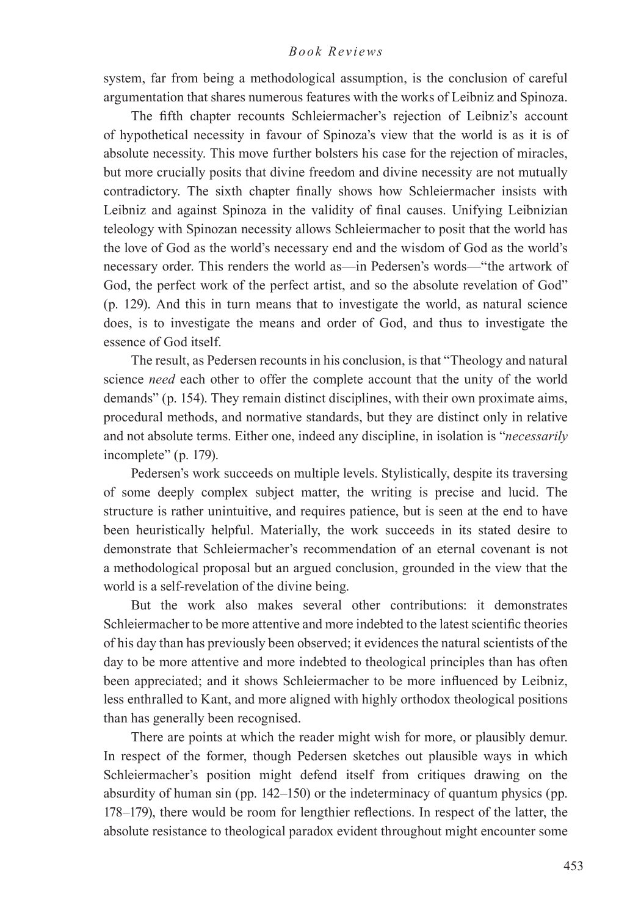system, far from being a methodological assumption, is the conclusion of careful argumentation that shares numerous features with the works of Leibniz and Spinoza.

The fifth chapter recounts Schleiermacher's rejection of Leibniz's account of hypothetical necessity in favour of Spinoza's view that the world is as it is of absolute necessity. This move further bolsters his case for the rejection of miracles, but more crucially posits that divine freedom and divine necessity are not mutually contradictory. The sixth chapter finally shows how Schleiermacher insists with Leibniz and against Spinoza in the validity of final causes. Unifying Leibnizian teleology with Spinozan necessity allows Schleiermacher to posit that the world has the love of God as the world's necessary end and the wisdom of God as the world's necessary order. This renders the world as—in Pedersen's words—"the artwork of God, the perfect work of the perfect artist, and so the absolute revelation of God" (p. 129). And this in turn means that to investigate the world, as natural science does, is to investigate the means and order of God, and thus to investigate the essence of God itself.

The result, as Pedersen recounts in his conclusion, is that "Theology and natural science *need* each other to offer the complete account that the unity of the world demands" (p. 154). They remain distinct disciplines, with their own proximate aims, procedural methods, and normative standards, but they are distinct only in relative and not absolute terms. Either one, indeed any discipline, in isolation is "*necessarily*  incomplete" (p. 179).

Pedersen's work succeeds on multiple levels. Stylistically, despite its traversing of some deeply complex subject matter, the writing is precise and lucid. The structure is rather unintuitive, and requires patience, but is seen at the end to have been heuristically helpful. Materially, the work succeeds in its stated desire to demonstrate that Schleiermacher's recommendation of an eternal covenant is not a methodological proposal but an argued conclusion, grounded in the view that the world is a self-revelation of the divine being.

But the work also makes several other contributions: it demonstrates Schleiermacher to be more attentive and more indebted to the latest scientific theories of his day than has previously been observed; it evidences the natural scientists of the day to be more attentive and more indebted to theological principles than has often been appreciated; and it shows Schleiermacher to be more influenced by Leibniz, less enthralled to Kant, and more aligned with highly orthodox theological positions than has generally been recognised.

There are points at which the reader might wish for more, or plausibly demur. In respect of the former, though Pedersen sketches out plausible ways in which Schleiermacher's position might defend itself from critiques drawing on the absurdity of human sin (pp. 142–150) or the indeterminacy of quantum physics (pp. 178–179), there would be room for lengthier reflections. In respect of the latter, the absolute resistance to theological paradox evident throughout might encounter some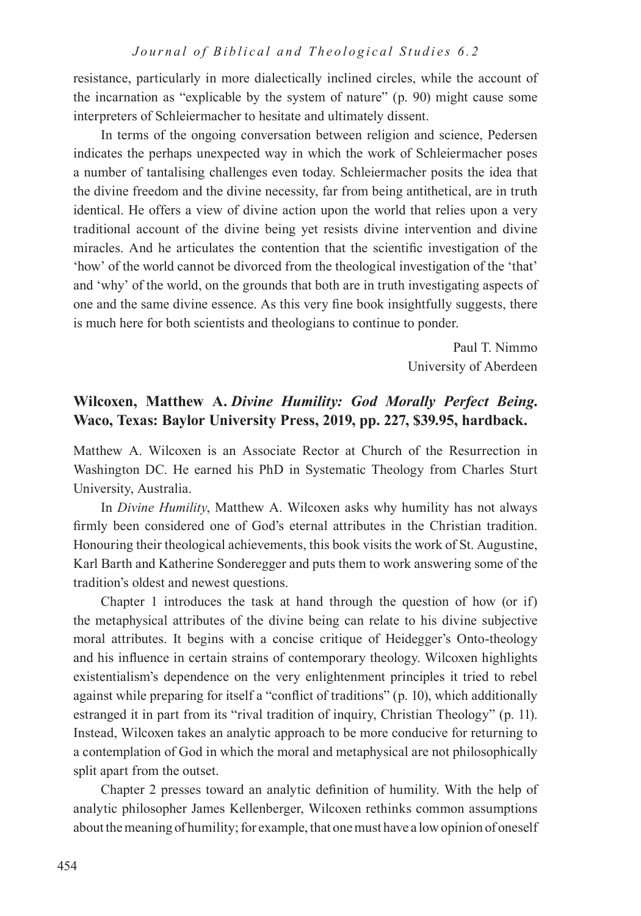resistance, particularly in more dialectically inclined circles, while the account of the incarnation as "explicable by the system of nature" (p. 90) might cause some interpreters of Schleiermacher to hesitate and ultimately dissent.

In terms of the ongoing conversation between religion and science, Pedersen indicates the perhaps unexpected way in which the work of Schleiermacher poses a number of tantalising challenges even today. Schleiermacher posits the idea that the divine freedom and the divine necessity, far from being antithetical, are in truth identical. He offers a view of divine action upon the world that relies upon a very traditional account of the divine being yet resists divine intervention and divine miracles. And he articulates the contention that the scientific investigation of the 'how' of the world cannot be divorced from the theological investigation of the 'that' and 'why' of the world, on the grounds that both are in truth investigating aspects of one and the same divine essence. As this very fine book insightfully suggests, there is much here for both scientists and theologians to continue to ponder.

> Paul T. Nimmo University of Aberdeen

## **Wilcoxen, Matthew A.** *Divine Humility: God Morally Perfect Being***. Waco, Texas: Baylor University Press, 2019, pp. 227, \$39.95, hardback.**

Matthew A. Wilcoxen is an Associate Rector at Church of the Resurrection in Washington DC. He earned his PhD in Systematic Theology from Charles Sturt University, Australia.

In *Divine Humility*, Matthew A. Wilcoxen asks why humility has not always firmly been considered one of God's eternal attributes in the Christian tradition. Honouring their theological achievements, this book visits the work of St. Augustine, Karl Barth and Katherine Sonderegger and puts them to work answering some of the tradition's oldest and newest questions.

Chapter 1 introduces the task at hand through the question of how (or if) the metaphysical attributes of the divine being can relate to his divine subjective moral attributes. It begins with a concise critique of Heidegger's Onto-theology and his influence in certain strains of contemporary theology. Wilcoxen highlights existentialism's dependence on the very enlightenment principles it tried to rebel against while preparing for itself a "conflict of traditions" (p. 10), which additionally estranged it in part from its "rival tradition of inquiry, Christian Theology" (p. 11). Instead, Wilcoxen takes an analytic approach to be more conducive for returning to a contemplation of God in which the moral and metaphysical are not philosophically split apart from the outset.

Chapter 2 presses toward an analytic definition of humility. With the help of analytic philosopher James Kellenberger, Wilcoxen rethinks common assumptions about the meaning of humility; for example, that one must have a low opinion of oneself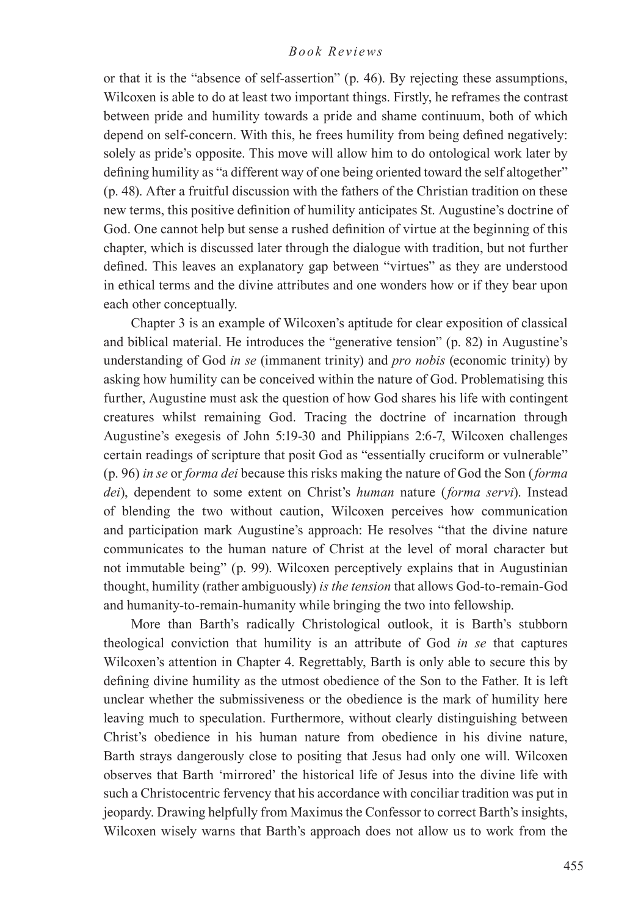or that it is the "absence of self-assertion" (p. 46). By rejecting these assumptions, Wilcoxen is able to do at least two important things. Firstly, he reframes the contrast between pride and humility towards a pride and shame continuum, both of which depend on self-concern. With this, he frees humility from being defined negatively: solely as pride's opposite. This move will allow him to do ontological work later by defining humility as "a different way of one being oriented toward the self altogether" (p. 48). After a fruitful discussion with the fathers of the Christian tradition on these new terms, this positive definition of humility anticipates St. Augustine's doctrine of God. One cannot help but sense a rushed definition of virtue at the beginning of this chapter, which is discussed later through the dialogue with tradition, but not further defined. This leaves an explanatory gap between "virtues" as they are understood in ethical terms and the divine attributes and one wonders how or if they bear upon each other conceptually.

Chapter 3 is an example of Wilcoxen's aptitude for clear exposition of classical and biblical material. He introduces the "generative tension" (p. 82) in Augustine's understanding of God *in se* (immanent trinity) and *pro nobis* (economic trinity) by asking how humility can be conceived within the nature of God. Problematising this further, Augustine must ask the question of how God shares his life with contingent creatures whilst remaining God. Tracing the doctrine of incarnation through Augustine's exegesis of John 5:19-30 and Philippians 2:6-7, Wilcoxen challenges certain readings of scripture that posit God as "essentially cruciform or vulnerable" (p. 96) *in se* or *forma dei* because this risks making the nature of God the Son (*forma dei*), dependent to some extent on Christ's *human* nature (*forma servi*). Instead of blending the two without caution, Wilcoxen perceives how communication and participation mark Augustine's approach: He resolves "that the divine nature communicates to the human nature of Christ at the level of moral character but not immutable being" (p. 99). Wilcoxen perceptively explains that in Augustinian thought, humility (rather ambiguously) *is the tension* that allows God-to-remain-God and humanity-to-remain-humanity while bringing the two into fellowship.

More than Barth's radically Christological outlook, it is Barth's stubborn theological conviction that humility is an attribute of God *in se* that captures Wilcoxen's attention in Chapter 4. Regrettably, Barth is only able to secure this by defining divine humility as the utmost obedience of the Son to the Father. It is left unclear whether the submissiveness or the obedience is the mark of humility here leaving much to speculation. Furthermore, without clearly distinguishing between Christ's obedience in his human nature from obedience in his divine nature, Barth strays dangerously close to positing that Jesus had only one will. Wilcoxen observes that Barth 'mirrored' the historical life of Jesus into the divine life with such a Christocentric fervency that his accordance with conciliar tradition was put in jeopardy. Drawing helpfully from Maximus the Confessor to correct Barth's insights, Wilcoxen wisely warns that Barth's approach does not allow us to work from the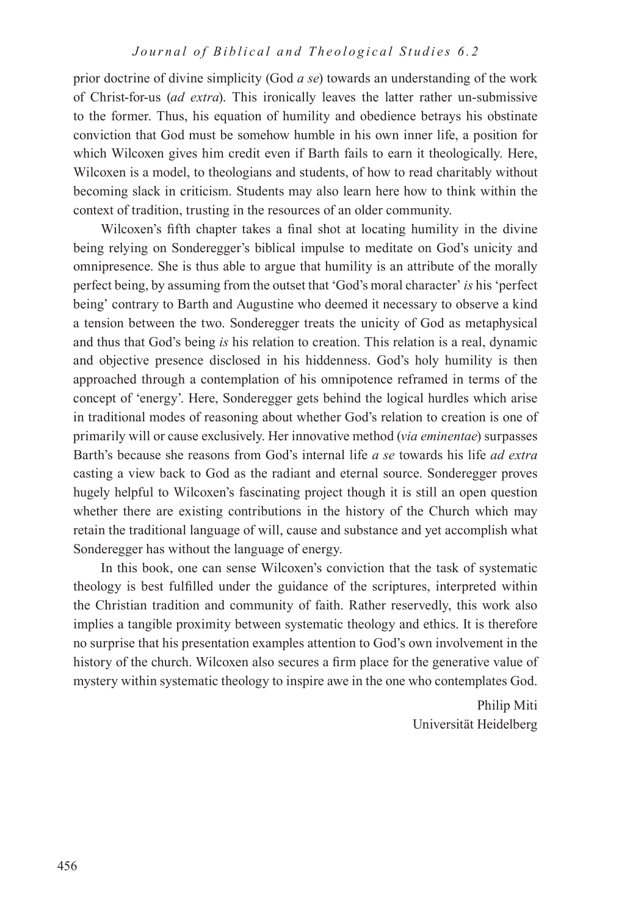prior doctrine of divine simplicity (God *a se*) towards an understanding of the work of Christ-for-us (*ad extra*). This ironically leaves the latter rather un-submissive to the former. Thus, his equation of humility and obedience betrays his obstinate conviction that God must be somehow humble in his own inner life, a position for which Wilcoxen gives him credit even if Barth fails to earn it theologically. Here, Wilcoxen is a model, to theologians and students, of how to read charitably without becoming slack in criticism. Students may also learn here how to think within the context of tradition, trusting in the resources of an older community.

Wilcoxen's fifth chapter takes a final shot at locating humility in the divine being relying on Sonderegger's biblical impulse to meditate on God's unicity and omnipresence. She is thus able to argue that humility is an attribute of the morally perfect being, by assuming from the outset that 'God's moral character' *is* his 'perfect being' contrary to Barth and Augustine who deemed it necessary to observe a kind a tension between the two. Sonderegger treats the unicity of God as metaphysical and thus that God's being *is* his relation to creation. This relation is a real, dynamic and objective presence disclosed in his hiddenness. God's holy humility is then approached through a contemplation of his omnipotence reframed in terms of the concept of 'energy'. Here, Sonderegger gets behind the logical hurdles which arise in traditional modes of reasoning about whether God's relation to creation is one of primarily will or cause exclusively. Her innovative method (*via eminentae*) surpasses Barth's because she reasons from God's internal life *a se* towards his life *ad extra*  casting a view back to God as the radiant and eternal source. Sonderegger proves hugely helpful to Wilcoxen's fascinating project though it is still an open question whether there are existing contributions in the history of the Church which may retain the traditional language of will, cause and substance and yet accomplish what Sonderegger has without the language of energy.

In this book, one can sense Wilcoxen's conviction that the task of systematic theology is best fulfilled under the guidance of the scriptures, interpreted within the Christian tradition and community of faith. Rather reservedly, this work also implies a tangible proximity between systematic theology and ethics. It is therefore no surprise that his presentation examples attention to God's own involvement in the history of the church. Wilcoxen also secures a firm place for the generative value of mystery within systematic theology to inspire awe in the one who contemplates God.

> Philip Miti Universität Heidelberg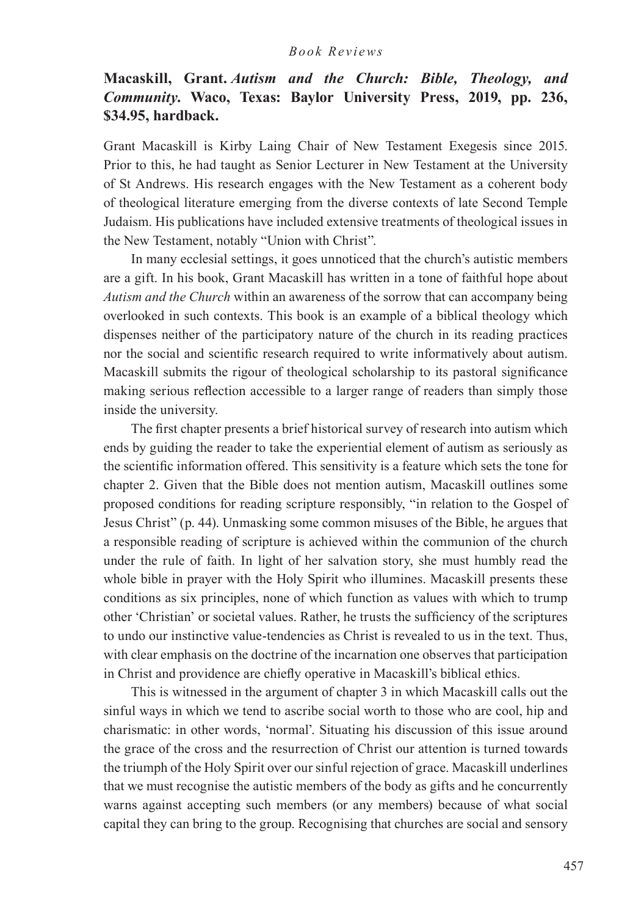## **Macaskill, Grant.** *Autism and the Church: Bible, Theology, and Community***. Waco, Texas: Baylor University Press, 2019, pp. 236, \$34.95, hardback.**

Grant Macaskill is Kirby Laing Chair of New Testament Exegesis since 2015. Prior to this, he had taught as Senior Lecturer in New Testament at the University of St Andrews. His research engages with the New Testament as a coherent body of theological literature emerging from the diverse contexts of late Second Temple Judaism. His publications have included extensive treatments of theological issues in the New Testament, notably "Union with Christ".

In many ecclesial settings, it goes unnoticed that the church's autistic members are a gift. In his book, Grant Macaskill has written in a tone of faithful hope about *Autism and the Church* within an awareness of the sorrow that can accompany being overlooked in such contexts. This book is an example of a biblical theology which dispenses neither of the participatory nature of the church in its reading practices nor the social and scientific research required to write informatively about autism. Macaskill submits the rigour of theological scholarship to its pastoral significance making serious reflection accessible to a larger range of readers than simply those inside the university.

The first chapter presents a brief historical survey of research into autism which ends by guiding the reader to take the experiential element of autism as seriously as the scientific information offered. This sensitivity is a feature which sets the tone for chapter 2. Given that the Bible does not mention autism, Macaskill outlines some proposed conditions for reading scripture responsibly, "in relation to the Gospel of Jesus Christ" (p. 44). Unmasking some common misuses of the Bible, he argues that a responsible reading of scripture is achieved within the communion of the church under the rule of faith. In light of her salvation story, she must humbly read the whole bible in prayer with the Holy Spirit who illumines. Macaskill presents these conditions as six principles, none of which function as values with which to trump other 'Christian' or societal values. Rather, he trusts the sufficiency of the scriptures to undo our instinctive value-tendencies as Christ is revealed to us in the text. Thus, with clear emphasis on the doctrine of the incarnation one observes that participation in Christ and providence are chiefly operative in Macaskill's biblical ethics.

This is witnessed in the argument of chapter 3 in which Macaskill calls out the sinful ways in which we tend to ascribe social worth to those who are cool, hip and charismatic: in other words, 'normal'. Situating his discussion of this issue around the grace of the cross and the resurrection of Christ our attention is turned towards the triumph of the Holy Spirit over our sinful rejection of grace. Macaskill underlines that we must recognise the autistic members of the body as gifts and he concurrently warns against accepting such members (or any members) because of what social capital they can bring to the group. Recognising that churches are social and sensory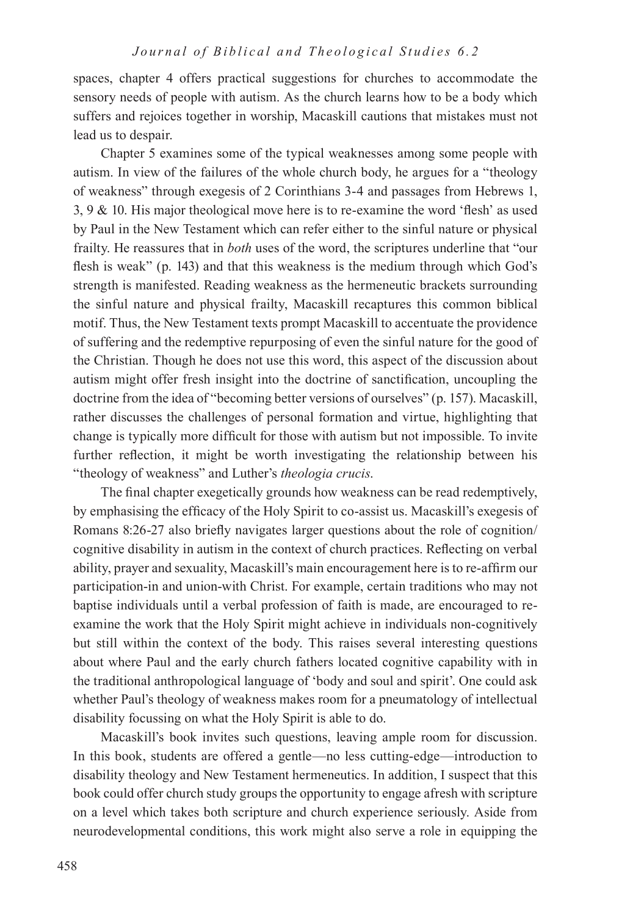spaces, chapter 4 offers practical suggestions for churches to accommodate the sensory needs of people with autism. As the church learns how to be a body which suffers and rejoices together in worship, Macaskill cautions that mistakes must not lead us to despair.

Chapter 5 examines some of the typical weaknesses among some people with autism. In view of the failures of the whole church body, he argues for a "theology of weakness" through exegesis of 2 Corinthians 3-4 and passages from Hebrews 1, 3, 9 & 10. His major theological move here is to re-examine the word 'flesh' as used by Paul in the New Testament which can refer either to the sinful nature or physical frailty. He reassures that in *both* uses of the word, the scriptures underline that "our flesh is weak" (p. 143) and that this weakness is the medium through which God's strength is manifested. Reading weakness as the hermeneutic brackets surrounding the sinful nature and physical frailty, Macaskill recaptures this common biblical motif. Thus, the New Testament texts prompt Macaskill to accentuate the providence of suffering and the redemptive repurposing of even the sinful nature for the good of the Christian. Though he does not use this word, this aspect of the discussion about autism might offer fresh insight into the doctrine of sanctification, uncoupling the doctrine from the idea of "becoming better versions of ourselves" (p. 157). Macaskill, rather discusses the challenges of personal formation and virtue, highlighting that change is typically more difficult for those with autism but not impossible. To invite further reflection, it might be worth investigating the relationship between his "theology of weakness" and Luther's *theologia crucis*.

The final chapter exegetically grounds how weakness can be read redemptively, by emphasising the efficacy of the Holy Spirit to co-assist us. Macaskill's exegesis of Romans 8:26-27 also briefly navigates larger questions about the role of cognition/ cognitive disability in autism in the context of church practices. Reflecting on verbal ability, prayer and sexuality, Macaskill's main encouragement here is to re-affirm our participation-in and union-with Christ. For example, certain traditions who may not baptise individuals until a verbal profession of faith is made, are encouraged to reexamine the work that the Holy Spirit might achieve in individuals non-cognitively but still within the context of the body. This raises several interesting questions about where Paul and the early church fathers located cognitive capability with in the traditional anthropological language of 'body and soul and spirit'. One could ask whether Paul's theology of weakness makes room for a pneumatology of intellectual disability focussing on what the Holy Spirit is able to do.

Macaskill's book invites such questions, leaving ample room for discussion. In this book, students are offered a gentle—no less cutting-edge—introduction to disability theology and New Testament hermeneutics. In addition, I suspect that this book could offer church study groups the opportunity to engage afresh with scripture on a level which takes both scripture and church experience seriously. Aside from neurodevelopmental conditions, this work might also serve a role in equipping the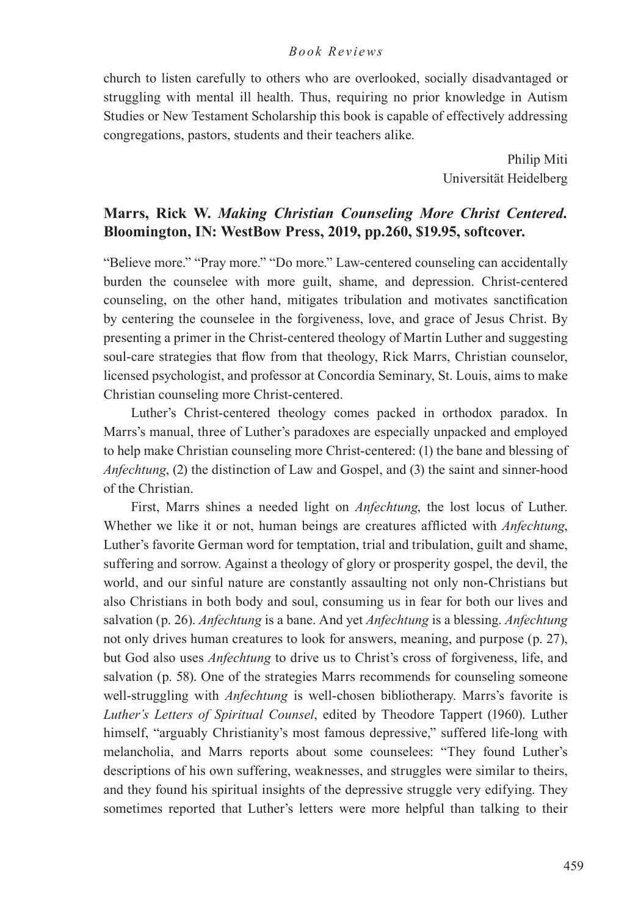church to listen carefully to others who are overlooked, socially disadvantaged or struggling with mental ill health. Thus, requiring no prior knowledge in Autism Studies or New Testament Scholarship this book is capable of effectively addressing congregations, pastors, students and their teachers alike.

> Philip Miti Universität Heidelberg

## **Marrs, Rick W.** *Making Christian Counseling More Christ Centered.* **Bloomington, IN: WestBow Press, 2019, pp.260, \$19.95, softcover.**

"Believe more." "Pray more." "Do more." Law-centered counseling can accidentally burden the counselee with more guilt, shame, and depression. Christ-centered counseling, on the other hand, mitigates tribulation and motivates sanctification by centering the counselee in the forgiveness, love, and grace of Jesus Christ. By presenting a primer in the Christ-centered theology of Martin Luther and suggesting soul-care strategies that flow from that theology, Rick Marrs, Christian counselor, licensed psychologist, and professor at Concordia Seminary, St. Louis, aims to make Christian counseling more Christ-centered.

Luther's Christ-centered theology comes packed in orthodox paradox. In Marrs's manual, three of Luther's paradoxes are especially unpacked and employed to help make Christian counseling more Christ-centered: (1) the bane and blessing of *Anfechtung*, (2) the distinction of Law and Gospel, and (3) the saint and sinner-hood of the Christian.

First, Marrs shines a needed light on *Anfechtung*, the lost locus of Luther. Whether we like it or not, human beings are creatures afflicted with *Anfechtung*, Luther's favorite German word for temptation, trial and tribulation, guilt and shame, suffering and sorrow. Against a theology of glory or prosperity gospel, the devil, the world, and our sinful nature are constantly assaulting not only non-Christians but also Christians in both body and soul, consuming us in fear for both our lives and salvation (p. 26). *Anfechtung* is a bane. And yet *Anfechtung* is a blessing. *Anfechtung* not only drives human creatures to look for answers, meaning, and purpose (p. 27), but God also uses *Anfechtung* to drive us to Christ's cross of forgiveness, life, and salvation (p. 58). One of the strategies Marrs recommends for counseling someone well-struggling with *Anfechtung* is well-chosen bibliotherapy. Marrs's favorite is *Luther's Letters of Spiritual Counsel*, edited by Theodore Tappert (1960). Luther himself, "arguably Christianity's most famous depressive," suffered life-long with melancholia, and Marrs reports about some counselees: "They found Luther's descriptions of his own suffering, weaknesses, and struggles were similar to theirs, and they found his spiritual insights of the depressive struggle very edifying. They sometimes reported that Luther's letters were more helpful than talking to their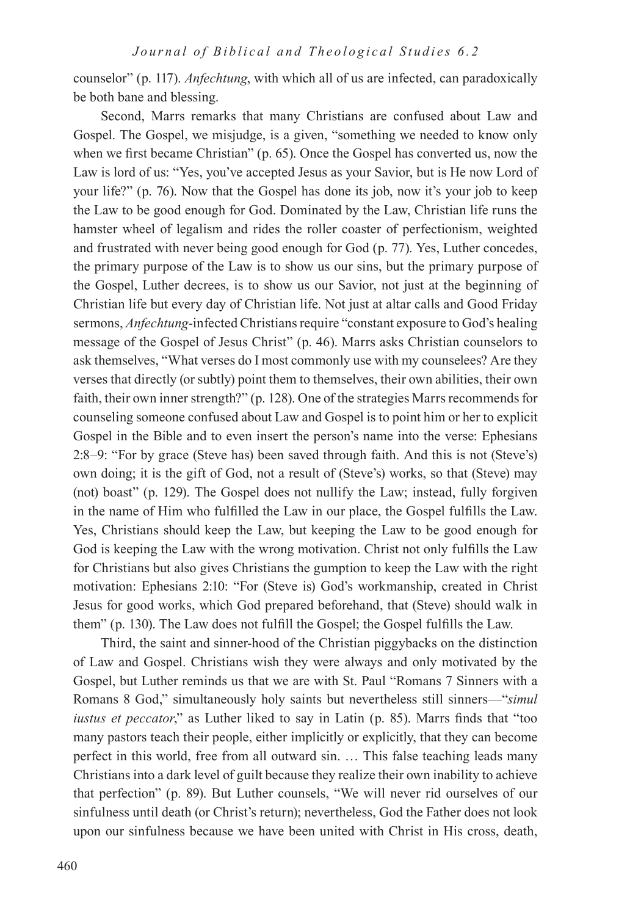counselor" (p. 117). *Anfechtung*, with which all of us are infected, can paradoxically be both bane and blessing.

Second, Marrs remarks that many Christians are confused about Law and Gospel. The Gospel, we misjudge, is a given, "something we needed to know only when we first became Christian" (p. 65). Once the Gospel has converted us, now the Law is lord of us: "Yes, you've accepted Jesus as your Savior, but is He now Lord of your life?" (p. 76). Now that the Gospel has done its job, now it's your job to keep the Law to be good enough for God. Dominated by the Law, Christian life runs the hamster wheel of legalism and rides the roller coaster of perfectionism, weighted and frustrated with never being good enough for God (p. 77). Yes, Luther concedes, the primary purpose of the Law is to show us our sins, but the primary purpose of the Gospel, Luther decrees, is to show us our Savior, not just at the beginning of Christian life but every day of Christian life. Not just at altar calls and Good Friday sermons, *Anfechtung*-infected Christians require "constant exposure to God's healing message of the Gospel of Jesus Christ" (p. 46). Marrs asks Christian counselors to ask themselves, "What verses do I most commonly use with my counselees? Are they verses that directly (or subtly) point them to themselves, their own abilities, their own faith, their own inner strength?" (p. 128). One of the strategies Marrs recommends for counseling someone confused about Law and Gospel is to point him or her to explicit Gospel in the Bible and to even insert the person's name into the verse: Ephesians 2:8–9: "For by grace (Steve has) been saved through faith. And this is not (Steve's) own doing; it is the gift of God, not a result of (Steve's) works, so that (Steve) may (not) boast" (p. 129). The Gospel does not nullify the Law; instead, fully forgiven in the name of Him who fulfilled the Law in our place, the Gospel fulfills the Law. Yes, Christians should keep the Law, but keeping the Law to be good enough for God is keeping the Law with the wrong motivation. Christ not only fulfills the Law for Christians but also gives Christians the gumption to keep the Law with the right motivation: Ephesians 2:10: "For (Steve is) God's workmanship, created in Christ Jesus for good works, which God prepared beforehand, that (Steve) should walk in them" (p. 130). The Law does not fulfill the Gospel; the Gospel fulfills the Law.

Third, the saint and sinner-hood of the Christian piggybacks on the distinction of Law and Gospel. Christians wish they were always and only motivated by the Gospel, but Luther reminds us that we are with St. Paul "Romans 7 Sinners with a Romans 8 God," simultaneously holy saints but nevertheless still sinners—"*simul iustus et peccator*," as Luther liked to say in Latin (p. 85). Marrs finds that "too many pastors teach their people, either implicitly or explicitly, that they can become perfect in this world, free from all outward sin. … This false teaching leads many Christians into a dark level of guilt because they realize their own inability to achieve that perfection" (p. 89). But Luther counsels, "We will never rid ourselves of our sinfulness until death (or Christ's return); nevertheless, God the Father does not look upon our sinfulness because we have been united with Christ in His cross, death,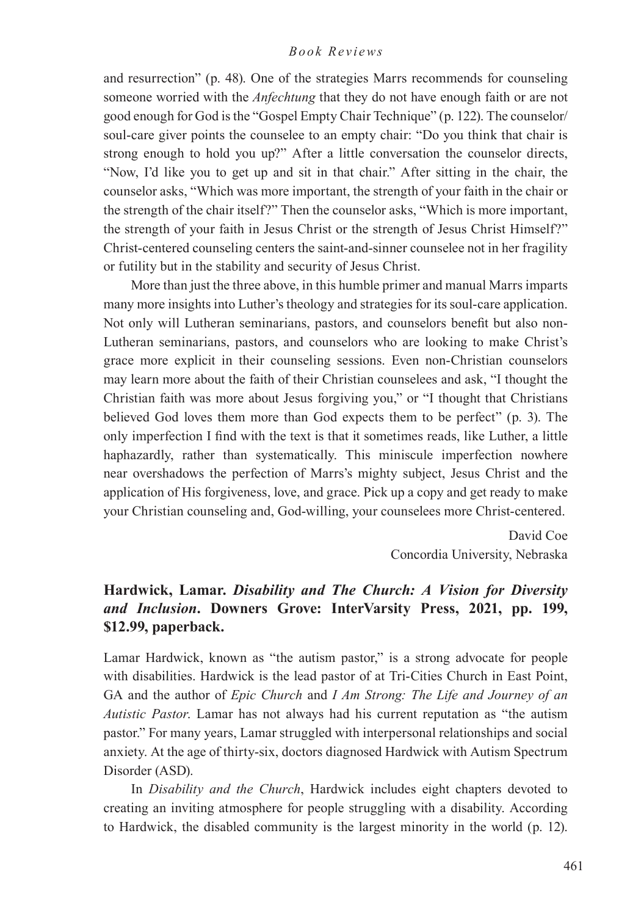and resurrection" (p. 48). One of the strategies Marrs recommends for counseling someone worried with the *Anfechtung* that they do not have enough faith or are not good enough for God is the "Gospel Empty Chair Technique" (p. 122). The counselor/ soul-care giver points the counselee to an empty chair: "Do you think that chair is strong enough to hold you up?" After a little conversation the counselor directs, "Now, I'd like you to get up and sit in that chair." After sitting in the chair, the counselor asks, "Which was more important, the strength of your faith in the chair or the strength of the chair itself?" Then the counselor asks, "Which is more important, the strength of your faith in Jesus Christ or the strength of Jesus Christ Himself?" Christ-centered counseling centers the saint-and-sinner counselee not in her fragility or futility but in the stability and security of Jesus Christ.

More than just the three above, in this humble primer and manual Marrs imparts many more insights into Luther's theology and strategies for its soul-care application. Not only will Lutheran seminarians, pastors, and counselors benefit but also non-Lutheran seminarians, pastors, and counselors who are looking to make Christ's grace more explicit in their counseling sessions. Even non-Christian counselors may learn more about the faith of their Christian counselees and ask, "I thought the Christian faith was more about Jesus forgiving you," or "I thought that Christians believed God loves them more than God expects them to be perfect" (p. 3). The only imperfection I find with the text is that it sometimes reads, like Luther, a little haphazardly, rather than systematically. This miniscule imperfection nowhere near overshadows the perfection of Marrs's mighty subject, Jesus Christ and the application of His forgiveness, love, and grace. Pick up a copy and get ready to make your Christian counseling and, God-willing, your counselees more Christ-centered.

> David Coe Concordia University, Nebraska

## **Hardwick, Lamar.** *Disability and The Church: A Vision for Diversity and Inclusion***. Downers Grove: InterVarsity Press, 2021, pp. 199, \$12.99, paperback.**

Lamar Hardwick, known as "the autism pastor," is a strong advocate for people with disabilities. Hardwick is the lead pastor of at Tri-Cities Church in East Point, GA and the author of *Epic Church* and *I Am Strong: The Life and Journey of an Autistic Pastor*. Lamar has not always had his current reputation as "the autism pastor." For many years, Lamar struggled with interpersonal relationships and social anxiety. At the age of thirty-six, doctors diagnosed Hardwick with Autism Spectrum Disorder (ASD).

In *Disability and the Church*, Hardwick includes eight chapters devoted to creating an inviting atmosphere for people struggling with a disability. According to Hardwick, the disabled community is the largest minority in the world (p. 12).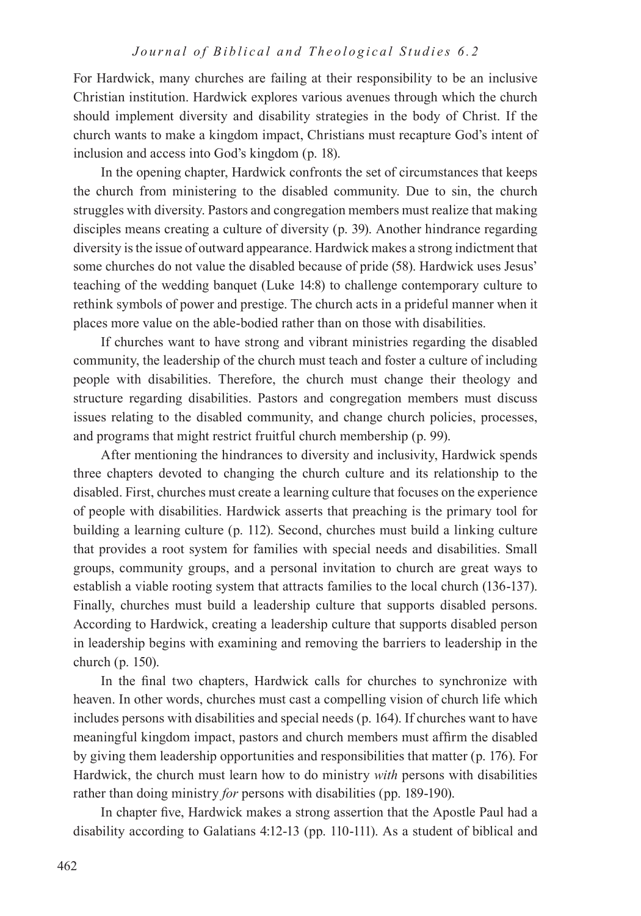For Hardwick, many churches are failing at their responsibility to be an inclusive Christian institution. Hardwick explores various avenues through which the church should implement diversity and disability strategies in the body of Christ. If the church wants to make a kingdom impact, Christians must recapture God's intent of inclusion and access into God's kingdom (p. 18).

In the opening chapter, Hardwick confronts the set of circumstances that keeps the church from ministering to the disabled community. Due to sin, the church struggles with diversity. Pastors and congregation members must realize that making disciples means creating a culture of diversity (p. 39). Another hindrance regarding diversity is the issue of outward appearance. Hardwick makes a strong indictment that some churches do not value the disabled because of pride (58). Hardwick uses Jesus' teaching of the wedding banquet (Luke 14:8) to challenge contemporary culture to rethink symbols of power and prestige. The church acts in a prideful manner when it places more value on the able-bodied rather than on those with disabilities.

If churches want to have strong and vibrant ministries regarding the disabled community, the leadership of the church must teach and foster a culture of including people with disabilities. Therefore, the church must change their theology and structure regarding disabilities. Pastors and congregation members must discuss issues relating to the disabled community, and change church policies, processes, and programs that might restrict fruitful church membership (p. 99).

After mentioning the hindrances to diversity and inclusivity, Hardwick spends three chapters devoted to changing the church culture and its relationship to the disabled. First, churches must create a learning culture that focuses on the experience of people with disabilities. Hardwick asserts that preaching is the primary tool for building a learning culture (p. 112). Second, churches must build a linking culture that provides a root system for families with special needs and disabilities. Small groups, community groups, and a personal invitation to church are great ways to establish a viable rooting system that attracts families to the local church (136-137). Finally, churches must build a leadership culture that supports disabled persons. According to Hardwick, creating a leadership culture that supports disabled person in leadership begins with examining and removing the barriers to leadership in the church (p. 150).

In the final two chapters, Hardwick calls for churches to synchronize with heaven. In other words, churches must cast a compelling vision of church life which includes persons with disabilities and special needs (p. 164). If churches want to have meaningful kingdom impact, pastors and church members must affirm the disabled by giving them leadership opportunities and responsibilities that matter (p. 176). For Hardwick, the church must learn how to do ministry *with* persons with disabilities rather than doing ministry *for* persons with disabilities (pp. 189-190).

In chapter five, Hardwick makes a strong assertion that the Apostle Paul had a disability according to Galatians 4:12-13 (pp. 110-111). As a student of biblical and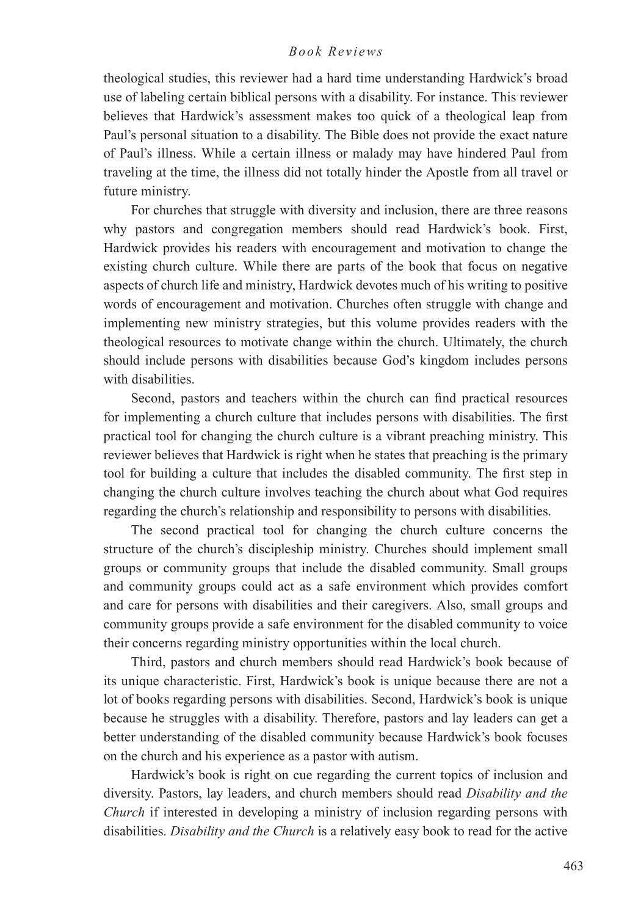theological studies, this reviewer had a hard time understanding Hardwick's broad use of labeling certain biblical persons with a disability. For instance. This reviewer believes that Hardwick's assessment makes too quick of a theological leap from Paul's personal situation to a disability. The Bible does not provide the exact nature of Paul's illness. While a certain illness or malady may have hindered Paul from traveling at the time, the illness did not totally hinder the Apostle from all travel or future ministry.

For churches that struggle with diversity and inclusion, there are three reasons why pastors and congregation members should read Hardwick's book. First, Hardwick provides his readers with encouragement and motivation to change the existing church culture. While there are parts of the book that focus on negative aspects of church life and ministry, Hardwick devotes much of his writing to positive words of encouragement and motivation. Churches often struggle with change and implementing new ministry strategies, but this volume provides readers with the theological resources to motivate change within the church. Ultimately, the church should include persons with disabilities because God's kingdom includes persons with disabilities.

Second, pastors and teachers within the church can find practical resources for implementing a church culture that includes persons with disabilities. The first practical tool for changing the church culture is a vibrant preaching ministry. This reviewer believes that Hardwick is right when he states that preaching is the primary tool for building a culture that includes the disabled community. The first step in changing the church culture involves teaching the church about what God requires regarding the church's relationship and responsibility to persons with disabilities.

The second practical tool for changing the church culture concerns the structure of the church's discipleship ministry. Churches should implement small groups or community groups that include the disabled community. Small groups and community groups could act as a safe environment which provides comfort and care for persons with disabilities and their caregivers. Also, small groups and community groups provide a safe environment for the disabled community to voice their concerns regarding ministry opportunities within the local church.

Third, pastors and church members should read Hardwick's book because of its unique characteristic. First, Hardwick's book is unique because there are not a lot of books regarding persons with disabilities. Second, Hardwick's book is unique because he struggles with a disability. Therefore, pastors and lay leaders can get a better understanding of the disabled community because Hardwick's book focuses on the church and his experience as a pastor with autism.

Hardwick's book is right on cue regarding the current topics of inclusion and diversity. Pastors, lay leaders, and church members should read *Disability and the Church* if interested in developing a ministry of inclusion regarding persons with disabilities. *Disability and the Church* is a relatively easy book to read for the active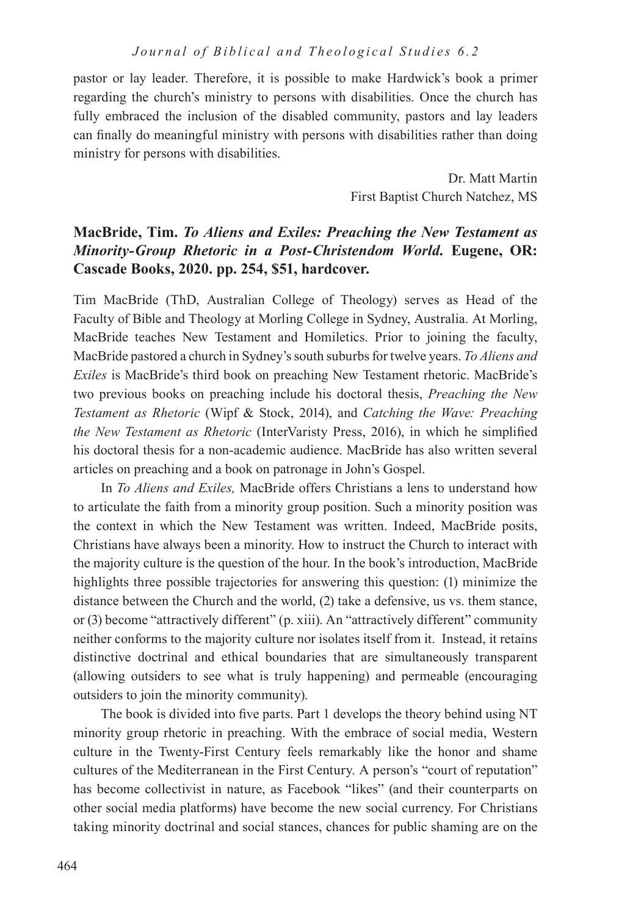pastor or lay leader. Therefore, it is possible to make Hardwick's book a primer regarding the church's ministry to persons with disabilities. Once the church has fully embraced the inclusion of the disabled community, pastors and lay leaders can finally do meaningful ministry with persons with disabilities rather than doing ministry for persons with disabilities.

> Dr. Matt Martin First Baptist Church Natchez, MS

## **MacBride, Tim.** *To Aliens and Exiles: Preaching the New Testament as Minority-Group Rhetoric in a Post-Christendom World.* **Eugene, OR: Cascade Books, 2020. pp. 254, \$51, hardcover.**

Tim MacBride (ThD, Australian College of Theology) serves as Head of the Faculty of Bible and Theology at Morling College in Sydney, Australia. At Morling, MacBride teaches New Testament and Homiletics. Prior to joining the faculty, MacBride pastored a church in Sydney's south suburbs for twelve years. *To Aliens and Exiles* is MacBride's third book on preaching New Testament rhetoric. MacBride's two previous books on preaching include his doctoral thesis, *Preaching the New Testament as Rhetoric* (Wipf & Stock, 2014), and *Catching the Wave: Preaching the New Testament as Rhetoric* (InterVaristy Press, 2016), in which he simplified his doctoral thesis for a non-academic audience. MacBride has also written several articles on preaching and a book on patronage in John's Gospel.

In *To Aliens and Exiles,* MacBride offers Christians a lens to understand how to articulate the faith from a minority group position. Such a minority position was the context in which the New Testament was written. Indeed, MacBride posits, Christians have always been a minority. How to instruct the Church to interact with the majority culture is the question of the hour. In the book's introduction, MacBride highlights three possible trajectories for answering this question: (1) minimize the distance between the Church and the world, (2) take a defensive, us vs. them stance, or (3) become "attractively different" (p. xiii). An "attractively different" community neither conforms to the majority culture nor isolates itself from it. Instead, it retains distinctive doctrinal and ethical boundaries that are simultaneously transparent (allowing outsiders to see what is truly happening) and permeable (encouraging outsiders to join the minority community).

The book is divided into five parts. Part 1 develops the theory behind using NT minority group rhetoric in preaching. With the embrace of social media, Western culture in the Twenty-First Century feels remarkably like the honor and shame cultures of the Mediterranean in the First Century. A person's "court of reputation" has become collectivist in nature, as Facebook "likes" (and their counterparts on other social media platforms) have become the new social currency. For Christians taking minority doctrinal and social stances, chances for public shaming are on the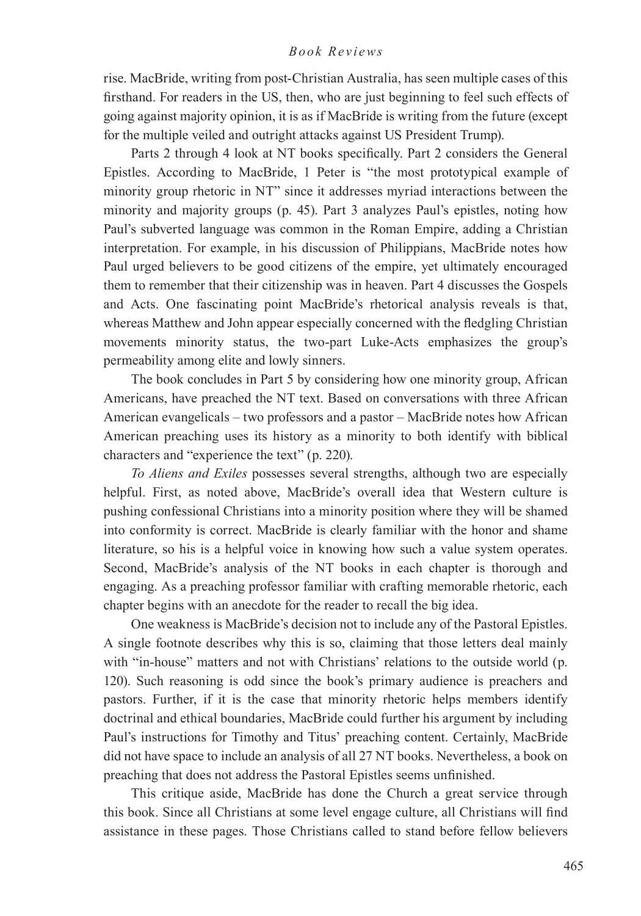rise. MacBride, writing from post-Christian Australia, has seen multiple cases of this firsthand. For readers in the US, then, who are just beginning to feel such effects of going against majority opinion, it is as if MacBride is writing from the future (except for the multiple veiled and outright attacks against US President Trump).

Parts 2 through 4 look at NT books specifically. Part 2 considers the General Epistles. According to MacBride, 1 Peter is "the most prototypical example of minority group rhetoric in NT" since it addresses myriad interactions between the minority and majority groups (p. 45). Part 3 analyzes Paul's epistles, noting how Paul's subverted language was common in the Roman Empire, adding a Christian interpretation. For example, in his discussion of Philippians, MacBride notes how Paul urged believers to be good citizens of the empire, yet ultimately encouraged them to remember that their citizenship was in heaven. Part 4 discusses the Gospels and Acts. One fascinating point MacBride's rhetorical analysis reveals is that, whereas Matthew and John appear especially concerned with the fledgling Christian movements minority status, the two-part Luke-Acts emphasizes the group's permeability among elite and lowly sinners.

The book concludes in Part 5 by considering how one minority group, African Americans, have preached the NT text. Based on conversations with three African American evangelicals – two professors and a pastor – MacBride notes how African American preaching uses its history as a minority to both identify with biblical characters and "experience the text" (p. 220).

*To Aliens and Exiles* possesses several strengths, although two are especially helpful. First, as noted above, MacBride's overall idea that Western culture is pushing confessional Christians into a minority position where they will be shamed into conformity is correct. MacBride is clearly familiar with the honor and shame literature, so his is a helpful voice in knowing how such a value system operates. Second, MacBride's analysis of the NT books in each chapter is thorough and engaging. As a preaching professor familiar with crafting memorable rhetoric, each chapter begins with an anecdote for the reader to recall the big idea.

One weakness is MacBride's decision not to include any of the Pastoral Epistles. A single footnote describes why this is so, claiming that those letters deal mainly with "in-house" matters and not with Christians' relations to the outside world (p. 120). Such reasoning is odd since the book's primary audience is preachers and pastors. Further, if it is the case that minority rhetoric helps members identify doctrinal and ethical boundaries, MacBride could further his argument by including Paul's instructions for Timothy and Titus' preaching content. Certainly, MacBride did not have space to include an analysis of all 27 NT books. Nevertheless, a book on preaching that does not address the Pastoral Epistles seems unfinished.

This critique aside, MacBride has done the Church a great service through this book. Since all Christians at some level engage culture, all Christians will find assistance in these pages. Those Christians called to stand before fellow believers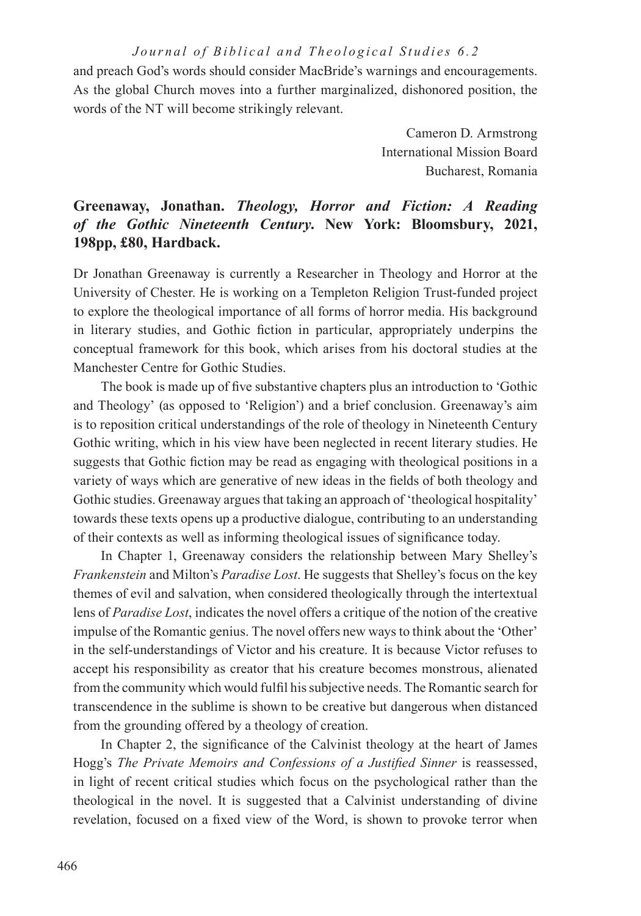and preach God's words should consider MacBride's warnings and encouragements. As the global Church moves into a further marginalized, dishonored position, the words of the NT will become strikingly relevant.

> Cameron D. Armstrong International Mission Board Bucharest, Romania

# **Greenaway, Jonathan.** *Theology, Horror and Fiction: A Reading of the Gothic Nineteenth Century***. New York: Bloomsbury, 2021, 198pp, £80, Hardback.**

Dr Jonathan Greenaway is currently a Researcher in Theology and Horror at the University of Chester. He is working on a Templeton Religion Trust-funded project to explore the theological importance of all forms of horror media. His background in literary studies, and Gothic fiction in particular, appropriately underpins the conceptual framework for this book, which arises from his doctoral studies at the Manchester Centre for Gothic Studies.

The book is made up of five substantive chapters plus an introduction to 'Gothic and Theology' (as opposed to 'Religion') and a brief conclusion. Greenaway's aim is to reposition critical understandings of the role of theology in Nineteenth Century Gothic writing, which in his view have been neglected in recent literary studies. He suggests that Gothic fiction may be read as engaging with theological positions in a variety of ways which are generative of new ideas in the fields of both theology and Gothic studies. Greenaway argues that taking an approach of 'theological hospitality' towards these texts opens up a productive dialogue, contributing to an understanding of their contexts as well as informing theological issues of significance today.

In Chapter 1, Greenaway considers the relationship between Mary Shelley's *Frankenstein* and Milton's *Paradise Lost*. He suggests that Shelley's focus on the key themes of evil and salvation, when considered theologically through the intertextual lens of *Paradise Lost*, indicates the novel offers a critique of the notion of the creative impulse of the Romantic genius. The novel offers new ways to think about the 'Other' in the self-understandings of Victor and his creature. It is because Victor refuses to accept his responsibility as creator that his creature becomes monstrous, alienated from the community which would fulfil his subjective needs. The Romantic search for transcendence in the sublime is shown to be creative but dangerous when distanced from the grounding offered by a theology of creation.

In Chapter 2, the significance of the Calvinist theology at the heart of James Hogg's *The Private Memoirs and Confessions of a Justified Sinner* is reassessed, in light of recent critical studies which focus on the psychological rather than the theological in the novel. It is suggested that a Calvinist understanding of divine revelation, focused on a fixed view of the Word, is shown to provoke terror when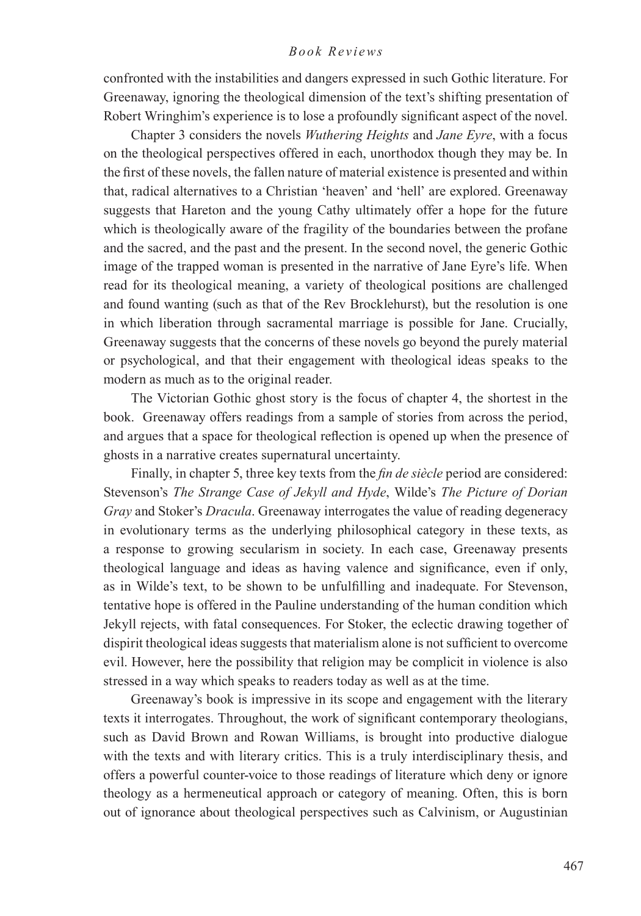confronted with the instabilities and dangers expressed in such Gothic literature. For Greenaway, ignoring the theological dimension of the text's shifting presentation of Robert Wringhim's experience is to lose a profoundly significant aspect of the novel.

Chapter 3 considers the novels *Wuthering Heights* and *Jane Eyre*, with a focus on the theological perspectives offered in each, unorthodox though they may be. In the first of these novels, the fallen nature of material existence is presented and within that, radical alternatives to a Christian 'heaven' and 'hell' are explored. Greenaway suggests that Hareton and the young Cathy ultimately offer a hope for the future which is theologically aware of the fragility of the boundaries between the profane and the sacred, and the past and the present. In the second novel, the generic Gothic image of the trapped woman is presented in the narrative of Jane Eyre's life. When read for its theological meaning, a variety of theological positions are challenged and found wanting (such as that of the Rev Brocklehurst), but the resolution is one in which liberation through sacramental marriage is possible for Jane. Crucially, Greenaway suggests that the concerns of these novels go beyond the purely material or psychological, and that their engagement with theological ideas speaks to the modern as much as to the original reader.

The Victorian Gothic ghost story is the focus of chapter 4, the shortest in the book. Greenaway offers readings from a sample of stories from across the period, and argues that a space for theological reflection is opened up when the presence of ghosts in a narrative creates supernatural uncertainty.

Finally, in chapter 5, three key texts from the *fin de siècle* period are considered: Stevenson's *The Strange Case of Jekyll and Hyde*, Wilde's *The Picture of Dorian Gray* and Stoker's *Dracula*. Greenaway interrogates the value of reading degeneracy in evolutionary terms as the underlying philosophical category in these texts, as a response to growing secularism in society. In each case, Greenaway presents theological language and ideas as having valence and significance, even if only, as in Wilde's text, to be shown to be unfulfilling and inadequate. For Stevenson, tentative hope is offered in the Pauline understanding of the human condition which Jekyll rejects, with fatal consequences. For Stoker, the eclectic drawing together of dispirit theological ideas suggests that materialism alone is not sufficient to overcome evil. However, here the possibility that religion may be complicit in violence is also stressed in a way which speaks to readers today as well as at the time.

Greenaway's book is impressive in its scope and engagement with the literary texts it interrogates. Throughout, the work of significant contemporary theologians, such as David Brown and Rowan Williams, is brought into productive dialogue with the texts and with literary critics. This is a truly interdisciplinary thesis, and offers a powerful counter-voice to those readings of literature which deny or ignore theology as a hermeneutical approach or category of meaning. Often, this is born out of ignorance about theological perspectives such as Calvinism, or Augustinian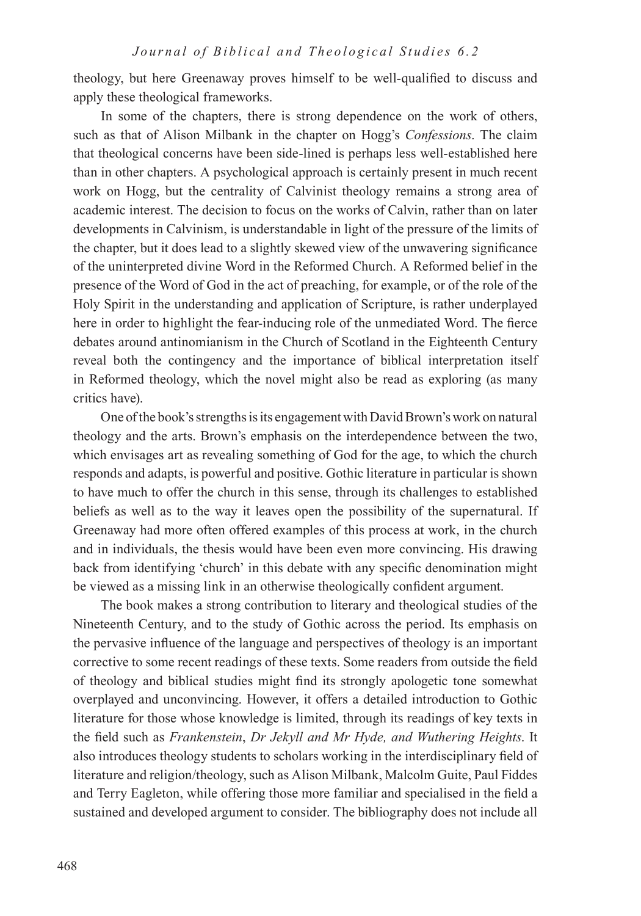theology, but here Greenaway proves himself to be well-qualified to discuss and apply these theological frameworks.

In some of the chapters, there is strong dependence on the work of others, such as that of Alison Milbank in the chapter on Hogg's *Confessions*. The claim that theological concerns have been side-lined is perhaps less well-established here than in other chapters. A psychological approach is certainly present in much recent work on Hogg, but the centrality of Calvinist theology remains a strong area of academic interest. The decision to focus on the works of Calvin, rather than on later developments in Calvinism, is understandable in light of the pressure of the limits of the chapter, but it does lead to a slightly skewed view of the unwavering significance of the uninterpreted divine Word in the Reformed Church. A Reformed belief in the presence of the Word of God in the act of preaching, for example, or of the role of the Holy Spirit in the understanding and application of Scripture, is rather underplayed here in order to highlight the fear-inducing role of the unmediated Word. The fierce debates around antinomianism in the Church of Scotland in the Eighteenth Century reveal both the contingency and the importance of biblical interpretation itself in Reformed theology, which the novel might also be read as exploring (as many critics have).

One of the book's strengths is its engagement with David Brown's work on natural theology and the arts. Brown's emphasis on the interdependence between the two, which envisages art as revealing something of God for the age, to which the church responds and adapts, is powerful and positive. Gothic literature in particular is shown to have much to offer the church in this sense, through its challenges to established beliefs as well as to the way it leaves open the possibility of the supernatural. If Greenaway had more often offered examples of this process at work, in the church and in individuals, the thesis would have been even more convincing. His drawing back from identifying 'church' in this debate with any specific denomination might be viewed as a missing link in an otherwise theologically confident argument.

The book makes a strong contribution to literary and theological studies of the Nineteenth Century, and to the study of Gothic across the period. Its emphasis on the pervasive influence of the language and perspectives of theology is an important corrective to some recent readings of these texts. Some readers from outside the field of theology and biblical studies might find its strongly apologetic tone somewhat overplayed and unconvincing. However, it offers a detailed introduction to Gothic literature for those whose knowledge is limited, through its readings of key texts in the field such as *Frankenstein*, *Dr Jekyll and Mr Hyde, and Wuthering Heights*. It also introduces theology students to scholars working in the interdisciplinary field of literature and religion/theology, such as Alison Milbank, Malcolm Guite, Paul Fiddes and Terry Eagleton, while offering those more familiar and specialised in the field a sustained and developed argument to consider. The bibliography does not include all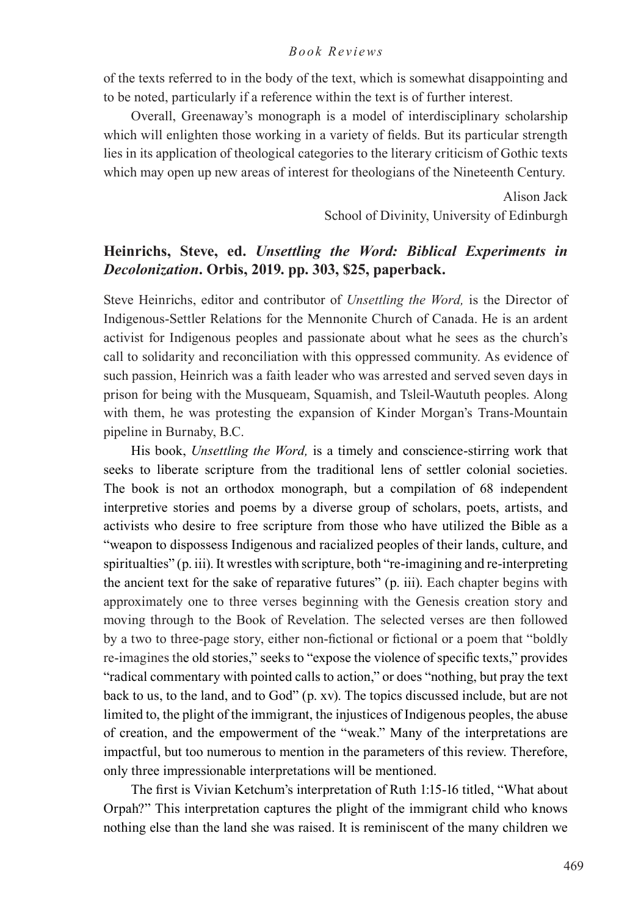of the texts referred to in the body of the text, which is somewhat disappointing and to be noted, particularly if a reference within the text is of further interest.

Overall, Greenaway's monograph is a model of interdisciplinary scholarship which will enlighten those working in a variety of fields. But its particular strength lies in its application of theological categories to the literary criticism of Gothic texts which may open up new areas of interest for theologians of the Nineteenth Century.

> Alison Jack School of Divinity, University of Edinburgh

## **Heinrichs, Steve, ed.** *Unsettling the Word: Biblical Experiments in Decolonization***. Orbis, 2019. pp. 303, \$25, paperback.**

Steve Heinrichs, editor and contributor of *Unsettling the Word,* is the Director of Indigenous-Settler Relations for the Mennonite Church of Canada. He is an ardent activist for Indigenous peoples and passionate about what he sees as the church's call to solidarity and reconciliation with this oppressed community. As evidence of such passion, Heinrich was a faith leader who was arrested and served seven days in prison for being with the Musqueam, Squamish, and Tsleil-Waututh peoples. Along with them, he was protesting the expansion of Kinder Morgan's Trans-Mountain pipeline in Burnaby, B.C.

His book, *Unsettling the Word,* is a timely and conscience-stirring work that seeks to liberate scripture from the traditional lens of settler colonial societies. The book is not an orthodox monograph, but a compilation of 68 independent interpretive stories and poems by a diverse group of scholars, poets, artists, and activists who desire to free scripture from those who have utilized the Bible as a "weapon to dispossess Indigenous and racialized peoples of their lands, culture, and spiritualties" (p. iii). It wrestles with scripture, both "re-imagining and re-interpreting the ancient text for the sake of reparative futures" (p. iii). Each chapter begins with approximately one to three verses beginning with the Genesis creation story and moving through to the Book of Revelation. The selected verses are then followed by a two to three-page story, either non-fictional or fictional or a poem that "boldly re-imagines the old stories," seeks to "expose the violence of specific texts," provides "radical commentary with pointed calls to action," or does "nothing, but pray the text back to us, to the land, and to God" (p. xv). The topics discussed include, but are not limited to, the plight of the immigrant, the injustices of Indigenous peoples, the abuse of creation, and the empowerment of the "weak." Many of the interpretations are impactful, but too numerous to mention in the parameters of this review. Therefore, only three impressionable interpretations will be mentioned.

The first is Vivian Ketchum's interpretation of Ruth 1:15-16 titled, "What about Orpah?" This interpretation captures the plight of the immigrant child who knows nothing else than the land she was raised. It is reminiscent of the many children we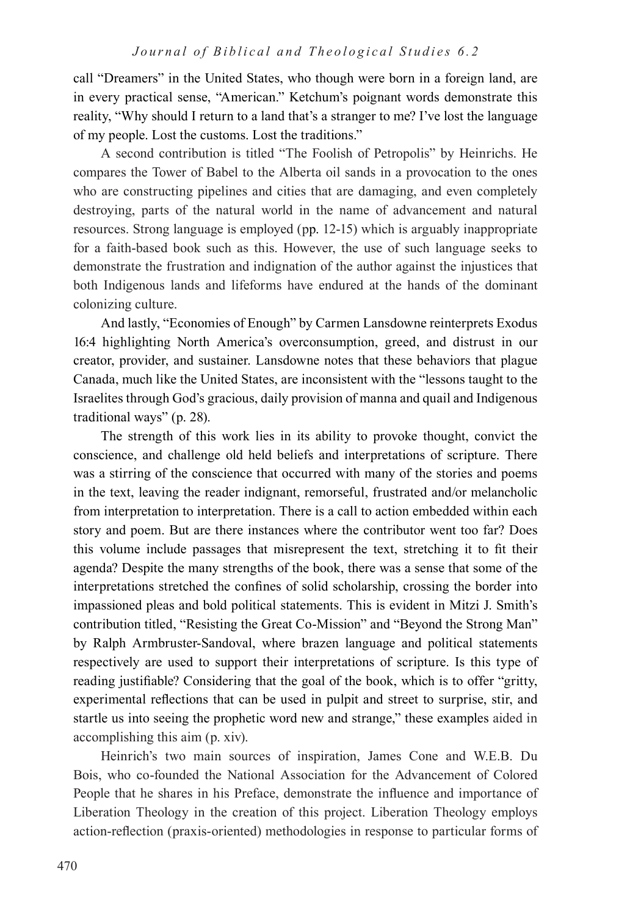call "Dreamers" in the United States, who though were born in a foreign land, are in every practical sense, "American." Ketchum's poignant words demonstrate this reality, "Why should I return to a land that's a stranger to me? I've lost the language of my people. Lost the customs. Lost the traditions."

A second contribution is titled "The Foolish of Petropolis" by Heinrichs. He compares the Tower of Babel to the Alberta oil sands in a provocation to the ones who are constructing pipelines and cities that are damaging, and even completely destroying, parts of the natural world in the name of advancement and natural resources. Strong language is employed (pp. 12-15) which is arguably inappropriate for a faith-based book such as this. However, the use of such language seeks to demonstrate the frustration and indignation of the author against the injustices that both Indigenous lands and lifeforms have endured at the hands of the dominant colonizing culture.

And lastly, "Economies of Enough" by Carmen Lansdowne reinterprets Exodus 16:4 highlighting North America's overconsumption, greed, and distrust in our creator, provider, and sustainer. Lansdowne notes that these behaviors that plague Canada, much like the United States, are inconsistent with the "lessons taught to the Israelites through God's gracious, daily provision of manna and quail and Indigenous traditional ways" (p. 28).

The strength of this work lies in its ability to provoke thought, convict the conscience, and challenge old held beliefs and interpretations of scripture. There was a stirring of the conscience that occurred with many of the stories and poems in the text, leaving the reader indignant, remorseful, frustrated and/or melancholic from interpretation to interpretation. There is a call to action embedded within each story and poem. But are there instances where the contributor went too far? Does this volume include passages that misrepresent the text, stretching it to fit their agenda? Despite the many strengths of the book, there was a sense that some of the interpretations stretched the confines of solid scholarship, crossing the border into impassioned pleas and bold political statements. This is evident in Mitzi J. Smith's contribution titled, "Resisting the Great Co-Mission" and "Beyond the Strong Man" by Ralph Armbruster-Sandoval, where brazen language and political statements respectively are used to support their interpretations of scripture. Is this type of reading justifiable? Considering that the goal of the book, which is to offer "gritty, experimental reflections that can be used in pulpit and street to surprise, stir, and startle us into seeing the prophetic word new and strange," these examples aided in accomplishing this aim (p. xiv).

Heinrich's two main sources of inspiration, James Cone and W.E.B. Du Bois, who co-founded the National Association for the Advancement of Colored People that he shares in his Preface, demonstrate the influence and importance of Liberation Theology in the creation of this project. Liberation Theology employs action-reflection (praxis-oriented) methodologies in response to particular forms of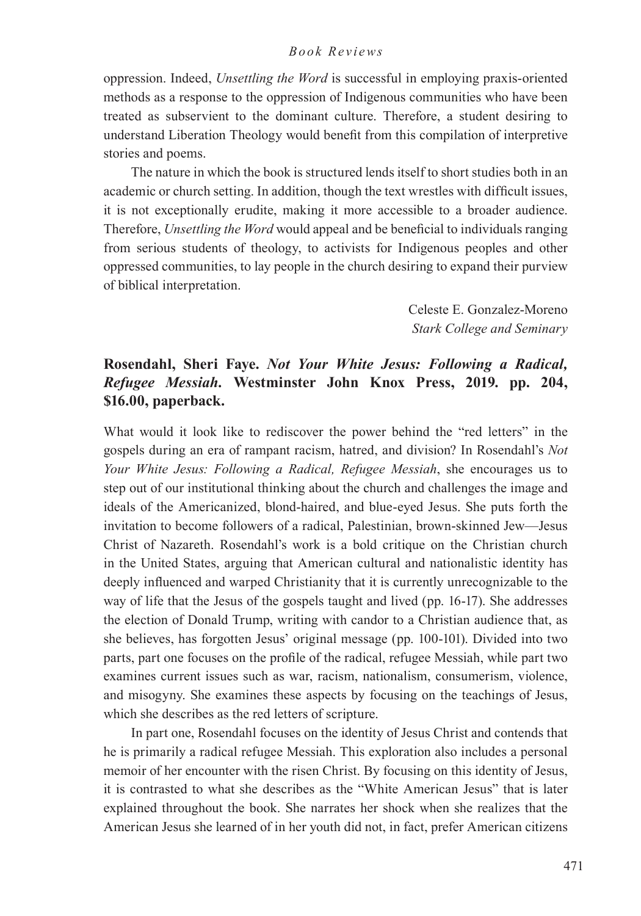oppression. Indeed, *Unsettling the Word* is successful in employing praxis-oriented methods as a response to the oppression of Indigenous communities who have been treated as subservient to the dominant culture. Therefore, a student desiring to understand Liberation Theology would benefit from this compilation of interpretive stories and poems.

The nature in which the book is structured lends itself to short studies both in an academic or church setting. In addition, though the text wrestles with difficult issues, it is not exceptionally erudite, making it more accessible to a broader audience. Therefore, *Unsettling the Word* would appeal and be beneficial to individuals ranging from serious students of theology, to activists for Indigenous peoples and other oppressed communities, to lay people in the church desiring to expand their purview of biblical interpretation.

> Celeste E. Gonzalez-Moreno *Stark College and Seminary*

## **Rosendahl, Sheri Faye.** *Not Your White Jesus: Following a Radical, Refugee Messiah.* **Westminster John Knox Press, 2019. pp. 204, \$16.00, paperback.**

What would it look like to rediscover the power behind the "red letters" in the gospels during an era of rampant racism, hatred, and division? In Rosendahl's *Not Your White Jesus: Following a Radical, Refugee Messiah*, she encourages us to step out of our institutional thinking about the church and challenges the image and ideals of the Americanized, blond-haired, and blue-eyed Jesus. She puts forth the invitation to become followers of a radical, Palestinian, brown-skinned Jew—Jesus Christ of Nazareth. Rosendahl's work is a bold critique on the Christian church in the United States, arguing that American cultural and nationalistic identity has deeply influenced and warped Christianity that it is currently unrecognizable to the way of life that the Jesus of the gospels taught and lived (pp. 16-17). She addresses the election of Donald Trump, writing with candor to a Christian audience that, as she believes, has forgotten Jesus' original message (pp. 100-101). Divided into two parts, part one focuses on the profile of the radical, refugee Messiah, while part two examines current issues such as war, racism, nationalism, consumerism, violence, and misogyny. She examines these aspects by focusing on the teachings of Jesus, which she describes as the red letters of scripture.

In part one, Rosendahl focuses on the identity of Jesus Christ and contends that he is primarily a radical refugee Messiah. This exploration also includes a personal memoir of her encounter with the risen Christ. By focusing on this identity of Jesus, it is contrasted to what she describes as the "White American Jesus" that is later explained throughout the book. She narrates her shock when she realizes that the American Jesus she learned of in her youth did not, in fact, prefer American citizens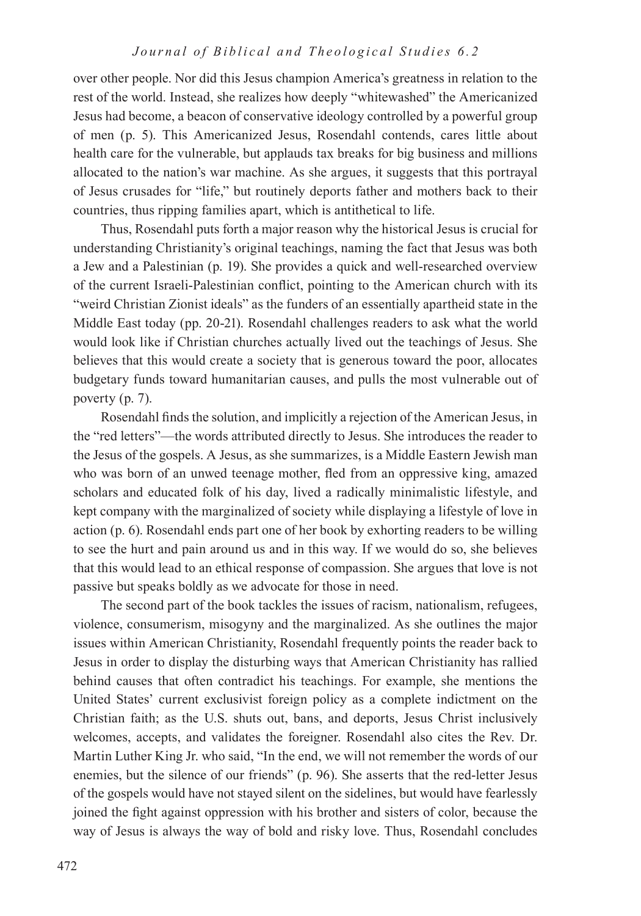over other people. Nor did this Jesus champion America's greatness in relation to the rest of the world. Instead, she realizes how deeply "whitewashed" the Americanized Jesus had become, a beacon of conservative ideology controlled by a powerful group of men (p. 5). This Americanized Jesus, Rosendahl contends, cares little about health care for the vulnerable, but applauds tax breaks for big business and millions allocated to the nation's war machine. As she argues, it suggests that this portrayal of Jesus crusades for "life," but routinely deports father and mothers back to their countries, thus ripping families apart, which is antithetical to life.

Thus, Rosendahl puts forth a major reason why the historical Jesus is crucial for understanding Christianity's original teachings, naming the fact that Jesus was both a Jew and a Palestinian (p. 19). She provides a quick and well-researched overview of the current Israeli-Palestinian conflict, pointing to the American church with its "weird Christian Zionist ideals" as the funders of an essentially apartheid state in the Middle East today (pp. 20-21). Rosendahl challenges readers to ask what the world would look like if Christian churches actually lived out the teachings of Jesus. She believes that this would create a society that is generous toward the poor, allocates budgetary funds toward humanitarian causes, and pulls the most vulnerable out of poverty (p. 7).

Rosendahl finds the solution, and implicitly a rejection of the American Jesus, in the "red letters"—the words attributed directly to Jesus. She introduces the reader to the Jesus of the gospels. A Jesus, as she summarizes, is a Middle Eastern Jewish man who was born of an unwed teenage mother, fled from an oppressive king, amazed scholars and educated folk of his day, lived a radically minimalistic lifestyle, and kept company with the marginalized of society while displaying a lifestyle of love in action (p. 6). Rosendahl ends part one of her book by exhorting readers to be willing to see the hurt and pain around us and in this way. If we would do so, she believes that this would lead to an ethical response of compassion. She argues that love is not passive but speaks boldly as we advocate for those in need.

The second part of the book tackles the issues of racism, nationalism, refugees, violence, consumerism, misogyny and the marginalized. As she outlines the major issues within American Christianity, Rosendahl frequently points the reader back to Jesus in order to display the disturbing ways that American Christianity has rallied behind causes that often contradict his teachings. For example, she mentions the United States' current exclusivist foreign policy as a complete indictment on the Christian faith; as the U.S. shuts out, bans, and deports, Jesus Christ inclusively welcomes, accepts, and validates the foreigner. Rosendahl also cites the Rev. Dr. Martin Luther King Jr. who said, "In the end, we will not remember the words of our enemies, but the silence of our friends" (p. 96). She asserts that the red-letter Jesus of the gospels would have not stayed silent on the sidelines, but would have fearlessly joined the fight against oppression with his brother and sisters of color, because the way of Jesus is always the way of bold and risky love. Thus, Rosendahl concludes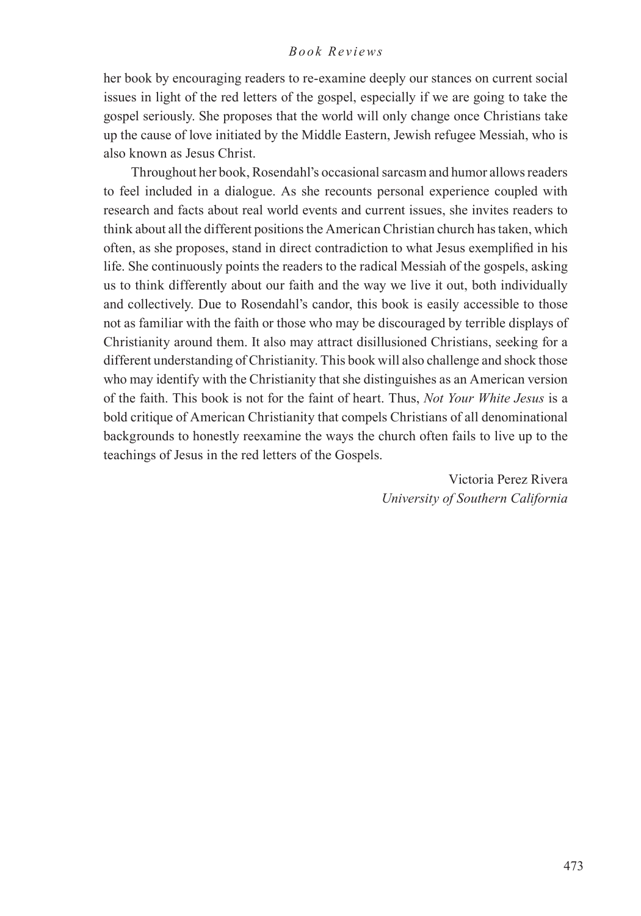## *Book Reviews*

her book by encouraging readers to re-examine deeply our stances on current social issues in light of the red letters of the gospel, especially if we are going to take the gospel seriously. She proposes that the world will only change once Christians take up the cause of love initiated by the Middle Eastern, Jewish refugee Messiah, who is also known as Jesus Christ.

Throughout her book, Rosendahl's occasional sarcasm and humor allows readers to feel included in a dialogue. As she recounts personal experience coupled with research and facts about real world events and current issues, she invites readers to think about all the different positions the American Christian church has taken, which often, as she proposes, stand in direct contradiction to what Jesus exemplified in his life. She continuously points the readers to the radical Messiah of the gospels, asking us to think differently about our faith and the way we live it out, both individually and collectively. Due to Rosendahl's candor, this book is easily accessible to those not as familiar with the faith or those who may be discouraged by terrible displays of Christianity around them. It also may attract disillusioned Christians, seeking for a different understanding of Christianity. This book will also challenge and shock those who may identify with the Christianity that she distinguishes as an American version of the faith. This book is not for the faint of heart. Thus, *Not Your White Jesus* is a bold critique of American Christianity that compels Christians of all denominational backgrounds to honestly reexamine the ways the church often fails to live up to the teachings of Jesus in the red letters of the Gospels.

> Victoria Perez Rivera *University of Southern California*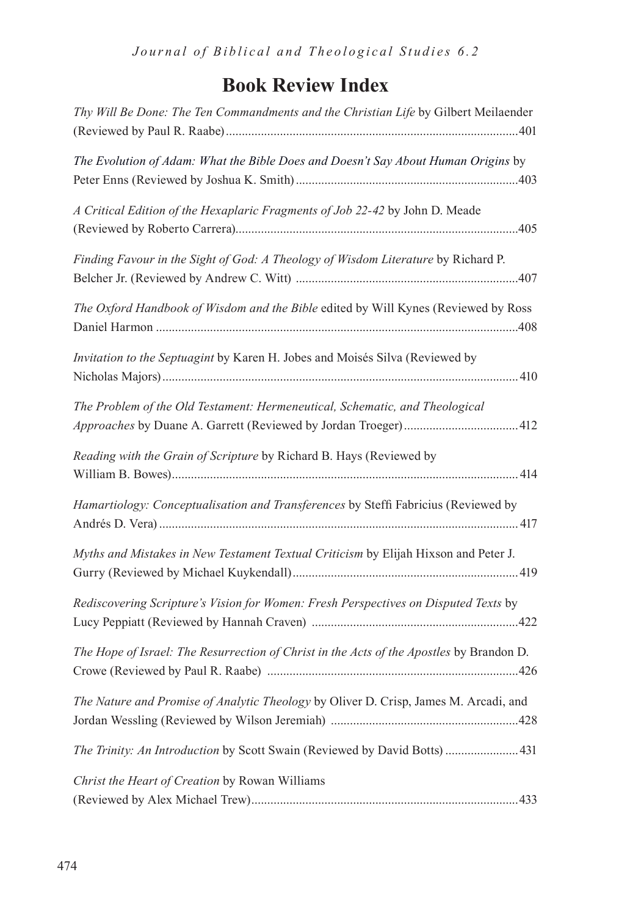## **Book Review Index**

| Thy Will Be Done: The Ten Commandments and the Christian Life by Gilbert Meilaender      |
|------------------------------------------------------------------------------------------|
|                                                                                          |
| The Evolution of Adam: What the Bible Does and Doesn't Say About Human Origins by        |
| A Critical Edition of the Hexaplaric Fragments of Job 22-42 by John D. Meade             |
| Finding Favour in the Sight of God: A Theology of Wisdom Literature by Richard P.        |
| The Oxford Handbook of Wisdom and the Bible edited by Will Kynes (Reviewed by Ross       |
| Invitation to the Septuagint by Karen H. Jobes and Moisés Silva (Reviewed by             |
| The Problem of the Old Testament: Hermeneutical, Schematic, and Theological              |
| Reading with the Grain of Scripture by Richard B. Hays (Reviewed by                      |
| Hamartiology: Conceptualisation and Transferences by Steffi Fabricius (Reviewed by       |
| Myths and Mistakes in New Testament Textual Criticism by Elijah Hixson and Peter J.      |
| Rediscovering Scripture's Vision for Women: Fresh Perspectives on Disputed Texts by      |
| The Hope of Israel: The Resurrection of Christ in the Acts of the Apostles by Brandon D. |
| The Nature and Promise of Analytic Theology by Oliver D. Crisp, James M. Arcadi, and     |
| The Trinity: An Introduction by Scott Swain (Reviewed by David Botts)  431               |
| Christ the Heart of Creation by Rowan Williams                                           |